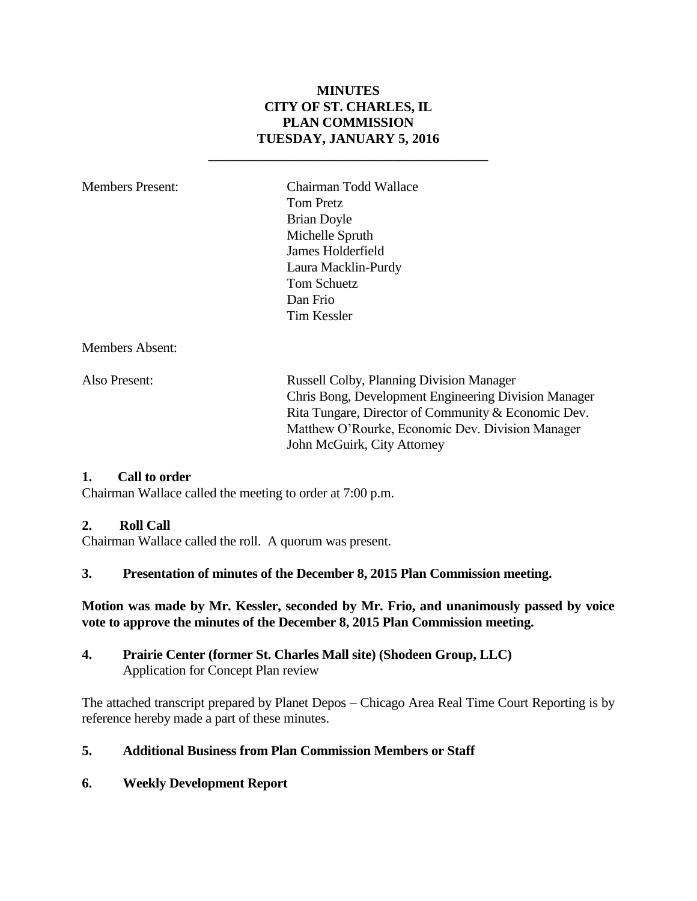### **MINUTES CITY OF ST. CHARLES, IL PLAN COMMISSION TUESDAY, JANUARY 5, 2016**

**\_\_\_\_\_\_\_\_\_\_\_\_\_\_\_\_\_\_\_\_\_\_\_\_\_\_\_\_\_\_\_\_\_\_\_\_\_\_\_\_\_**

Members Present: Chairman Todd Wallace Tom Pretz Brian Doyle Michelle Spruth James Holderfield Laura Macklin-Purdy Tom Schuetz Dan Frio Tim Kessler

Members Absent:

Also Present: Russell Colby, Planning Division Manager Chris Bong, Development Engineering Division Manager Rita Tungare, Director of Community & Economic Dev. Matthew O'Rourke, Economic Dev. Division Manager John McGuirk, City Attorney

#### **1. Call to order**

Chairman Wallace called the meeting to order at 7:00 p.m.

#### **2. Roll Call**

Chairman Wallace called the roll. A quorum was present.

#### **3. Presentation of minutes of the December 8, 2015 Plan Commission meeting.**

#### **Motion was made by Mr. Kessler, seconded by Mr. Frio, and unanimously passed by voice vote to approve the minutes of the December 8, 2015 Plan Commission meeting.**

**4. Prairie Center (former St. Charles Mall site) (Shodeen Group, LLC)** Application for Concept Plan review

The attached transcript prepared by Planet Depos – Chicago Area Real Time Court Reporting is by reference hereby made a part of these minutes.

#### **5. Additional Business from Plan Commission Members or Staff**

#### **6. Weekly Development Report**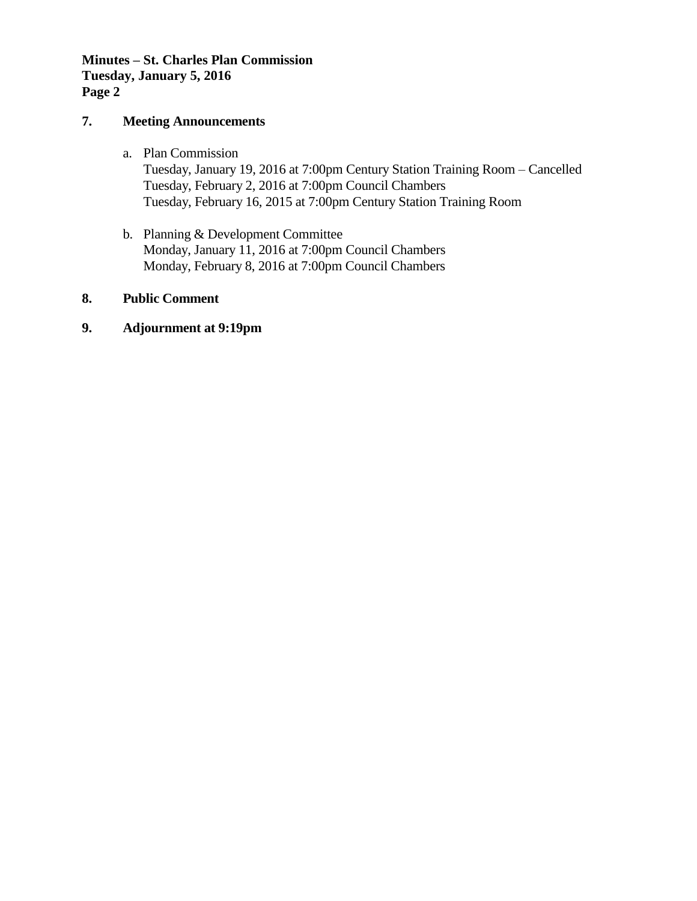#### **Minutes – St. Charles Plan Commission Tuesday, January 5, 2016 Page 2**

#### **7. Meeting Announcements**

- a. Plan Commission Tuesday, January 19, 2016 at 7:00pm Century Station Training Room – Cancelled Tuesday, February 2, 2016 at 7:00pm Council Chambers Tuesday, February 16, 2015 at 7:00pm Century Station Training Room
- b. Planning & Development Committee Monday, January 11, 2016 at 7:00pm Council Chambers Monday, February 8, 2016 at 7:00pm Council Chambers

#### **8. Public Comment**

#### **9. Adjournment at 9:19pm**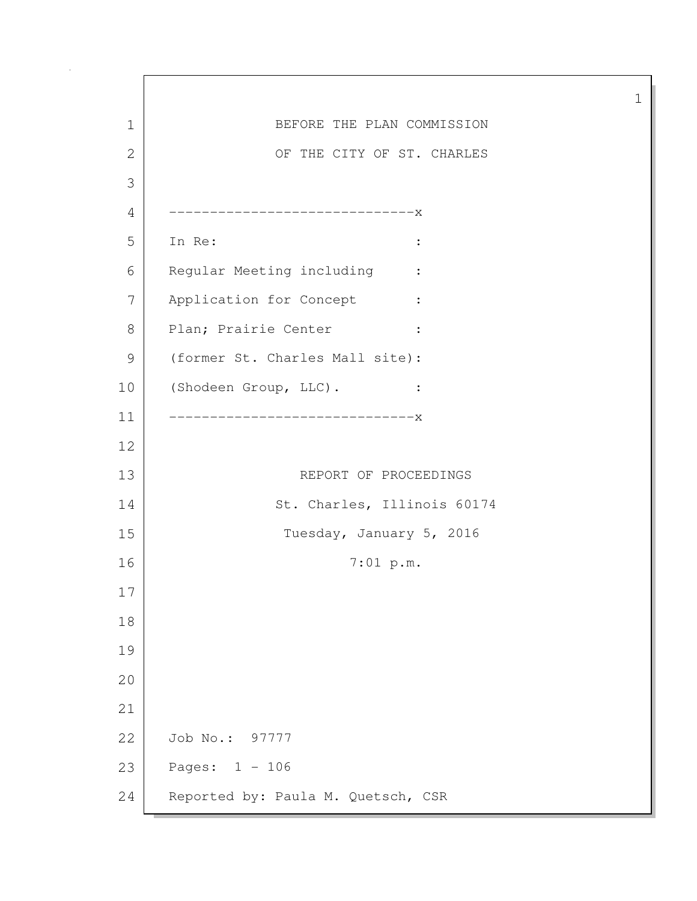1 BEFORE THE PLAN COMMISSION 2 OF THE CITY OF ST. CHARLES 3 4 ------------------------------x 5 In Re: : 6 Regular Meeting including : 7 Application for Concept : 8 Plan; Prairie Center : 9 (former St. Charles Mall site): 10 (Shodeen Group, LLC). : 11 ------------------------------x 12 13 REPORT OF PROCEEDINGS 14 St. Charles, Illinois 60174 15 Tuesday, January 5, 2016 16 7:01 p.m. 17 18 19 20 21 22 Job No.: 97777 23 Pages: 1 - 106 24 Reported by: Paula M. Quetsch, CSR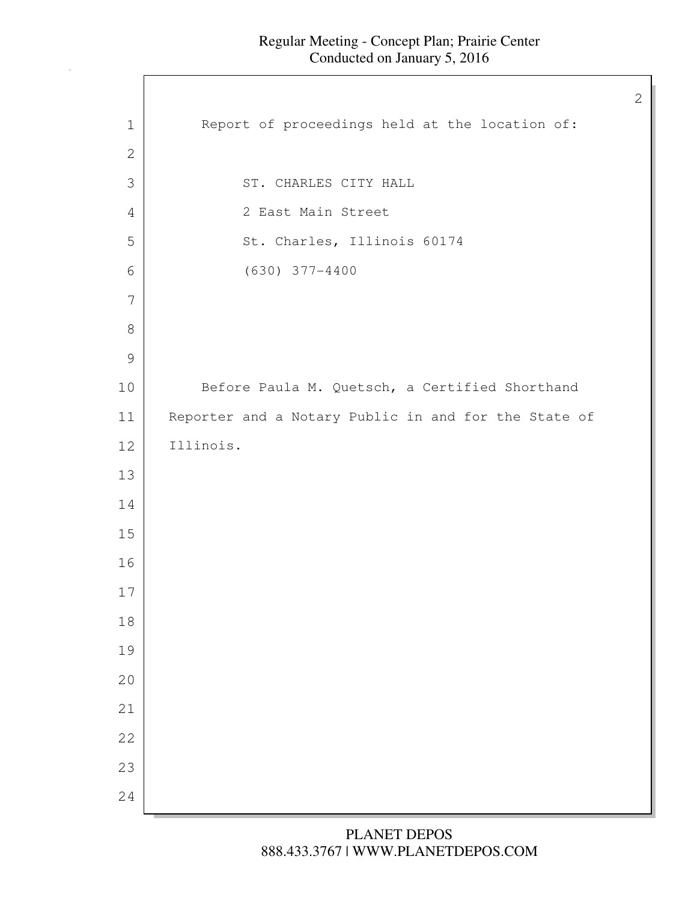$\mathsf{l}$ 

| $\mathbf 1$   | Report of proceedings held at the location of:       |
|---------------|------------------------------------------------------|
| $\mathbf{2}$  |                                                      |
| 3             | ST. CHARLES CITY HALL                                |
| 4             | 2 East Main Street                                   |
| 5             | St. Charles, Illinois 60174                          |
| 6             | $(630)$ 377-4400                                     |
| 7             |                                                      |
| $\,8\,$       |                                                      |
| $\mathcal{G}$ |                                                      |
| 10            | Before Paula M. Quetsch, a Certified Shorthand       |
| 11            | Reporter and a Notary Public in and for the State of |
| 12            | Illinois.                                            |
| 13            |                                                      |
| 14            |                                                      |
| 15            |                                                      |
| 16            |                                                      |
| 17            |                                                      |
| $1\,8$        |                                                      |
| 19            |                                                      |
| 20            |                                                      |
| 21            |                                                      |
| 22            |                                                      |
| 23            |                                                      |
| 24            |                                                      |
|               |                                                      |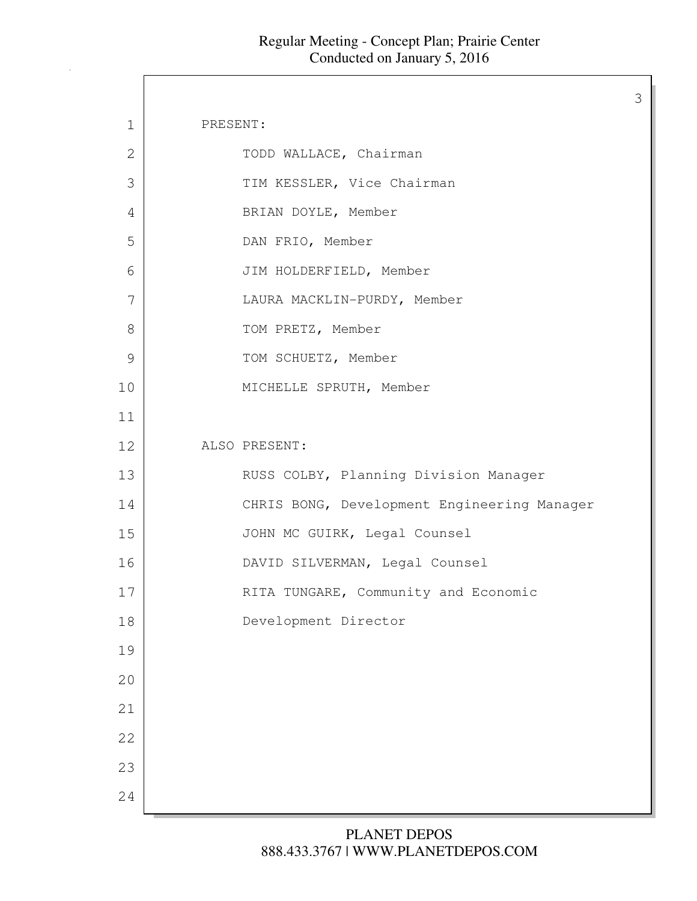3

| $\mathbf 1$ | PRESENT:                                    |
|-------------|---------------------------------------------|
| 2           | TODD WALLACE, Chairman                      |
| 3           | TIM KESSLER, Vice Chairman                  |
| 4           | BRIAN DOYLE, Member                         |
| 5           | DAN FRIO, Member                            |
| 6           | JIM HOLDERFIELD, Member                     |
| 7           | LAURA MACKLIN-PURDY, Member                 |
| 8           | TOM PRETZ, Member                           |
| 9           | TOM SCHUETZ, Member                         |
| 10          | MICHELLE SPRUTH, Member                     |
| 11          |                                             |
| 12          | ALSO PRESENT:                               |
| 13          | RUSS COLBY, Planning Division Manager       |
| 14          | CHRIS BONG, Development Engineering Manager |
| 15          | JOHN MC GUIRK, Legal Counsel                |
| 16          | DAVID SILVERMAN, Legal Counsel              |
| 17          | RITA TUNGARE, Community and Economic        |
| 18          | Development Director                        |
| 19          |                                             |
| 20          |                                             |
| 21          |                                             |
| 22          |                                             |
| 23          |                                             |
| 24          |                                             |
|             |                                             |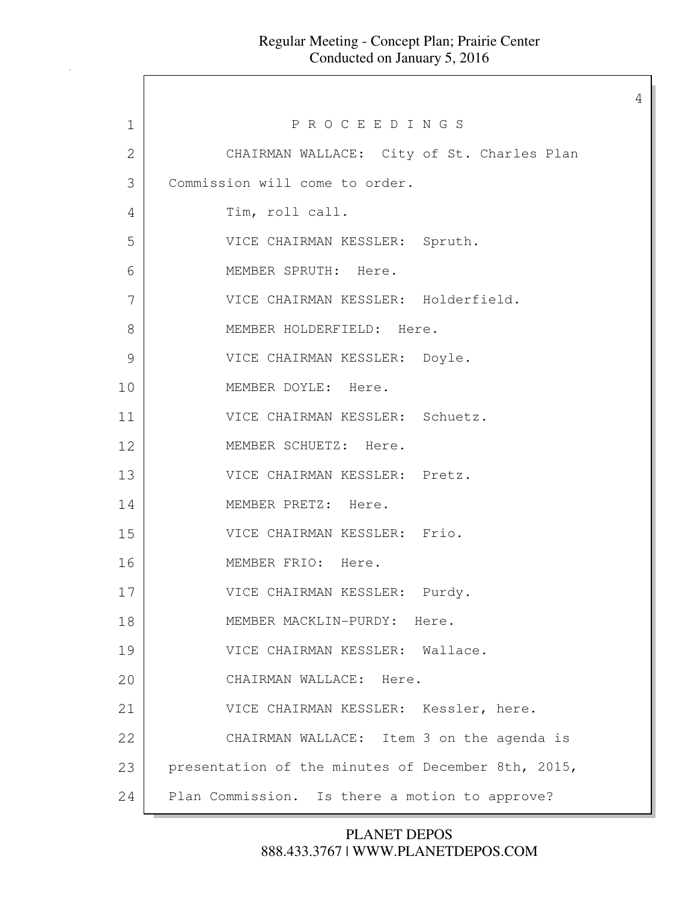4

1 P R O C E E D I N G S 2 CHAIRMAN WALLACE: City of St. Charles Plan 3 Commission will come to order. 4 Tim, roll call. 5 VICE CHAIRMAN KESSLER: Spruth. 6 MEMBER SPRUTH: Here. 7 VICE CHAIRMAN KESSLER: Holderfield. 8 MEMBER HOLDERFIELD: Here. 9 VICE CHAIRMAN KESSLER: Doyle. 10 MEMBER DOYLE: Here. 11 VICE CHAIRMAN KESSLER: Schuetz. 12 MEMBER SCHUETZ: Here. 13 VICE CHAIRMAN KESSLER: Pretz. 14 MEMBER PRETZ: Here. 15 VICE CHAIRMAN KESSLER: Frio. 16 MEMBER FRIO: Here. 17 VICE CHAIRMAN KESSLER: Purdy. 18 MEMBER MACKLIN-PURDY: Here. 19 VICE CHAIRMAN KESSLER: Wallace. 20 CHAIRMAN WALLACE: Here. 21 VICE CHAIRMAN KESSLER: Kessler, here. 22 CHAIRMAN WALLACE: Item 3 on the agenda is 23 presentation of the minutes of December 8th, 2015, 24 Plan Commission. Is there a motion to approve?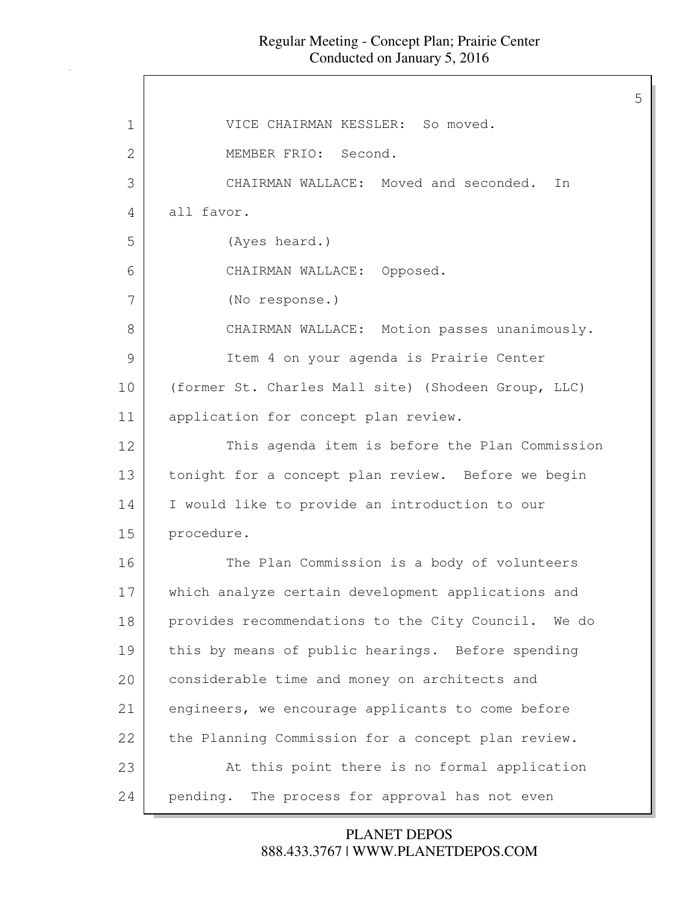| $\mathbf 1$ | VICE CHAIRMAN KESSLER: So moved.                    |
|-------------|-----------------------------------------------------|
| 2           | MEMBER FRIO: Second.                                |
| 3           | CHAIRMAN WALLACE: Moved and seconded.<br>In         |
| 4           | all favor.                                          |
| 5           | (Ayes heard.)                                       |
| 6           | CHAIRMAN WALLACE: Opposed.                          |
| 7           | (No response.)                                      |
| 8           | CHAIRMAN WALLACE: Motion passes unanimously.        |
| 9           | Item 4 on your agenda is Prairie Center             |
| 10          | (former St. Charles Mall site) (Shodeen Group, LLC) |
| 11          | application for concept plan review.                |
| 12          | This agenda item is before the Plan Commission      |
| 13          | tonight for a concept plan review. Before we begin  |
| 14          | I would like to provide an introduction to our      |
| 15          | procedure.                                          |
| 16          | The Plan Commission is a body of volunteers         |
| 17          | which analyze certain development applications and  |
| 18          | provides recommendations to the City Council. We do |
| 19          | this by means of public hearings. Before spending   |
| 20          | considerable time and money on architects and       |
| 21          | engineers, we encourage applicants to come before   |
| 22          | the Planning Commission for a concept plan review.  |
| 23          | At this point there is no formal application        |
| 24          | The process for approval has not even<br>pending.   |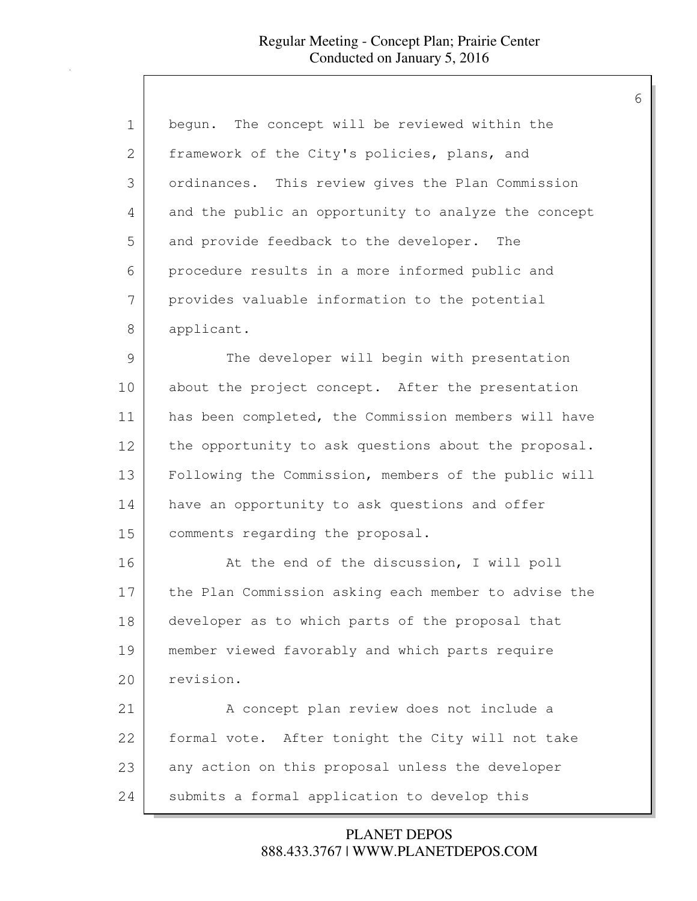| $\mathbf 1$  | begun. The concept will be reviewed within the       |
|--------------|------------------------------------------------------|
| $\mathbf{2}$ | framework of the City's policies, plans, and         |
| 3            | ordinances. This review gives the Plan Commission    |
| 4            | and the public an opportunity to analyze the concept |
| 5            | and provide feedback to the developer. The           |
| 6            | procedure results in a more informed public and      |
| 7            | provides valuable information to the potential       |
| 8            | applicant.                                           |
| 9            | The developer will begin with presentation           |
| 10           | about the project concept. After the presentation    |
| 11           | has been completed, the Commission members will have |
| 12           | the opportunity to ask questions about the proposal. |
| 13           | Following the Commission, members of the public will |
| 14           | have an opportunity to ask questions and offer       |
| 15           | comments regarding the proposal.                     |
| 16           | At the end of the discussion, I will poll            |
| 17           | the Plan Commission asking each member to advise the |
| 18           | developer as to which parts of the proposal that     |
| 19           | member viewed favorably and which parts require      |
| 20           | revision.                                            |
| 21           | A concept plan review does not include a             |
| 22           | formal vote. After tonight the City will not take    |
| 23           | any action on this proposal unless the developer     |
| 24           | submits a formal application to develop this         |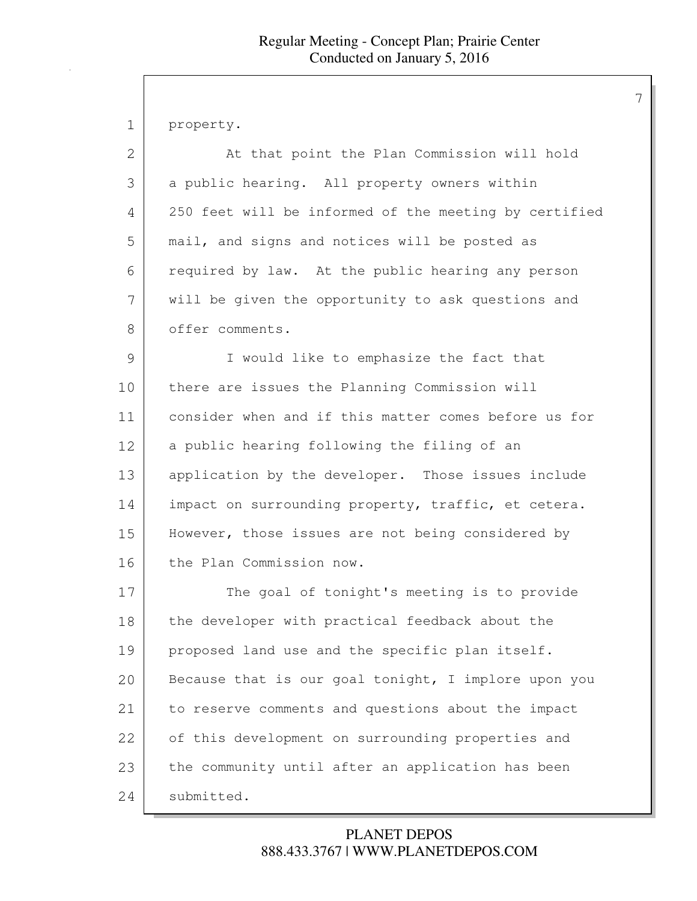1 property.

| 2             | At that point the Plan Commission will hold           |
|---------------|-------------------------------------------------------|
| 3             | a public hearing. All property owners within          |
| 4             | 250 feet will be informed of the meeting by certified |
| 5             | mail, and signs and notices will be posted as         |
| 6             | required by law. At the public hearing any person     |
| 7             | will be given the opportunity to ask questions and    |
| 8             | offer comments.                                       |
| $\mathcal{G}$ | I would like to emphasize the fact that               |
| 10            | there are issues the Planning Commission will         |
| 11            | consider when and if this matter comes before us for  |
| 12            | a public hearing following the filing of an           |
| 13            | application by the developer. Those issues include    |
| 14            | impact on surrounding property, traffic, et cetera.   |
| 15            | However, those issues are not being considered by     |
| 16            | the Plan Commission now.                              |
| 17            | The goal of tonight's meeting is to provide           |
| 18            | the developer with practical feedback about the       |
| 19            | proposed land use and the specific plan itself.       |
| 20            | Because that is our goal tonight, I implore upon you  |
| 21            | to reserve comments and questions about the impact    |
| 22            | of this development on surrounding properties and     |
| 23            | the community until after an application has been     |
| 24            | submitted.                                            |

# 888.433.3767 | WWW.PLANETDEPOS.COM PLANET DEPOS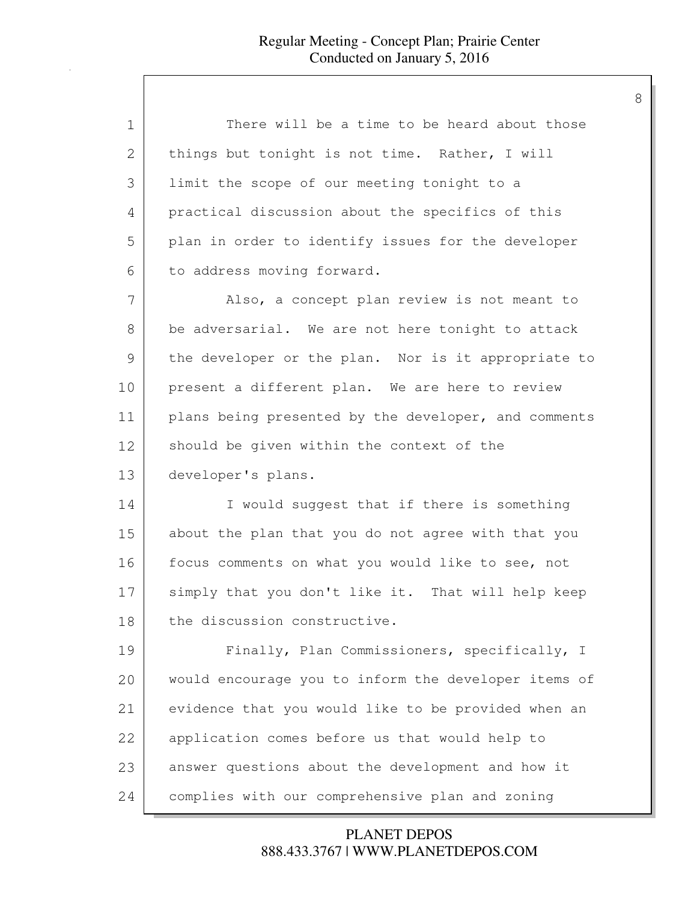| $\mathbf 1$ | There will be a time to be heard about those         |
|-------------|------------------------------------------------------|
| 2           | things but tonight is not time. Rather, I will       |
| 3           | limit the scope of our meeting tonight to a          |
| 4           | practical discussion about the specifics of this     |
| 5           | plan in order to identify issues for the developer   |
| 6           | to address moving forward.                           |
| 7           | Also, a concept plan review is not meant to          |
| 8           | be adversarial. We are not here tonight to attack    |
| 9           | the developer or the plan. Nor is it appropriate to  |
| 10          | present a different plan. We are here to review      |
| 11          | plans being presented by the developer, and comments |
| 12          | should be given within the context of the            |
| 13          | developer's plans.                                   |
| 14          | I would suggest that if there is something           |
| 15          | about the plan that you do not agree with that you   |
| 16          | focus comments on what you would like to see, not    |
| 17          | simply that you don't like it. That will help keep   |
| 18          | the discussion constructive.                         |
| 19          | Finally, Plan Commissioners, specifically, I         |
| 20          | would encourage you to inform the developer items of |
| 21          | evidence that you would like to be provided when an  |
| 22          | application comes before us that would help to       |
| 23          | answer questions about the development and how it    |
| 24          | complies with our comprehensive plan and zoning      |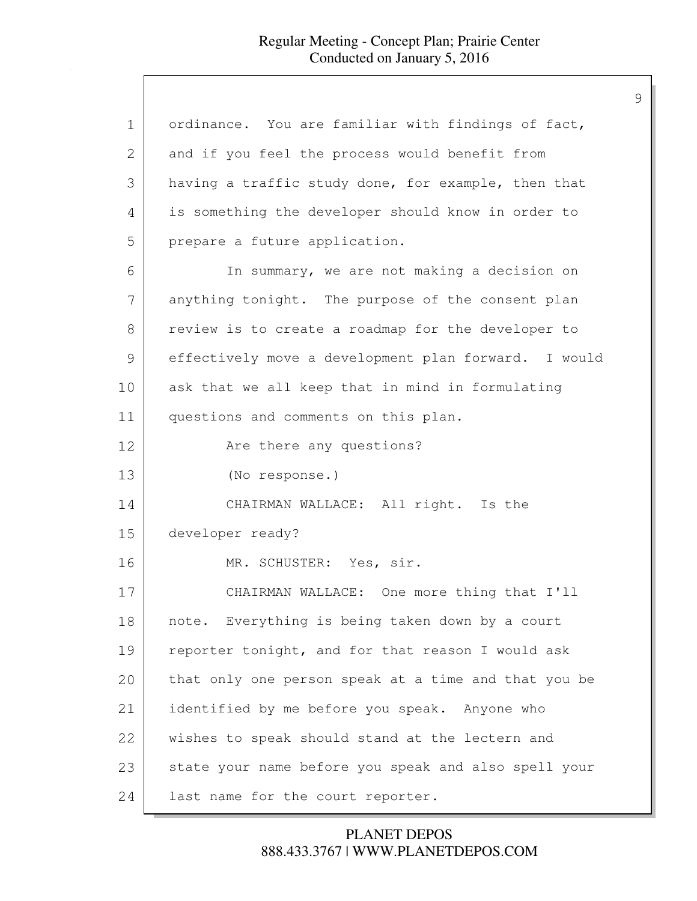| $\mathbf 1$ | ordinance. You are familiar with findings of fact,   |
|-------------|------------------------------------------------------|
| 2           | and if you feel the process would benefit from       |
| 3           | having a traffic study done, for example, then that  |
| 4           | is something the developer should know in order to   |
| 5           | prepare a future application.                        |
| 6           | In summary, we are not making a decision on          |
| 7           | anything tonight. The purpose of the consent plan    |
| 8           | review is to create a roadmap for the developer to   |
| 9           | effectively move a development plan forward. I would |
| 10          | ask that we all keep that in mind in formulating     |
| 11          | questions and comments on this plan.                 |
| 12          | Are there any questions?                             |
| 13          | (No response.)                                       |
| 14          | CHAIRMAN WALLACE: All right. Is the                  |
| 15          | developer ready?                                     |
| 16          | MR. SCHUSTER: Yes, sir.                              |
| 17          | CHAIRMAN WALLACE: One more thing that I'll           |
| 18          | note. Everything is being taken down by a court      |
| 19          | reporter tonight, and for that reason I would ask    |
| 20          | that only one person speak at a time and that you be |
| 21          | identified by me before you speak. Anyone who        |
| 22          | wishes to speak should stand at the lectern and      |
| 23          | state your name before you speak and also spell your |
| 24          | last name for the court reporter.                    |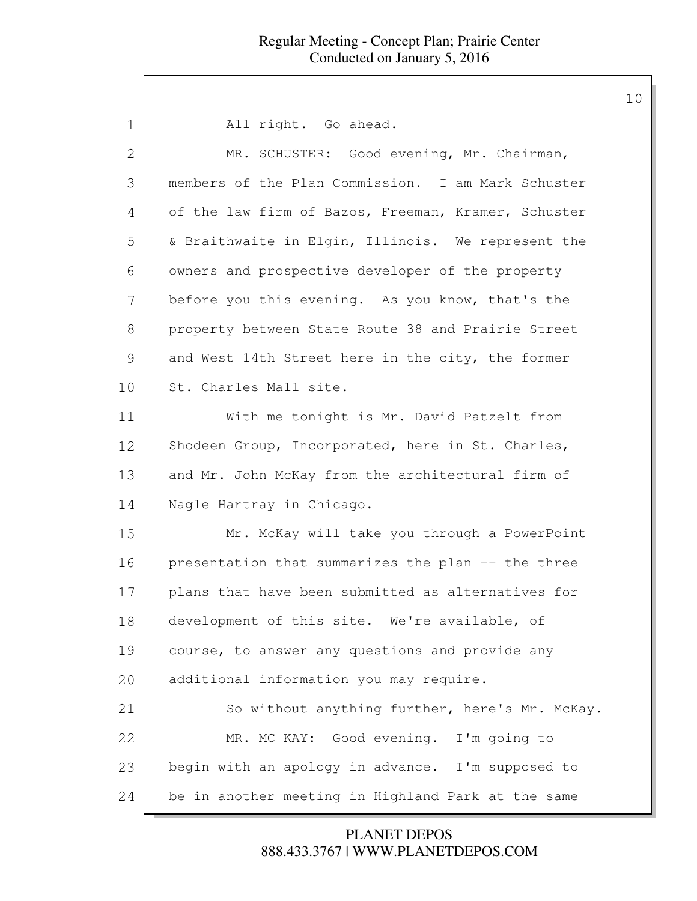| $\mathbf 1$ | All right. Go ahead.                                |
|-------------|-----------------------------------------------------|
| 2           | MR. SCHUSTER: Good evening, Mr. Chairman,           |
| 3           | members of the Plan Commission. I am Mark Schuster  |
| 4           | of the law firm of Bazos, Freeman, Kramer, Schuster |
| 5           | & Braithwaite in Elgin, Illinois. We represent the  |
| 6           | owners and prospective developer of the property    |
| 7           | before you this evening. As you know, that's the    |
| 8           | property between State Route 38 and Prairie Street  |
| 9           | and West 14th Street here in the city, the former   |
| 10          | St. Charles Mall site.                              |
| 11          | With me tonight is Mr. David Patzelt from           |
| 12          | Shodeen Group, Incorporated, here in St. Charles,   |
| 13          | and Mr. John McKay from the architectural firm of   |
| 14          | Nagle Hartray in Chicago.                           |
| 15          | Mr. McKay will take you through a PowerPoint        |
| 16          | presentation that summarizes the plan -- the three  |
| 17          | plans that have been submitted as alternatives for  |
| 18          | development of this site. We're available, of       |
| 19          | course, to answer any questions and provide any     |
| 20          | additional information you may require.             |
| 21          | So without anything further, here's Mr. McKay.      |
| 22          | MR. MC KAY: Good evening. I'm going to              |
| 23          | begin with an apology in advance. I'm supposed to   |
| 24          | be in another meeting in Highland Park at the same  |

888.433.3767 | WWW.PLANETDEPOS.COM PLANET DEPOS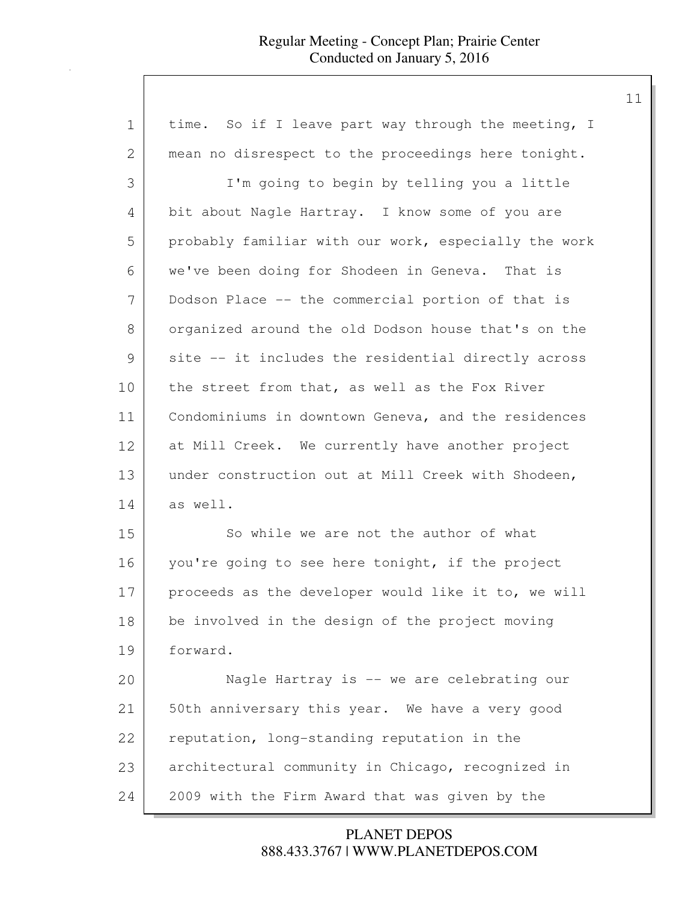| $\mathbf 1$ | time. So if I leave part way through the meeting, I  |
|-------------|------------------------------------------------------|
| 2           | mean no disrespect to the proceedings here tonight.  |
| 3           | I'm going to begin by telling you a little           |
| 4           | bit about Nagle Hartray. I know some of you are      |
| 5           | probably familiar with our work, especially the work |
| 6           | we've been doing for Shodeen in Geneva. That is      |
| 7           | Dodson Place -- the commercial portion of that is    |
| 8           | organized around the old Dodson house that's on the  |
| 9           | site -- it includes the residential directly across  |
| 10          | the street from that, as well as the Fox River       |
| 11          | Condominiums in downtown Geneva, and the residences  |
| 12          | at Mill Creek. We currently have another project     |
| 13          | under construction out at Mill Creek with Shodeen,   |
| 14          | as well.                                             |
| 15          | So while we are not the author of what               |
| 16          | you're going to see here tonight, if the project     |
| 17          | proceeds as the developer would like it to, we will  |
| 18          | be involved in the design of the project moving      |
| 19          | forward.                                             |
| 20          | Nagle Hartray is -- we are celebrating our           |
| 21          | 50th anniversary this year. We have a very good      |
| 22          | reputation, long-standing reputation in the          |
| 23          | architectural community in Chicago, recognized in    |
| 24          | 2009 with the Firm Award that was given by the       |

888.433.3767 | WWW.PLANETDEPOS.COM PLANET DEPOS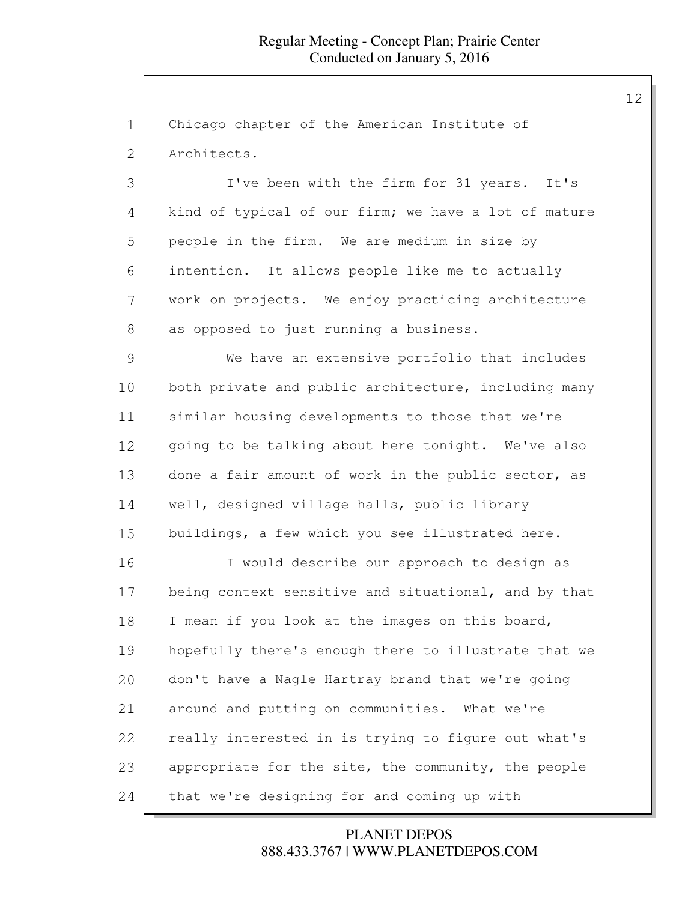1 Chicago chapter of the American Institute of 2 Architects.

 I've been with the firm for 31 years. It's 4 kind of typical of our firm; we have a lot of mature people in the firm. We are medium in size by intention. It allows people like me to actually work on projects. We enjoy practicing architecture 8 as opposed to just running a business.

9 We have an extensive portfolio that includes 10 both private and public architecture, including many 11 similar housing developments to those that we're 12 | going to be talking about here tonight. We've also 13 done a fair amount of work in the public sector, as 14 | well, designed village halls, public library 15 buildings, a few which you see illustrated here.

16 I would describe our approach to design as 17 being context sensitive and situational, and by that 18 | I mean if you look at the images on this board, 19 | hopefully there's enough there to illustrate that we 20 don't have a Nagle Hartray brand that we're going 21 around and putting on communities. What we're 22 | really interested in is trying to figure out what's 23 appropriate for the site, the community, the people 24 that we're designing for and coming up with

> 888.433.3767 | WWW.PLANETDEPOS.COM PLANET DEPOS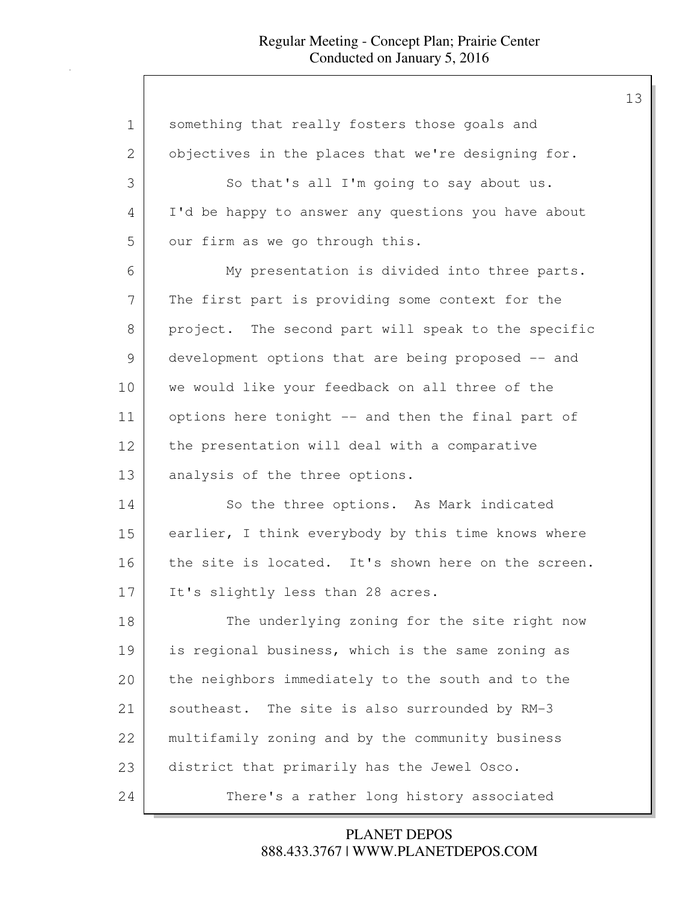| $\mathbf 1$   | something that really fosters those goals and       |
|---------------|-----------------------------------------------------|
| 2             | objectives in the places that we're designing for.  |
| 3             | So that's all I'm going to say about us.            |
| 4             | I'd be happy to answer any questions you have about |
| 5             | our firm as we go through this.                     |
| 6             | My presentation is divided into three parts.        |
| 7             | The first part is providing some context for the    |
| 8             | project. The second part will speak to the specific |
| $\mathcal{G}$ | development options that are being proposed -- and  |
| 10            | we would like your feedback on all three of the     |
| 11            | options here tonight -- and then the final part of  |
| 12            | the presentation will deal with a comparative       |
| 13            | analysis of the three options.                      |
| 14            | So the three options. As Mark indicated             |
| 15            | earlier, I think everybody by this time knows where |
| 16            | the site is located. It's shown here on the screen. |
| 17            | It's slightly less than 28 acres.                   |
| 18            | The underlying zoning for the site right now        |
| 19            | is regional business, which is the same zoning as   |
| 20            | the neighbors immediately to the south and to the   |
| 21            | southeast. The site is also surrounded by RM-3      |
| 22            | multifamily zoning and by the community business    |
| 23            | district that primarily has the Jewel Osco.         |
| 24            | There's a rather long history associated            |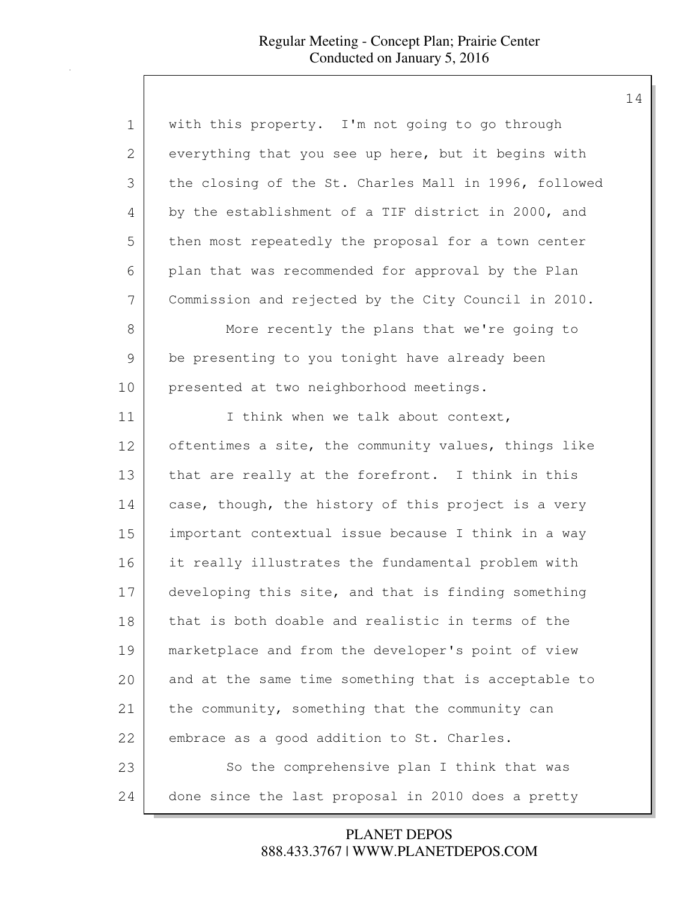| 1             | with this property. I'm not going to go through       |
|---------------|-------------------------------------------------------|
| 2             | everything that you see up here, but it begins with   |
| 3             | the closing of the St. Charles Mall in 1996, followed |
| 4             | by the establishment of a TIF district in 2000, and   |
| 5             | then most repeatedly the proposal for a town center   |
| 6             | plan that was recommended for approval by the Plan    |
| 7             | Commission and rejected by the City Council in 2010.  |
| 8             | More recently the plans that we're going to           |
| $\mathcal{G}$ | be presenting to you tonight have already been        |
| 10            | presented at two neighborhood meetings.               |
| 11            | I think when we talk about context,                   |
| 12            | oftentimes a site, the community values, things like  |
| 13            | that are really at the forefront. I think in this     |
| 14            | case, though, the history of this project is a very   |
| 15            | important contextual issue because I think in a way   |
| 16            | it really illustrates the fundamental problem with    |
| 17            | developing this site, and that is finding something   |
| 18            | that is both doable and realistic in terms of the     |
| 19            | marketplace and from the developer's point of view    |
| 20            | and at the same time something that is acceptable to  |
| 21            | the community, something that the community can       |
| 22            | embrace as a good addition to St. Charles.            |
| 23            | So the comprehensive plan I think that was            |
| 24            | done since the last proposal in 2010 does a pretty    |

888.433.3767 | WWW.PLANETDEPOS.COM PLANET DEPOS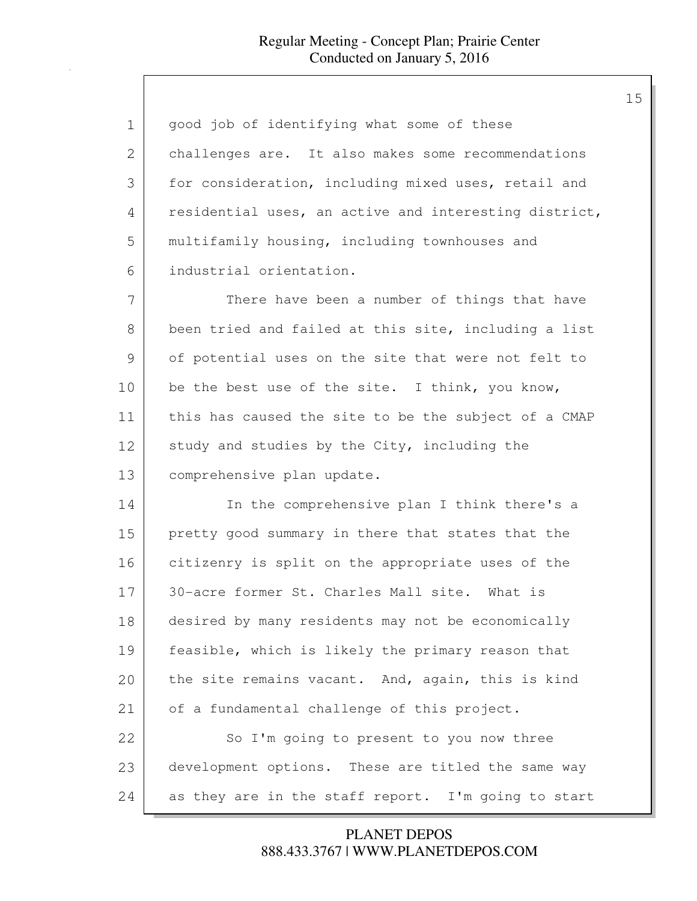| 1  | good job of identifying what some of these            |
|----|-------------------------------------------------------|
| 2  | challenges are. It also makes some recommendations    |
| 3  | for consideration, including mixed uses, retail and   |
| 4  | residential uses, an active and interesting district, |
| 5  | multifamily housing, including townhouses and         |
| 6  | industrial orientation.                               |
| 7  | There have been a number of things that have          |
| 8  | been tried and failed at this site, including a list  |
| 9  | of potential uses on the site that were not felt to   |
| 10 | be the best use of the site. I think, you know,       |
| 11 | this has caused the site to be the subject of a CMAP  |
| 12 | study and studies by the City, including the          |
| 13 | comprehensive plan update.                            |
| 14 | In the comprehensive plan I think there's a           |
| 15 | pretty good summary in there that states that the     |
| 16 | citizenry is split on the appropriate uses of the     |
| 17 | 30-acre former St. Charles Mall site. What is         |
| 18 | desired by many residents may not be economically     |
| 19 | feasible, which is likely the primary reason that     |
| 20 | the site remains vacant. And, again, this is kind     |
| 21 | of a fundamental challenge of this project.           |
| 22 | So I'm going to present to you now three              |
| 23 | development options. These are titled the same way    |
| 24 | as they are in the staff report. I'm going to start   |

888.433.3767 | WWW.PLANETDEPOS.COM PLANET DEPOS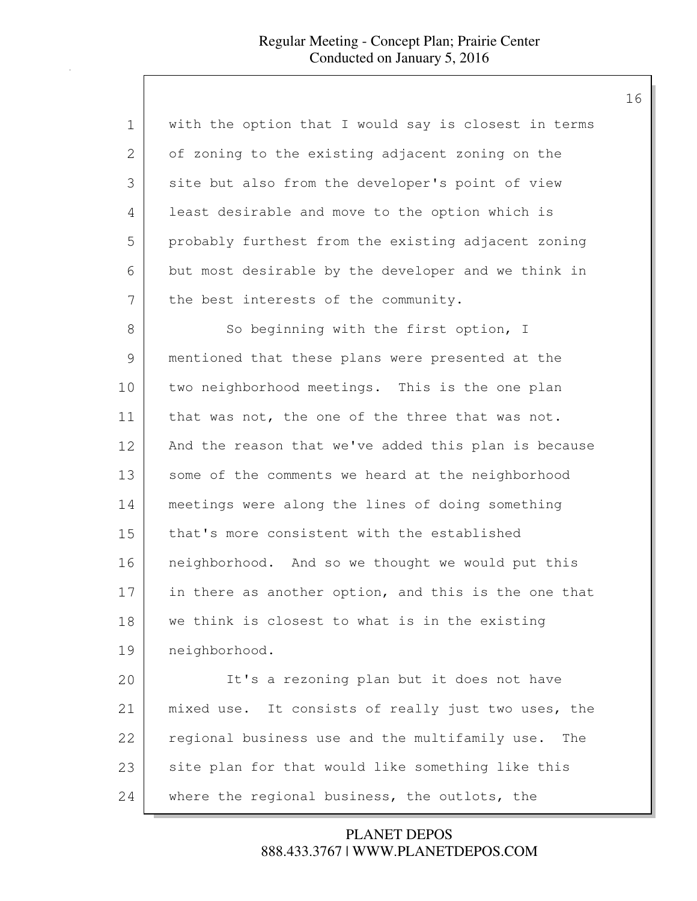| 1  | with the option that I would say is closest in terms  |
|----|-------------------------------------------------------|
| 2  | of zoning to the existing adjacent zoning on the      |
| 3  | site but also from the developer's point of view      |
| 4  | least desirable and move to the option which is       |
| 5  | probably furthest from the existing adjacent zoning   |
| 6  | but most desirable by the developer and we think in   |
| 7  | the best interests of the community.                  |
| 8  | So beginning with the first option, I                 |
| 9  | mentioned that these plans were presented at the      |
| 10 | two neighborhood meetings. This is the one plan       |
| 11 | that was not, the one of the three that was not.      |
| 12 | And the reason that we've added this plan is because  |
| 13 | some of the comments we heard at the neighborhood     |
| 14 | meetings were along the lines of doing something      |
| 15 | that's more consistent with the established           |
| 16 | neighborhood. And so we thought we would put this     |
| 17 | in there as another option, and this is the one that  |
| 18 | we think is closest to what is in the existing        |
| 19 | neighborhood.                                         |
| 20 | It's a rezoning plan but it does not have             |
| 21 | mixed use. It consists of really just two uses, the   |
| 22 | regional business use and the multifamily use.<br>The |
| 23 | site plan for that would like something like this     |
| 24 | where the regional business, the outlots, the         |

888.433.3767 | WWW.PLANETDEPOS.COM PLANET DEPOS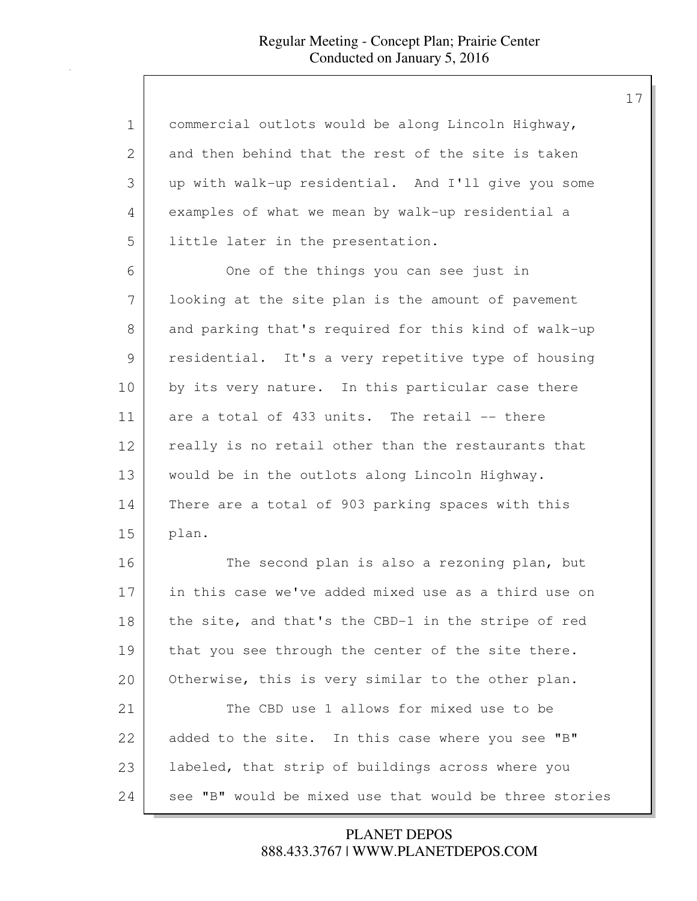| $\mathbf 1$   | commercial outlots would be along Lincoln Highway,     |
|---------------|--------------------------------------------------------|
| 2             | and then behind that the rest of the site is taken     |
| 3             | up with walk-up residential. And I'll give you some    |
| 4             | examples of what we mean by walk-up residential a      |
| 5             | little later in the presentation.                      |
| 6             | One of the things you can see just in                  |
| 7             | looking at the site plan is the amount of pavement     |
| 8             | and parking that's required for this kind of walk-up   |
| $\mathcal{G}$ | residential. It's a very repetitive type of housing    |
| 10            | by its very nature. In this particular case there      |
| 11            | are a total of 433 units. The retail -- there          |
| 12            | really is no retail other than the restaurants that    |
| 13            | would be in the outlots along Lincoln Highway.         |
| 14            | There are a total of 903 parking spaces with this      |
| 15            | plan.                                                  |
| 16            | The second plan is also a rezoning plan, but           |
| 17            | in this case we've added mixed use as a third use on   |
| 18            | the site, and that's the CBD-1 in the stripe of red    |
| 19            | that you see through the center of the site there.     |
| 20            | Otherwise, this is very similar to the other plan.     |
| 21            | The CBD use 1 allows for mixed use to be               |
| 22            | added to the site. In this case where you see "B"      |
| 23            | labeled, that strip of buildings across where you      |
| 24            | see "B" would be mixed use that would be three stories |

## 888.433.3767 | WWW.PLANETDEPOS.COM PLANET DEPOS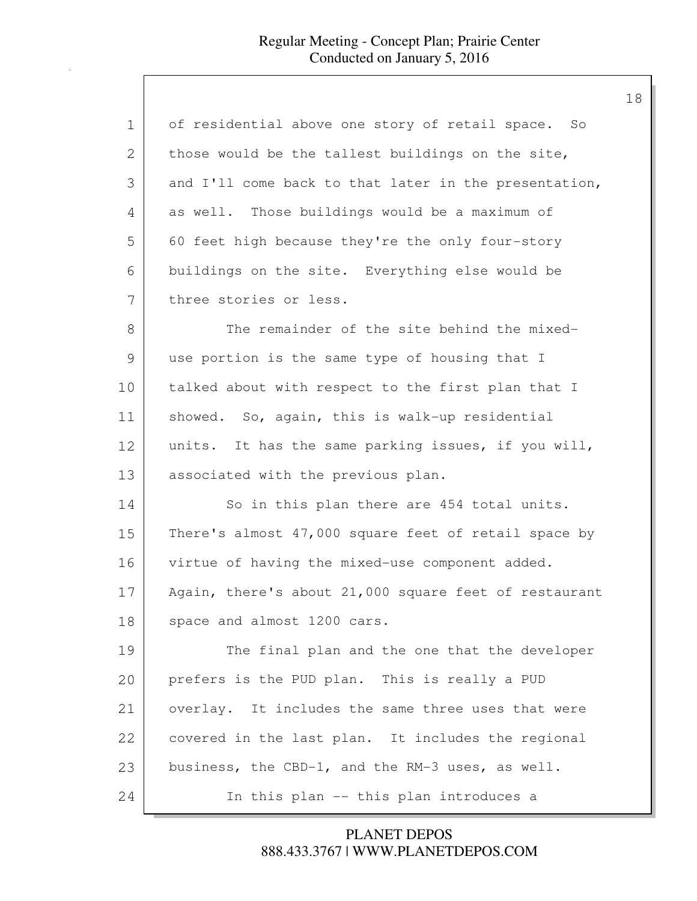| 1  | of residential above one story of retail space. So    |
|----|-------------------------------------------------------|
| 2  | those would be the tallest buildings on the site,     |
| 3  | and I'll come back to that later in the presentation, |
| 4  | as well. Those buildings would be a maximum of        |
| 5  | 60 feet high because they're the only four-story      |
| 6  | buildings on the site. Everything else would be       |
| 7  | three stories or less.                                |
| 8  | The remainder of the site behind the mixed-           |
| 9  | use portion is the same type of housing that I        |
| 10 | talked about with respect to the first plan that I    |
| 11 | showed. So, again, this is walk-up residential        |
| 12 | units. It has the same parking issues, if you will,   |
| 13 | associated with the previous plan.                    |
| 14 | So in this plan there are 454 total units.            |
| 15 | There's almost 47,000 square feet of retail space by  |
| 16 | virtue of having the mixed-use component added.       |
| 17 | Again, there's about 21,000 square feet of restaurant |
| 18 | space and almost 1200 cars.                           |
| 19 | The final plan and the one that the developer         |
| 20 | prefers is the PUD plan. This is really a PUD         |
| 21 | overlay. It includes the same three uses that were    |
| 22 | covered in the last plan. It includes the regional    |
| 23 | business, the CBD-1, and the RM-3 uses, as well.      |
| 24 | In this plan -- this plan introduces a                |

888.433.3767 | WWW.PLANETDEPOS.COM PLANET DEPOS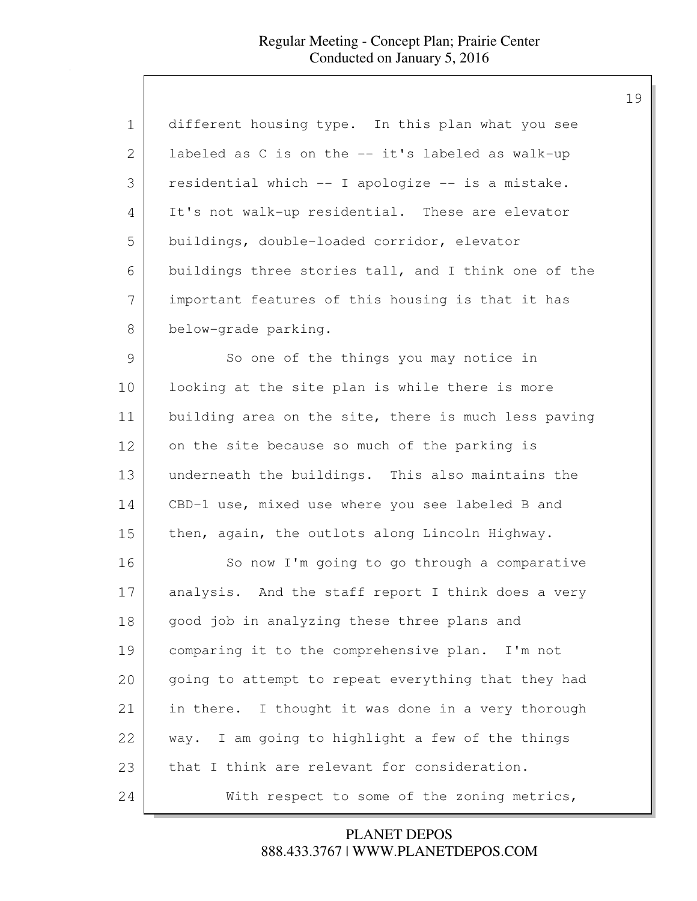| $\mathbf 1$ | different housing type. In this plan what you see    |
|-------------|------------------------------------------------------|
| 2           | labeled as C is on the -- it's labeled as walk-up    |
| 3           | residential which -- I apologize -- is a mistake.    |
| 4           | It's not walk-up residential. These are elevator     |
| 5           | buildings, double-loaded corridor, elevator          |
| 6           | buildings three stories tall, and I think one of the |
| 7           | important features of this housing is that it has    |
| 8           | below-grade parking.                                 |
| 9           | So one of the things you may notice in               |
| 10          | looking at the site plan is while there is more      |
| 11          | building area on the site, there is much less paving |
| 12          | on the site because so much of the parking is        |
| 13          | underneath the buildings. This also maintains the    |
| 14          | CBD-1 use, mixed use where you see labeled B and     |
| 15          | then, again, the outlots along Lincoln Highway.      |
| 16          | So now I'm going to go through a comparative         |
| 17          | analysis. And the staff report I think does a very   |
| 18          | good job in analyzing these three plans and          |
| 19          | comparing it to the comprehensive plan.<br>I'm not   |
| 20          | going to attempt to repeat everything that they had  |
| 21          | in there. I thought it was done in a very thorough   |
| 22          | way. I am going to highlight a few of the things     |
| 23          | that I think are relevant for consideration.         |
| 24          | With respect to some of the zoning metrics,          |

888.433.3767 | WWW.PLANETDEPOS.COM PLANET DEPOS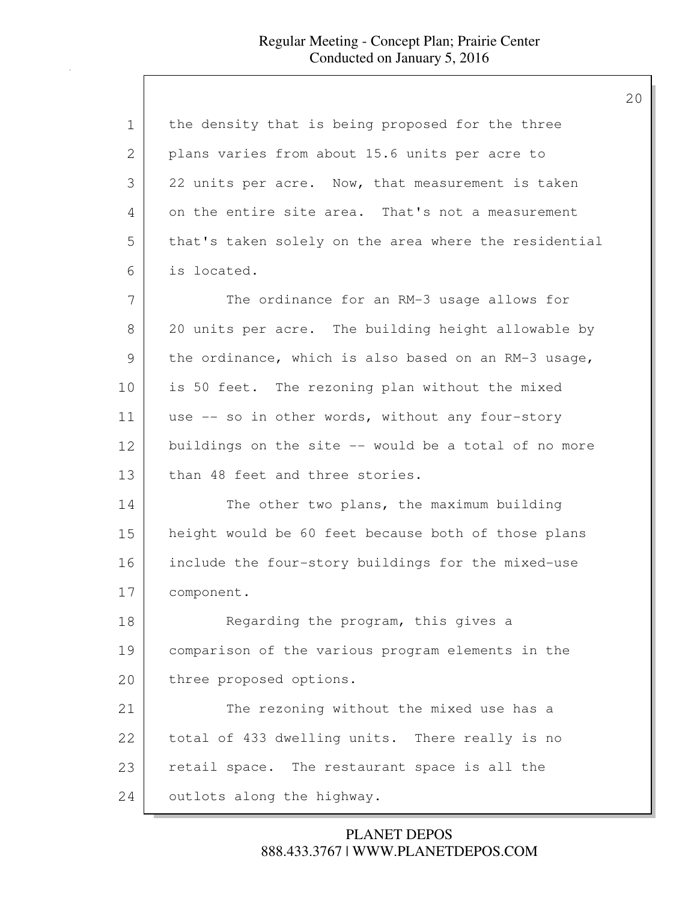| 1  | the density that is being proposed for the three      |
|----|-------------------------------------------------------|
| 2  | plans varies from about 15.6 units per acre to        |
| 3  | 22 units per acre. Now, that measurement is taken     |
| 4  | on the entire site area. That's not a measurement     |
| 5  | that's taken solely on the area where the residential |
| 6  | is located.                                           |
| 7  | The ordinance for an RM-3 usage allows for            |
| 8  | 20 units per acre. The building height allowable by   |
| 9  | the ordinance, which is also based on an RM-3 usage,  |
| 10 | is 50 feet. The rezoning plan without the mixed       |
| 11 | use -- so in other words, without any four-story      |
| 12 | buildings on the site -- would be a total of no more  |
| 13 | than 48 feet and three stories.                       |
| 14 | The other two plans, the maximum building             |
| 15 | height would be 60 feet because both of those plans   |
| 16 | include the four-story buildings for the mixed-use    |
| 17 | component.                                            |
| 18 | Regarding the program, this gives a                   |
| 19 | comparison of the various program elements in the     |
| 20 | three proposed options.                               |
| 21 | The rezoning without the mixed use has a              |
| 22 | total of 433 dwelling units. There really is no       |
| 23 | retail space. The restaurant space is all the         |
| 24 | outlots along the highway.                            |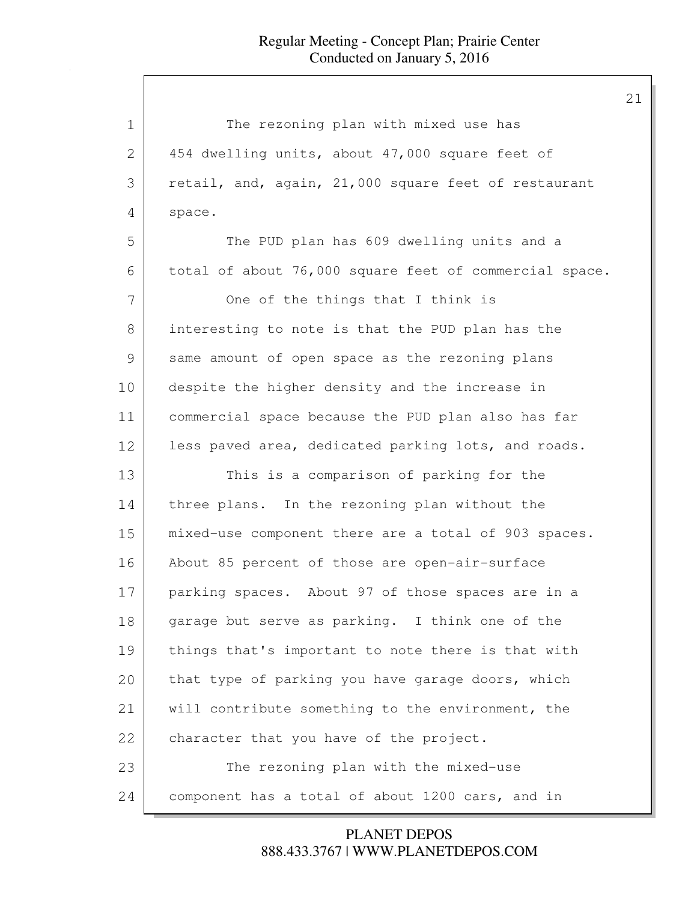| $\mathbf 1$ | The rezoning plan with mixed use has                   |
|-------------|--------------------------------------------------------|
| 2           | 454 dwelling units, about 47,000 square feet of        |
| 3           | retail, and, again, 21,000 square feet of restaurant   |
| 4           | space.                                                 |
| 5           | The PUD plan has 609 dwelling units and a              |
| 6           | total of about 76,000 square feet of commercial space. |
| 7           | One of the things that I think is                      |
| 8           | interesting to note is that the PUD plan has the       |
| 9           | same amount of open space as the rezoning plans        |
| 10          | despite the higher density and the increase in         |
| 11          | commercial space because the PUD plan also has far     |
| 12          | less paved area, dedicated parking lots, and roads.    |
| 13          | This is a comparison of parking for the                |
| 14          | three plans. In the rezoning plan without the          |
| 15          | mixed-use component there are a total of 903 spaces.   |
| 16          | About 85 percent of those are open-air-surface         |
| 17          | parking spaces. About 97 of those spaces are in a      |
| 18          | garage but serve as parking. I think one of the        |
| 19          | things that's important to note there is that with     |
| 20          | that type of parking you have garage doors, which      |
| 21          | will contribute something to the environment, the      |
| 22          | character that you have of the project.                |
| 23          | The rezoning plan with the mixed-use                   |
| 24          | component has a total of about 1200 cars, and in       |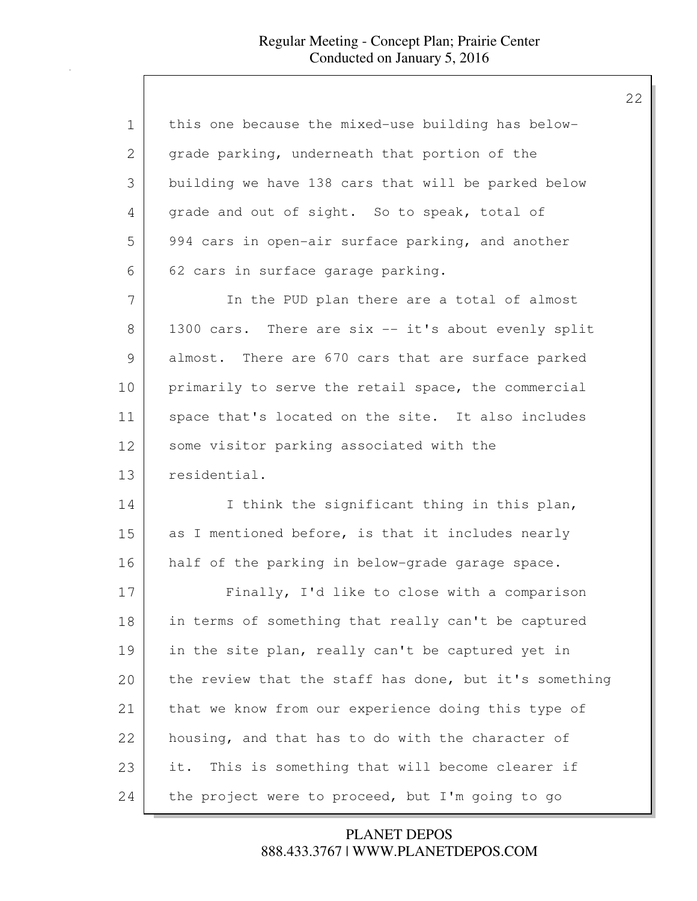| $\mathbf 1$ | this one because the mixed-use building has below-     |
|-------------|--------------------------------------------------------|
| 2           | grade parking, underneath that portion of the          |
| 3           | building we have 138 cars that will be parked below    |
| 4           | grade and out of sight. So to speak, total of          |
| 5           | 994 cars in open-air surface parking, and another      |
| 6           | 62 cars in surface garage parking.                     |
| 7           | In the PUD plan there are a total of almost            |
| 8           | 1300 cars. There are six -- it's about evenly split    |
| 9           | almost. There are 670 cars that are surface parked     |
| 10          | primarily to serve the retail space, the commercial    |
| 11          | space that's located on the site. It also includes     |
| 12          | some visitor parking associated with the               |
| 13          | residential.                                           |
| 14          | I think the significant thing in this plan,            |
| 15          | as I mentioned before, is that it includes nearly      |
| 16          | half of the parking in below-grade garage space.       |
| 17          | Finally, I'd like to close with a comparison           |
| 18          | in terms of something that really can't be captured    |
| 19          | in the site plan, really can't be captured yet in      |
| 20          | the review that the staff has done, but it's something |
| 21          | that we know from our experience doing this type of    |
| 22          | housing, and that has to do with the character of      |
| 23          | This is something that will become clearer if<br>it.   |
| 24          | the project were to proceed, but I'm going to go       |

## 888.433.3767 | WWW.PLANETDEPOS.COM PLANET DEPOS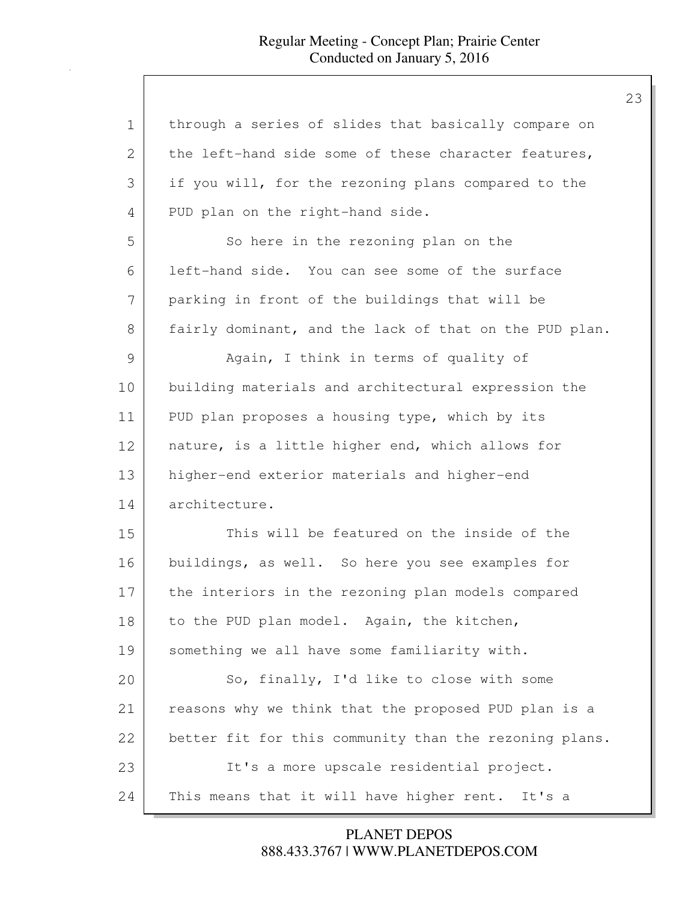| 1  | through a series of slides that basically compare on   |
|----|--------------------------------------------------------|
| 2  | the left-hand side some of these character features,   |
| 3  | if you will, for the rezoning plans compared to the    |
| 4  | PUD plan on the right-hand side.                       |
| 5  | So here in the rezoning plan on the                    |
| 6  | left-hand side. You can see some of the surface        |
| 7  | parking in front of the buildings that will be         |
| 8  | fairly dominant, and the lack of that on the PUD plan. |
| 9  | Again, I think in terms of quality of                  |
| 10 | building materials and architectural expression the    |
| 11 | PUD plan proposes a housing type, which by its         |
| 12 | nature, is a little higher end, which allows for       |
| 13 | higher-end exterior materials and higher-end           |
| 14 | architecture.                                          |
| 15 | This will be featured on the inside of the             |
| 16 | buildings, as well. So here you see examples for       |
| 17 | the interiors in the rezoning plan models compared     |
| 18 | to the PUD plan model. Again, the kitchen,             |
| 19 | something we all have some familiarity with.           |
| 20 | So, finally, I'd like to close with some               |
| 21 | reasons why we think that the proposed PUD plan is a   |
| 22 | better fit for this community than the rezoning plans. |
| 23 | It's a more upscale residential project.               |
| 24 | This means that it will have higher rent. It's a       |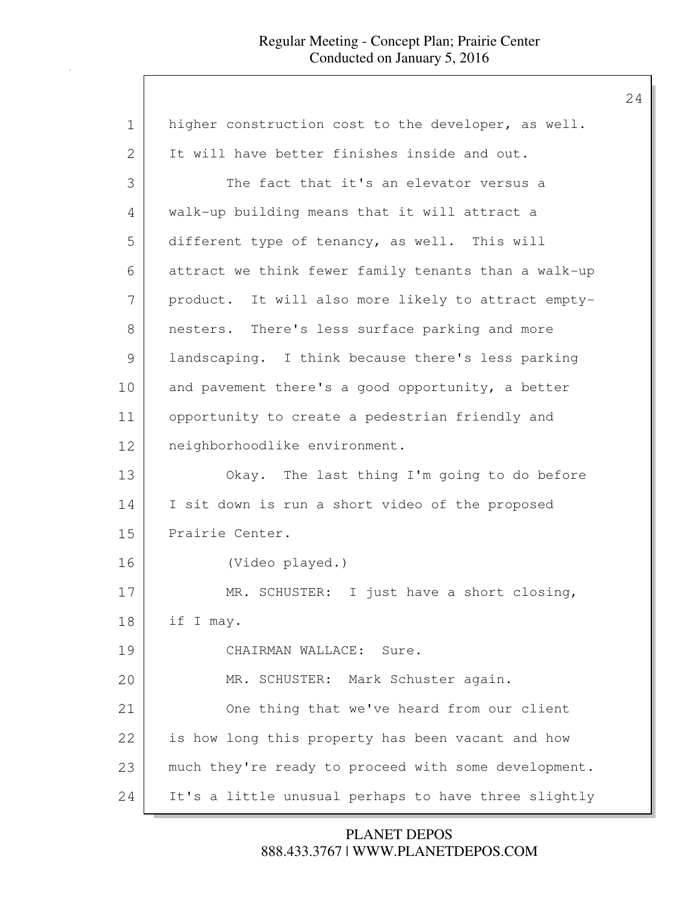| $\mathbf 1$    | higher construction cost to the developer, as well.  |
|----------------|------------------------------------------------------|
| $\overline{2}$ | It will have better finishes inside and out.         |
| 3              | The fact that it's an elevator versus a              |
| 4              | walk-up building means that it will attract a        |
| 5              | different type of tenancy, as well. This will        |
| 6              | attract we think fewer family tenants than a walk-up |
| 7              | product. It will also more likely to attract empty-  |
| 8              | nesters. There's less surface parking and more       |
| $\mathcal{G}$  | landscaping. I think because there's less parking    |
| 10             | and pavement there's a good opportunity, a better    |
| 11             | opportunity to create a pedestrian friendly and      |
| 12             | neighborhoodlike environment.                        |
| 13             | Okay. The last thing I'm going to do before          |
| 14             | I sit down is run a short video of the proposed      |
| 15             | Prairie Center.                                      |
| 16             | (Video played.)                                      |
| 17             | MR. SCHUSTER: I just have a short closing,           |
| 18             | if I may.                                            |
| 19             | CHAIRMAN WALLACE: Sure.                              |
| 20             | MR. SCHUSTER: Mark Schuster again.                   |
| 21             | One thing that we've heard from our client           |
| 22             | is how long this property has been vacant and how    |
| 23             | much they're ready to proceed with some development. |
| 24             | It's a little unusual perhaps to have three slightly |

888.433.3767 | WWW.PLANETDEPOS.COM PLANET DEPOS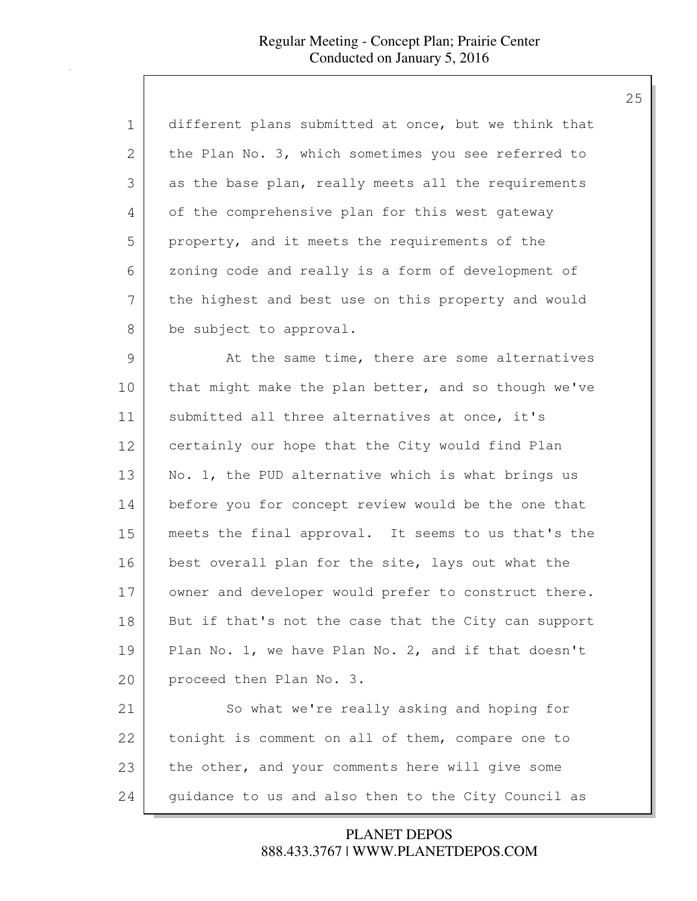| $\mathbf 1$   | different plans submitted at once, but we think that |
|---------------|------------------------------------------------------|
| 2             | the Plan No. 3, which sometimes you see referred to  |
| 3             | as the base plan, really meets all the requirements  |
| 4             | of the comprehensive plan for this west gateway      |
| 5             | property, and it meets the requirements of the       |
| 6             | zoning code and really is a form of development of   |
| 7             | the highest and best use on this property and would  |
| 8             | be subject to approval.                              |
| $\mathcal{G}$ | At the same time, there are some alternatives        |
| 10            | that might make the plan better, and so though we've |
| 11            | submitted all three alternatives at once, it's       |
| 12            | certainly our hope that the City would find Plan     |
| 13            | No. 1, the PUD alternative which is what brings us   |
| 14            | before you for concept review would be the one that  |
| 15            | meets the final approval. It seems to us that's the  |
| 16            | best overall plan for the site, lays out what the    |
| 17            | owner and developer would prefer to construct there. |
| 18            | But if that's not the case that the City can support |
| 19            | Plan No. 1, we have Plan No. 2, and if that doesn't  |
| 20            | proceed then Plan No. 3.                             |
| 21            | So what we're really asking and hoping for           |
| 22            | tonight is comment on all of them, compare one to    |
| 23            | the other, and your comments here will give some     |
| 24            | guidance to us and also then to the City Council as  |

888.433.3767 | WWW.PLANETDEPOS.COM PLANET DEPOS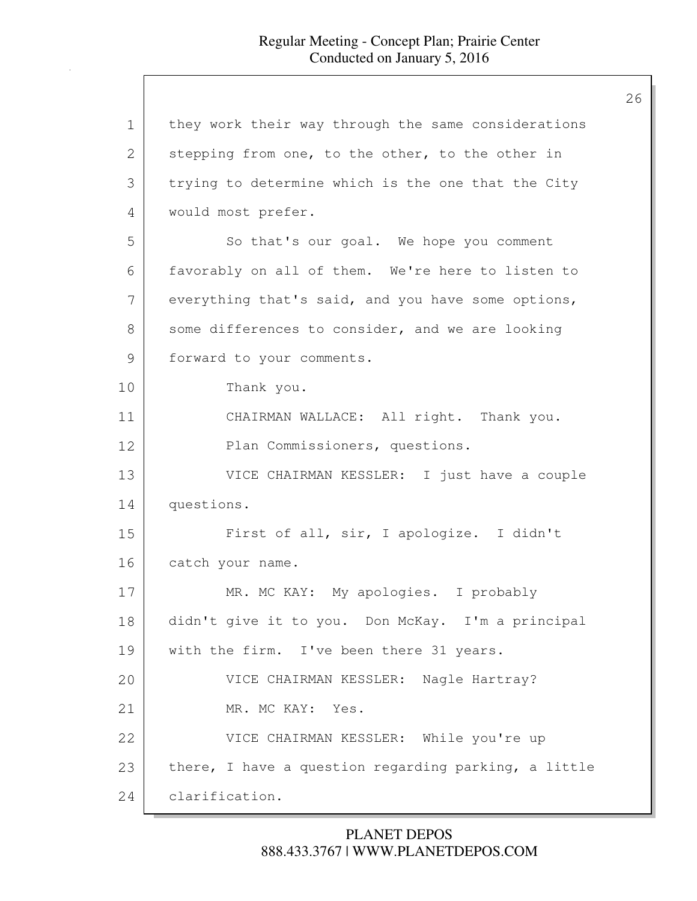| 1             | they work their way through the same considerations  |
|---------------|------------------------------------------------------|
| 2             | stepping from one, to the other, to the other in     |
| 3             | trying to determine which is the one that the City   |
| 4             | would most prefer.                                   |
| 5             | So that's our goal. We hope you comment              |
| 6             | favorably on all of them. We're here to listen to    |
| 7             | everything that's said, and you have some options,   |
| 8             | some differences to consider, and we are looking     |
| $\mathcal{G}$ | forward to your comments.                            |
| 10            | Thank you.                                           |
| 11            | CHAIRMAN WALLACE: All right. Thank you.              |
| 12            | Plan Commissioners, questions.                       |
| 13            | VICE CHAIRMAN KESSLER: I just have a couple          |
| 14            | questions.                                           |
| 15            | First of all, sir, I apologize. I didn't             |
| 16            | catch your name.                                     |
| 17            | MR. MC KAY: My apologies. I probably                 |
| 18            | didn't give it to you. Don McKay. I'm a principal    |
| 19            | with the firm. I've been there 31 years.             |
| 20            | VICE CHAIRMAN KESSLER: Nagle Hartray?                |
| 21            | MR. MC KAY: Yes.                                     |
| 22            | VICE CHAIRMAN KESSLER: While you're up               |
| 23            | there, I have a question regarding parking, a little |
| 24            | clarification.                                       |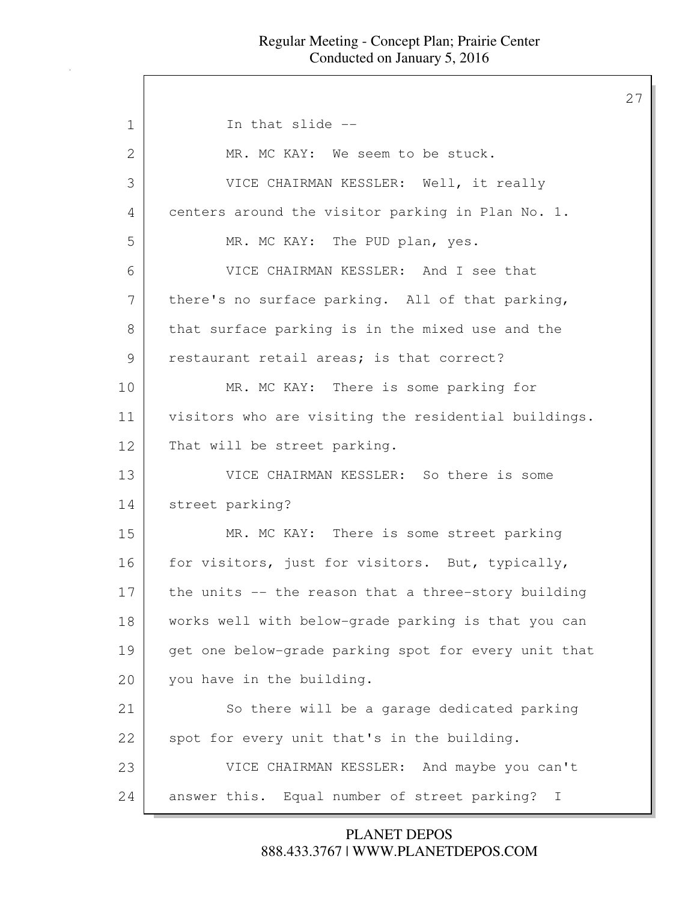27

1 In that slide --2 MR. MC KAY: We seem to be stuck. 3 VICE CHAIRMAN KESSLER: Well, it really 4 centers around the visitor parking in Plan No. 1. 5 MR. MC KAY: The PUD plan, yes. 6 VICE CHAIRMAN KESSLER: And I see that  $7$  there's no surface parking. All of that parking, 8 that surface parking is in the mixed use and the 9 restaurant retail areas; is that correct? 10 MR. MC KAY: There is some parking for 11 visitors who are visiting the residential buildings. 12 That will be street parking. 13 VICE CHAIRMAN KESSLER: So there is some 14 street parking? 15 MR. MC KAY: There is some street parking 16 for visitors, just for visitors. But, typically, 17 the units -- the reason that a three-story building 18 works well with below-grade parking is that you can 19 get one below-grade parking spot for every unit that 20 you have in the building. 21 So there will be a garage dedicated parking 22 spot for every unit that's in the building. 23 VICE CHAIRMAN KESSLER: And maybe you can't 24 answer this. Equal number of street parking? I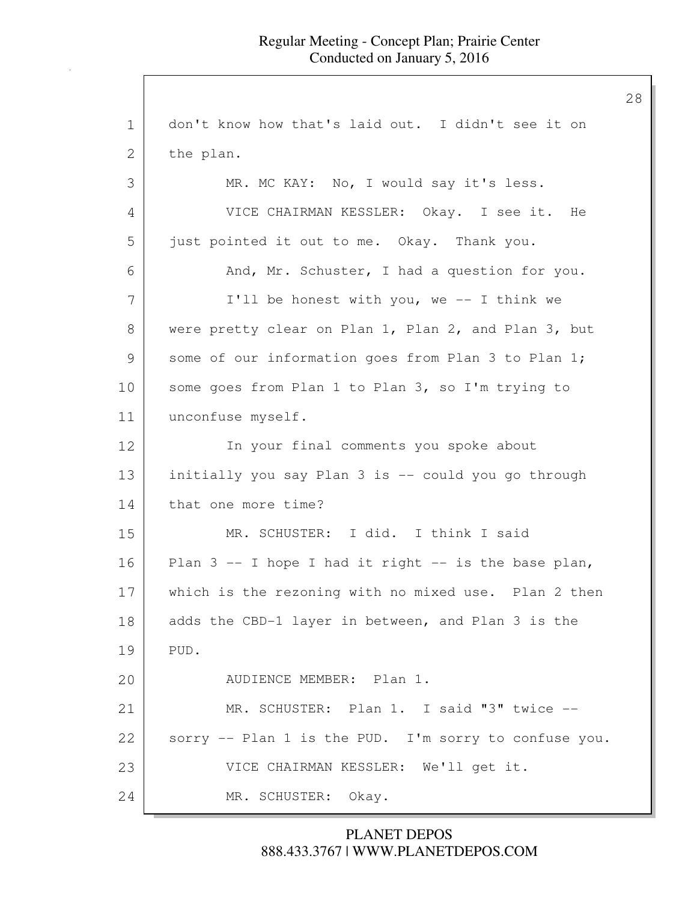28

1 don't know how that's laid out. I didn't see it on 2 the plan. 3 MR. MC KAY: No, I would say it's less. 4 VICE CHAIRMAN KESSLER: Okay. I see it. He 5 just pointed it out to me. Okay. Thank you. 6 And, Mr. Schuster, I had a question for you. 7 | I'll be honest with you, we -- I think we 8 were pretty clear on Plan 1, Plan 2, and Plan 3, but 9 some of our information goes from Plan 3 to Plan 1; 10 some goes from Plan 1 to Plan 3, so I'm trying to 11 unconfuse myself. 12 In your final comments you spoke about 13 initially you say Plan 3 is -- could you go through 14 that one more time? 15 MR. SCHUSTER: I did. I think I said 16 Plan  $3$  -- I hope I had it right -- is the base plan, 17 which is the rezoning with no mixed use. Plan 2 then 18 adds the CBD-1 layer in between, and Plan 3 is the 19 PUD. 20 AUDIENCE MEMBER: Plan 1. 21 MR. SCHUSTER: Plan 1. I said "3" twice -- 22 sorry -- Plan 1 is the PUD. I'm sorry to confuse you. 23 VICE CHAIRMAN KESSLER: We'll get it. 24 MR. SCHUSTER: Okay.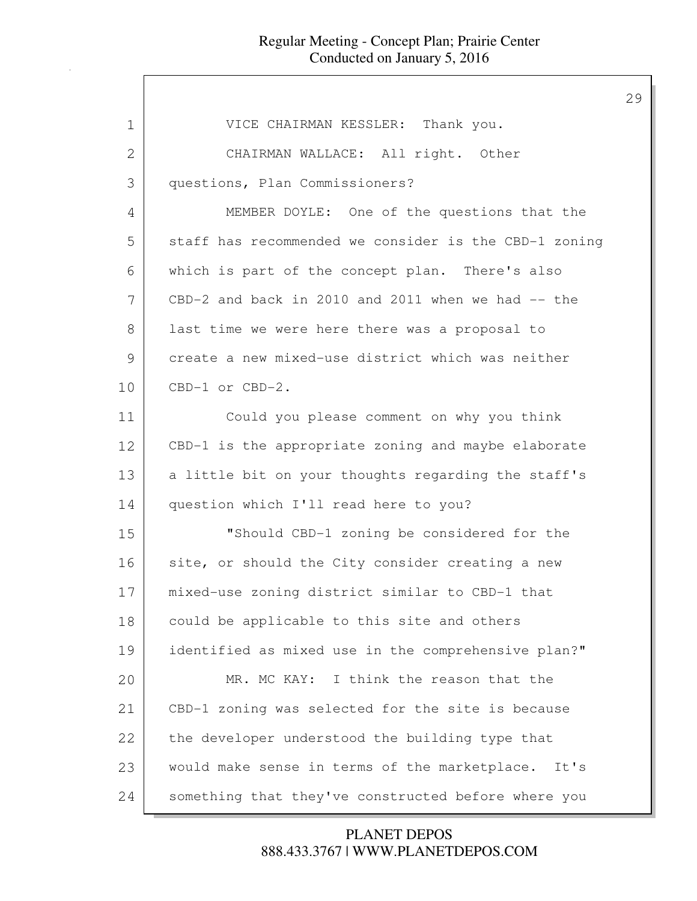| 1  | VICE CHAIRMAN KESSLER: Thank you.                     |
|----|-------------------------------------------------------|
| 2  | CHAIRMAN WALLACE: All right. Other                    |
| 3  | questions, Plan Commissioners?                        |
| 4  | MEMBER DOYLE: One of the questions that the           |
| 5  | staff has recommended we consider is the CBD-1 zoning |
| 6  | which is part of the concept plan. There's also       |
| 7  | $CBD-2$ and back in 2010 and 2011 when we had $-$ the |
| 8  | last time we were here there was a proposal to        |
| 9  | create a new mixed-use district which was neither     |
| 10 | CBD-1 or CBD-2.                                       |
| 11 | Could you please comment on why you think             |
| 12 | CBD-1 is the appropriate zoning and maybe elaborate   |
| 13 | a little bit on your thoughts regarding the staff's   |
| 14 | question which I'll read here to you?                 |
| 15 | "Should CBD-1 zoning be considered for the            |
| 16 | site, or should the City consider creating a new      |
| 17 | mixed-use zoning district similar to CBD-1 that       |
| 18 | could be applicable to this site and others           |
| 19 | identified as mixed use in the comprehensive plan?"   |
| 20 | MR. MC KAY: I think the reason that the               |
| 21 | CBD-1 zoning was selected for the site is because     |
| 22 | the developer understood the building type that       |
| 23 | would make sense in terms of the marketplace.<br>It's |
| 24 | something that they've constructed before where you   |

888.433.3767 | WWW.PLANETDEPOS.COM PLANET DEPOS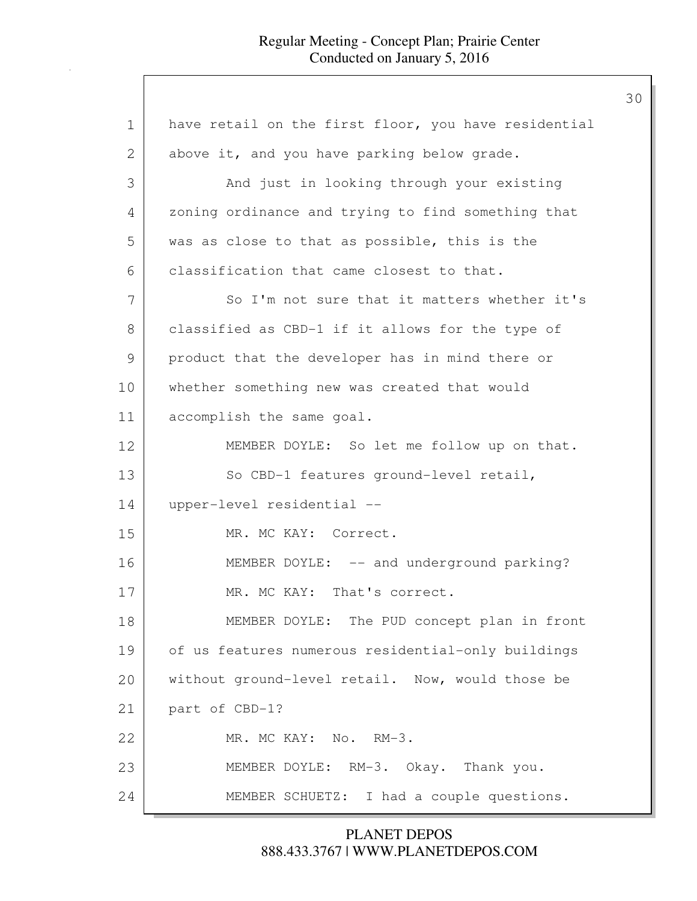| $\mathbf 1$ | have retail on the first floor, you have residential |
|-------------|------------------------------------------------------|
| 2           | above it, and you have parking below grade.          |
| 3           | And just in looking through your existing            |
| 4           | zoning ordinance and trying to find something that   |
| 5           | was as close to that as possible, this is the        |
| 6           | classification that came closest to that.            |
| 7           | So I'm not sure that it matters whether it's         |
| 8           | classified as CBD-1 if it allows for the type of     |
| 9           | product that the developer has in mind there or      |
| 10          | whether something new was created that would         |
| 11          | accomplish the same goal.                            |
| 12          | MEMBER DOYLE: So let me follow up on that.           |
| 13          | So CBD-1 features ground-level retail,               |
| 14          | upper-level residential --                           |
| 15          | MR. MC KAY: Correct.                                 |
| 16          | MEMBER DOYLE: -- and underground parking?            |
| 17          | MR. MC KAY: That's correct.                          |
| 18          | MEMBER DOYLE: The PUD concept plan in front          |
| 19          | of us features numerous residential-only buildings   |
| 20          | without ground-level retail. Now, would those be     |
| 21          | part of CBD-1?                                       |
| 22          | MR. MC KAY: No. RM-3.                                |
| 23          | MEMBER DOYLE: RM-3. Okay. Thank you.                 |
| 24          | MEMBER SCHUETZ: I had a couple questions.            |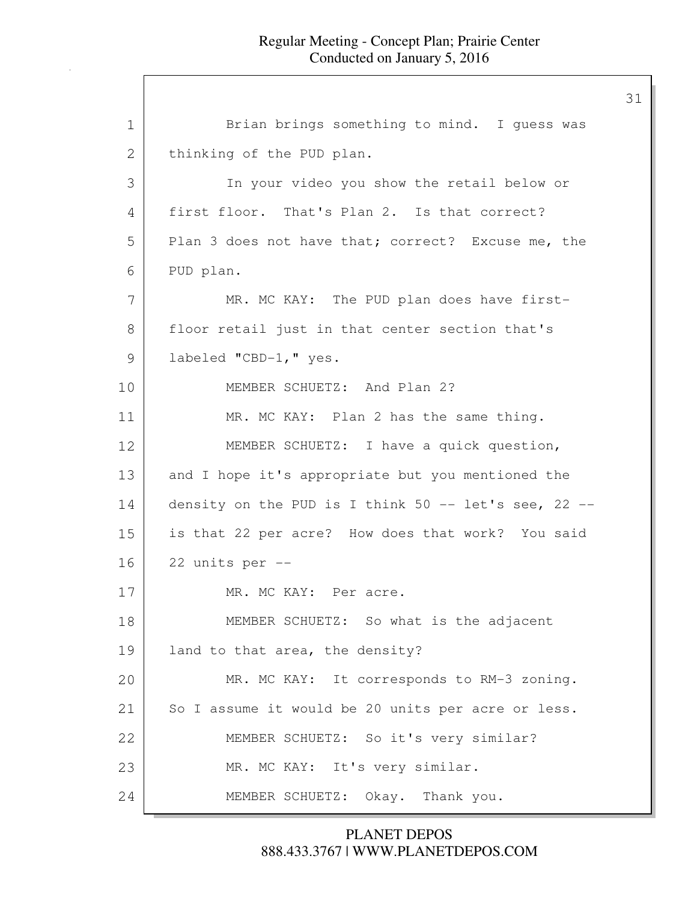31

1 Brian brings something to mind. I guess was 2 | thinking of the PUD plan. 3 In your video you show the retail below or 4 first floor. That's Plan 2. Is that correct? 5 Plan 3 does not have that; correct? Excuse me, the 6 PUD plan. 7 MR. MC KAY: The PUD plan does have first-8 | floor retail just in that center section that's 9 labeled "CBD-1," yes. 10 MEMBER SCHUETZ: And Plan 2? 11 MR. MC KAY: Plan 2 has the same thing. 12 MEMBER SCHUETZ: I have a quick question, 13 and I hope it's appropriate but you mentioned the 14 density on the PUD is I think 50 -- let's see, 22 -- 15 is that 22 per acre? How does that work? You said 16 22 units per -- 17 MR. MC KAY: Per acre. 18 MEMBER SCHUETZ: So what is the adjacent 19 land to that area, the density? 20 MR. MC KAY: It corresponds to RM-3 zoning. 21 So I assume it would be 20 units per acre or less. 22 MEMBER SCHUETZ: So it's very similar? 23 MR. MC KAY: It's very similar. 24 MEMBER SCHUETZ: Okay. Thank you.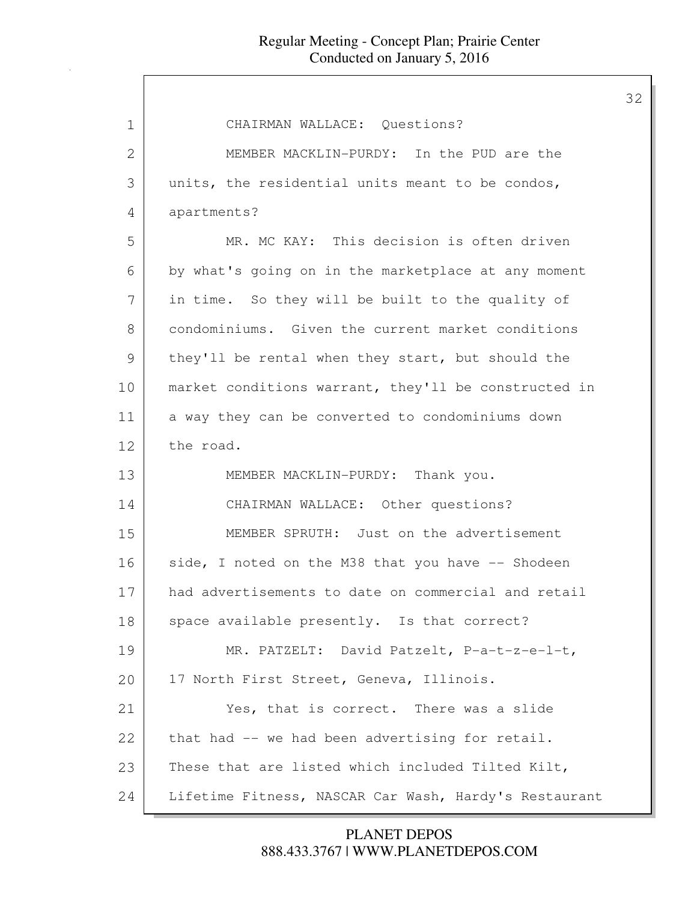| 1             | CHAIRMAN WALLACE: Questions?                          |
|---------------|-------------------------------------------------------|
| 2             | MEMBER MACKLIN-PURDY: In the PUD are the              |
| 3             | units, the residential units meant to be condos,      |
| 4             | apartments?                                           |
| 5             | MR. MC KAY: This decision is often driven             |
| 6             | by what's going on in the marketplace at any moment   |
| 7             | in time. So they will be built to the quality of      |
| 8             | condominiums. Given the current market conditions     |
| $\mathcal{G}$ | they'll be rental when they start, but should the     |
| 10            | market conditions warrant, they'll be constructed in  |
| 11            | a way they can be converted to condominiums down      |
| 12            | the road.                                             |
| 13            | MEMBER MACKLIN-PURDY: Thank you.                      |
| 14            | CHAIRMAN WALLACE: Other questions?                    |
| 15            | MEMBER SPRUTH: Just on the advertisement              |
| 16            | side, I noted on the M38 that you have -- Shodeen     |
| 17            | had advertisements to date on commercial and retail   |
| 18            | space available presently. Is that correct?           |
| 19            | MR. PATZELT: David Patzelt, P-a-t-z-e-l-t,            |
| 20            | 17 North First Street, Geneva, Illinois.              |
| 21            | Yes, that is correct. There was a slide               |
| 22            | that had -- we had been advertising for retail.       |
| 23            | These that are listed which included Tilted Kilt,     |
| 24            | Lifetime Fitness, NASCAR Car Wash, Hardy's Restaurant |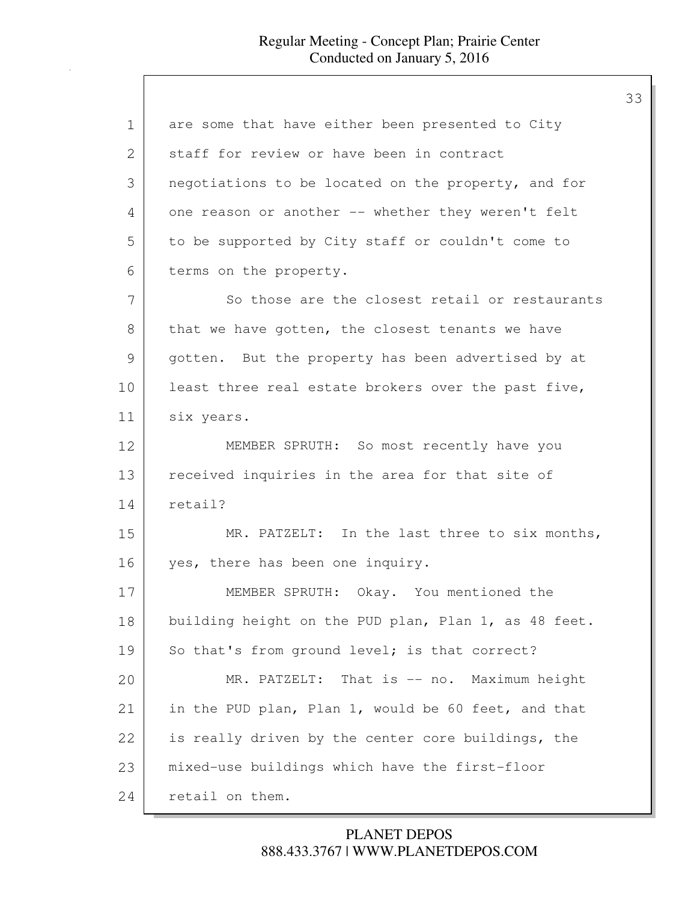| $\mathbf 1$ | are some that have either been presented to City     |
|-------------|------------------------------------------------------|
| 2           | staff for review or have been in contract            |
| 3           | negotiations to be located on the property, and for  |
| 4           | one reason or another -- whether they weren't felt   |
| 5           | to be supported by City staff or couldn't come to    |
| 6           | terms on the property.                               |
| 7           | So those are the closest retail or restaurants       |
| 8           | that we have gotten, the closest tenants we have     |
| 9           | gotten. But the property has been advertised by at   |
| 10          | least three real estate brokers over the past five,  |
| 11          | six years.                                           |
| 12          | MEMBER SPRUTH: So most recently have you             |
| 13          | received inquiries in the area for that site of      |
| 14          | retail?                                              |
| 15          | MR. PATZELT: In the last three to six months,        |
| 16          | yes, there has been one inquiry.                     |
| 17          | MEMBER SPRUTH: Okay. You mentioned the               |
| 18          | building height on the PUD plan, Plan 1, as 48 feet. |
| 19          | So that's from ground level; is that correct?        |
| 20          | MR. PATZELT: That is -- no. Maximum height           |
| 21          | in the PUD plan, Plan 1, would be 60 feet, and that  |
| 22          | is really driven by the center core buildings, the   |
| 23          | mixed-use buildings which have the first-floor       |
| 24          | retail on them.                                      |

# 888.433.3767 | WWW.PLANETDEPOS.COM PLANET DEPOS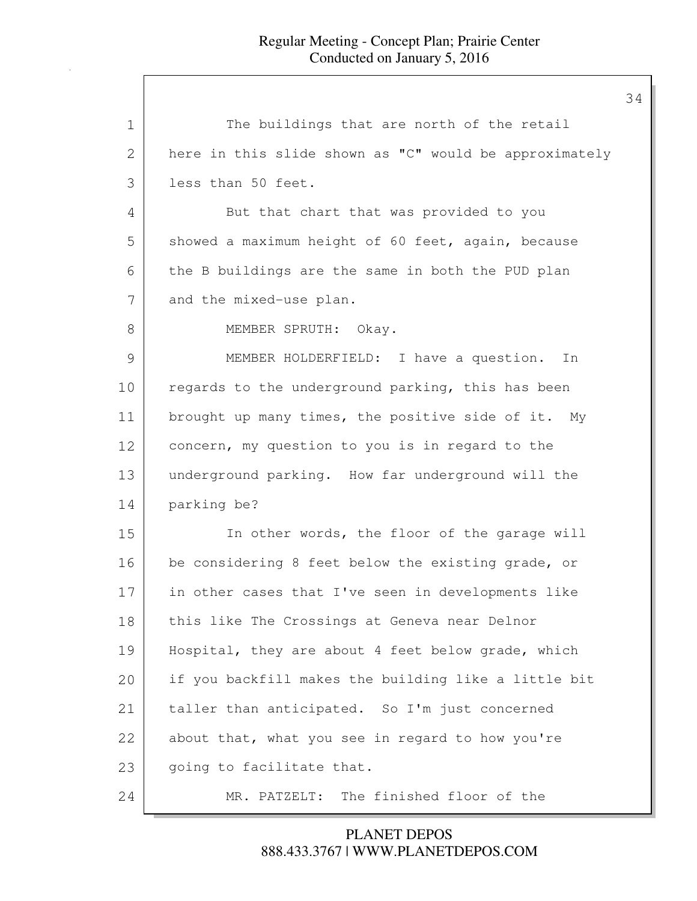| 1  | The buildings that are north of the retail             |
|----|--------------------------------------------------------|
| 2  | here in this slide shown as "C" would be approximately |
| 3  | less than 50 feet.                                     |
| 4  | But that chart that was provided to you                |
| 5  | showed a maximum height of 60 feet, again, because     |
| 6  | the B buildings are the same in both the PUD plan      |
| 7  | and the mixed-use plan.                                |
| 8  | MEMBER SPRUTH: Okay.                                   |
| 9  | MEMBER HOLDERFIELD: I have a question.<br>In           |
| 10 | regards to the underground parking, this has been      |
| 11 | brought up many times, the positive side of it. My     |
| 12 | concern, my question to you is in regard to the        |
| 13 | underground parking. How far underground will the      |
| 14 | parking be?                                            |
| 15 | In other words, the floor of the garage will           |
| 16 | be considering 8 feet below the existing grade, or     |
| 17 | in other cases that I've seen in developments like     |
| 18 | this like The Crossings at Geneva near Delnor          |
| 19 | Hospital, they are about 4 feet below grade, which     |
| 20 | if you backfill makes the building like a little bit   |
| 21 | taller than anticipated. So I'm just concerned         |
| 22 | about that, what you see in regard to how you're       |
| 23 | going to facilitate that.                              |
| 24 | MR. PATZELT: The finished floor of the                 |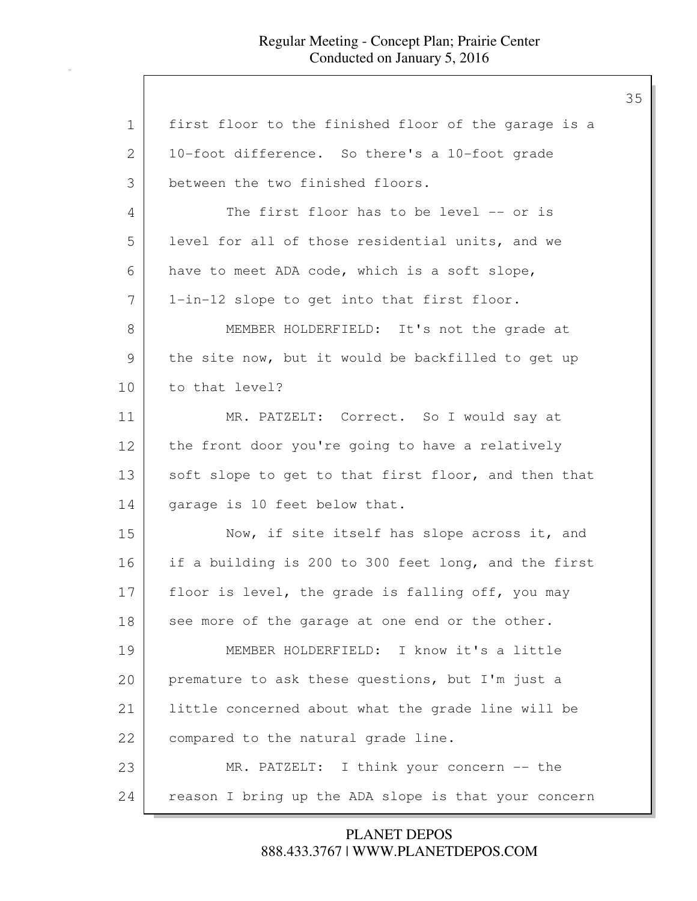| 1  | first floor to the finished floor of the garage is a |
|----|------------------------------------------------------|
| 2  | 10-foot difference. So there's a 10-foot grade       |
| 3  | between the two finished floors.                     |
| 4  | The first floor has to be level -- or is             |
| 5  | level for all of those residential units, and we     |
| 6  | have to meet ADA code, which is a soft slope,        |
| 7  | 1-in-12 slope to get into that first floor.          |
| 8  | MEMBER HOLDERFIELD: It's not the grade at            |
| 9  | the site now, but it would be backfilled to get up   |
| 10 | to that level?                                       |
| 11 | MR. PATZELT: Correct. So I would say at              |
| 12 | the front door you're going to have a relatively     |
| 13 | soft slope to get to that first floor, and then that |
| 14 | garage is 10 feet below that.                        |
| 15 | Now, if site itself has slope across it, and         |
| 16 | if a building is 200 to 300 feet long, and the first |
| 17 | floor is level, the grade is falling off, you may    |
| 18 | see more of the garage at one end or the other.      |
| 19 | MEMBER HOLDERFIELD: I know it's a little             |
| 20 | premature to ask these questions, but I'm just a     |
| 21 | little concerned about what the grade line will be   |
| 22 | compared to the natural grade line.                  |
| 23 | MR. PATZELT: I think your concern -- the             |
| 24 | reason I bring up the ADA slope is that your concern |

# 888.433.3767 | WWW.PLANETDEPOS.COM PLANET DEPOS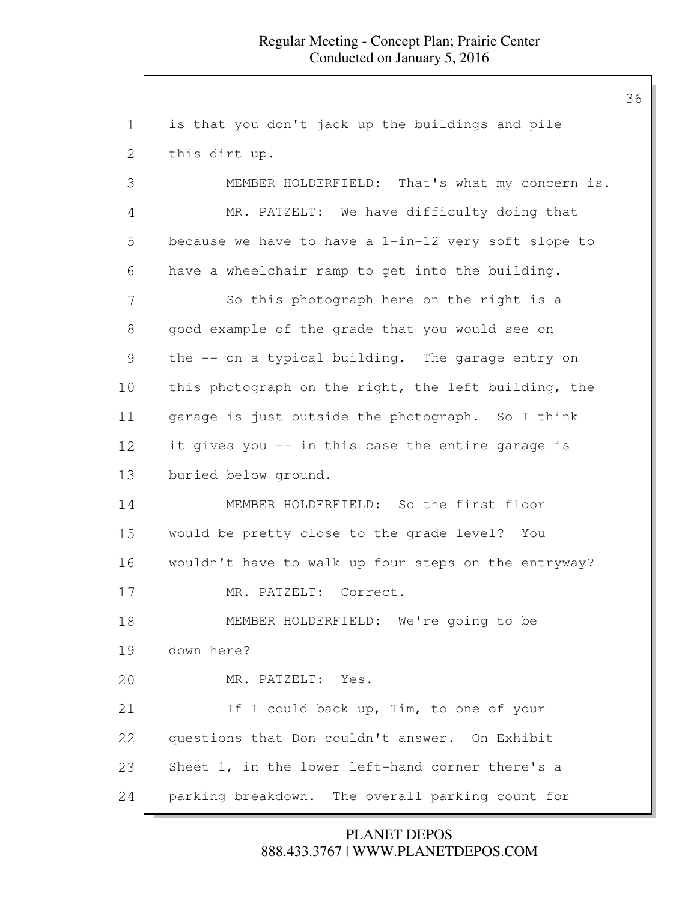1 is that you don't jack up the buildings and pile 2 this dirt up. 3 MEMBER HOLDERFIELD: That's what my concern is. 4 MR. PATZELT: We have difficulty doing that 5 because we have to have a 1-in-12 very soft slope to 6 have a wheelchair ramp to get into the building. 7 So this photograph here on the right is a 8 | good example of the grade that you would see on 9 the -- on a typical building. The garage entry on 10 this photograph on the right, the left building, the 11 | garage is just outside the photograph. So I think 12 it gives you -- in this case the entire garage is 13 buried below ground. 14 MEMBER HOLDERFIELD: So the first floor 15 would be pretty close to the grade level? You 16 wouldn't have to walk up four steps on the entryway? 17 MR. PATZELT: Correct. 18 MEMBER HOLDERFIELD: We're going to be 19 down here? 20 MR. PATZELT: Yes. 21 If I could back up, Tim, to one of your 22 questions that Don couldn't answer. On Exhibit 23 Sheet 1, in the lower left-hand corner there's a 24 parking breakdown. The overall parking count for

> 888.433.3767 | WWW.PLANETDEPOS.COM PLANET DEPOS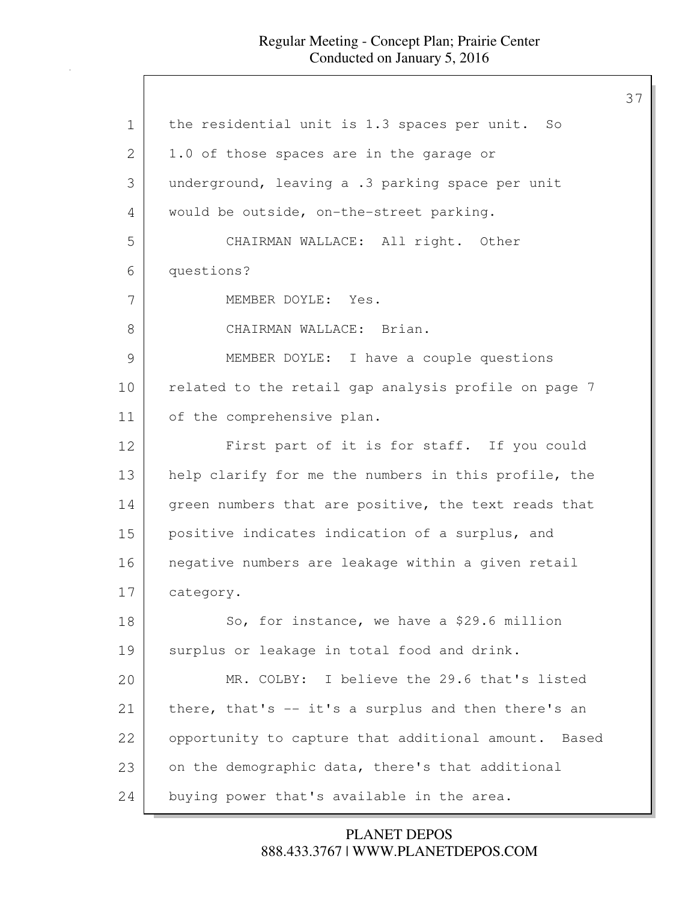37

1 | the residential unit is 1.3 spaces per unit. So 2 | 1.0 of those spaces are in the garage or 3 underground, leaving a .3 parking space per unit 4 would be outside, on-the-street parking. 5 CHAIRMAN WALLACE: All right. Other 6 questions? 7 MEMBER DOYLE: Yes. 8 CHAIRMAN WALLACE: Brian. 9 MEMBER DOYLE: I have a couple questions 10 | related to the retail gap analysis profile on page 7 11 of the comprehensive plan. 12 First part of it is for staff. If you could 13 help clarify for me the numbers in this profile, the 14 green numbers that are positive, the text reads that 15 positive indicates indication of a surplus, and 16 negative numbers are leakage within a given retail 17 category. 18 So, for instance, we have a \$29.6 million 19 | surplus or leakage in total food and drink. 20 MR. COLBY: I believe the 29.6 that's listed 21 | there, that's -- it's a surplus and then there's an 22 opportunity to capture that additional amount. Based 23 on the demographic data, there's that additional 24 buying power that's available in the area.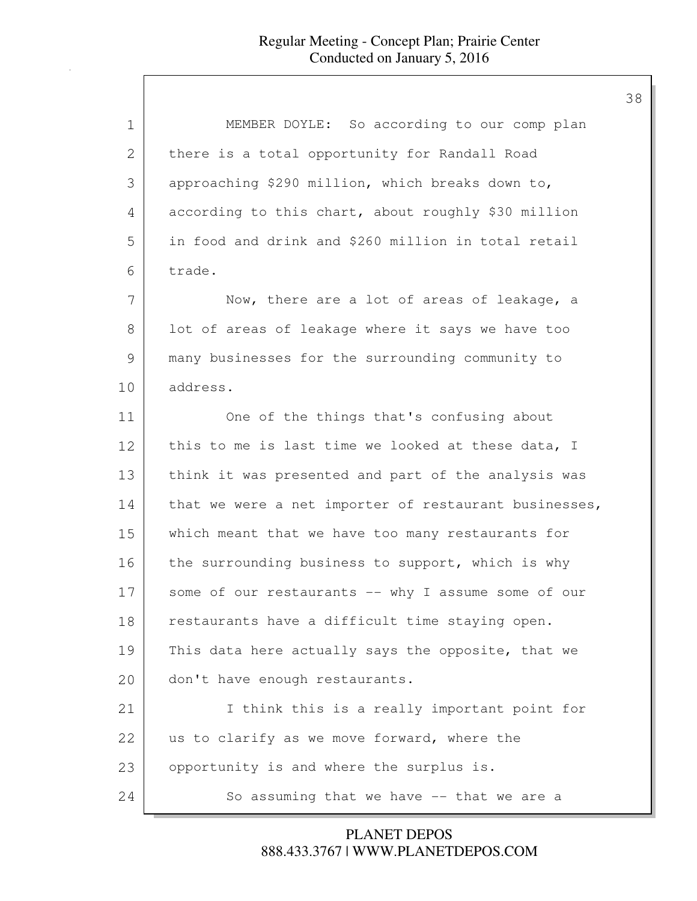| 1  | MEMBER DOYLE: So according to our comp plan           |
|----|-------------------------------------------------------|
| 2  | there is a total opportunity for Randall Road         |
| 3  | approaching \$290 million, which breaks down to,      |
| 4  | according to this chart, about roughly \$30 million   |
| 5  | in food and drink and \$260 million in total retail   |
| 6  | trade.                                                |
| 7  | Now, there are a lot of areas of leakage, a           |
| 8  | lot of areas of leakage where it says we have too     |
| 9  | many businesses for the surrounding community to      |
| 10 | address.                                              |
| 11 | One of the things that's confusing about              |
| 12 | this to me is last time we looked at these data, I    |
| 13 | think it was presented and part of the analysis was   |
| 14 | that we were a net importer of restaurant businesses, |
| 15 | which meant that we have too many restaurants for     |
| 16 | the surrounding business to support, which is why     |
| 17 | some of our restaurants -- why I assume some of our   |
| 18 | restaurants have a difficult time staying open.       |
| 19 | This data here actually says the opposite, that we    |
| 20 | don't have enough restaurants.                        |
| 21 | I think this is a really important point for          |
| 22 | us to clarify as we move forward, where the           |
| 23 | opportunity is and where the surplus is.              |
| 24 | So assuming that we have $--$ that we are a           |

888.433.3767 | WWW.PLANETDEPOS.COM PLANET DEPOS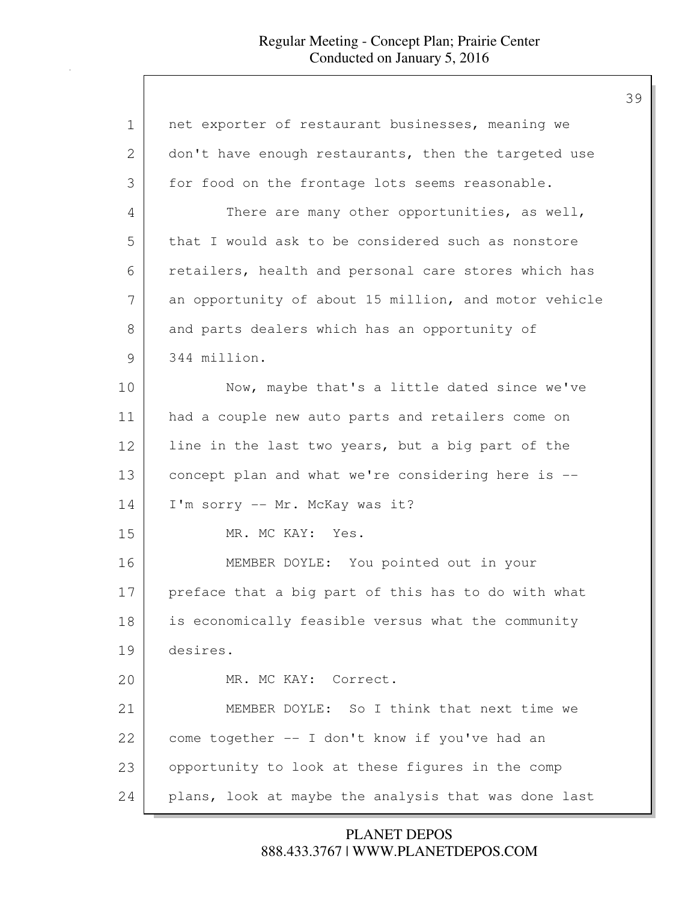| 1             | net exporter of restaurant businesses, meaning we     |
|---------------|-------------------------------------------------------|
| 2             | don't have enough restaurants, then the targeted use  |
| 3             | for food on the frontage lots seems reasonable.       |
| 4             | There are many other opportunities, as well,          |
| 5             | that I would ask to be considered such as nonstore    |
| 6             | retailers, health and personal care stores which has  |
| 7             | an opportunity of about 15 million, and motor vehicle |
| 8             | and parts dealers which has an opportunity of         |
| $\mathcal{G}$ | 344 million.                                          |
| 10            | Now, maybe that's a little dated since we've          |
| 11            | had a couple new auto parts and retailers come on     |
| 12            | line in the last two years, but a big part of the     |
| 13            | concept plan and what we're considering here is --    |
| 14            | I'm sorry -- Mr. McKay was it?                        |
| 15            | MR. MC KAY: Yes.                                      |
| 16            | MEMBER DOYLE: You pointed out in your                 |
| 17            | preface that a big part of this has to do with what   |
| 18            | is economically feasible versus what the community    |
| 19            | desires.                                              |
| 20            | MR. MC KAY: Correct.                                  |
| 21            | MEMBER DOYLE: So I think that next time we            |
| 22            | come together -- I don't know if you've had an        |
| 23            | opportunity to look at these figures in the comp      |
| 24            | plans, look at maybe the analysis that was done last  |

888.433.3767 | WWW.PLANETDEPOS.COM PLANET DEPOS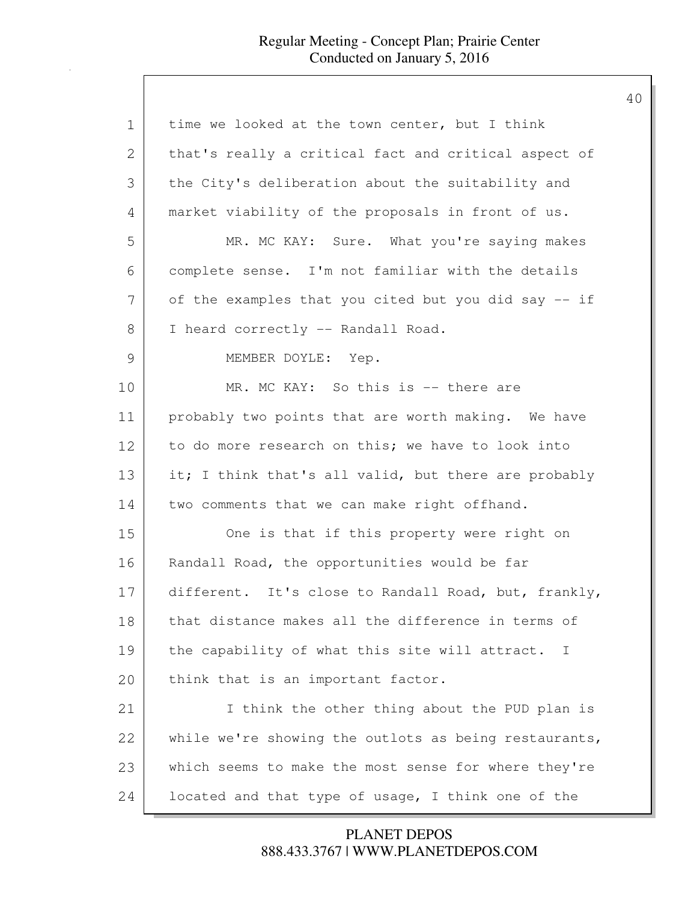| 1             | time we looked at the town center, but I think        |
|---------------|-------------------------------------------------------|
| 2             | that's really a critical fact and critical aspect of  |
| 3             | the City's deliberation about the suitability and     |
| 4             | market viability of the proposals in front of us.     |
| 5             | MR. MC KAY: Sure. What you're saying makes            |
| 6             | complete sense. I'm not familiar with the details     |
| 7             | of the examples that you cited but you did say -- if  |
| 8             | I heard correctly -- Randall Road.                    |
| $\mathcal{G}$ | MEMBER DOYLE: Yep.                                    |
| 10            | MR. MC KAY: So this is -- there are                   |
| 11            | probably two points that are worth making. We have    |
| 12            | to do more research on this; we have to look into     |
| 13            | it; I think that's all valid, but there are probably  |
| 14            | two comments that we can make right offhand.          |
| 15            | One is that if this property were right on            |
| 16            | Randall Road, the opportunities would be far          |
| 17            | different. It's close to Randall Road, but, frankly,  |
| 18            | that distance makes all the difference in terms of    |
| 19            | the capability of what this site will attract. I      |
| 20            | think that is an important factor.                    |
| 21            | I think the other thing about the PUD plan is         |
| 22            | while we're showing the outlots as being restaurants, |
| 23            | which seems to make the most sense for where they're  |
| 24            | located and that type of usage, I think one of the    |

888.433.3767 | WWW.PLANETDEPOS.COM PLANET DEPOS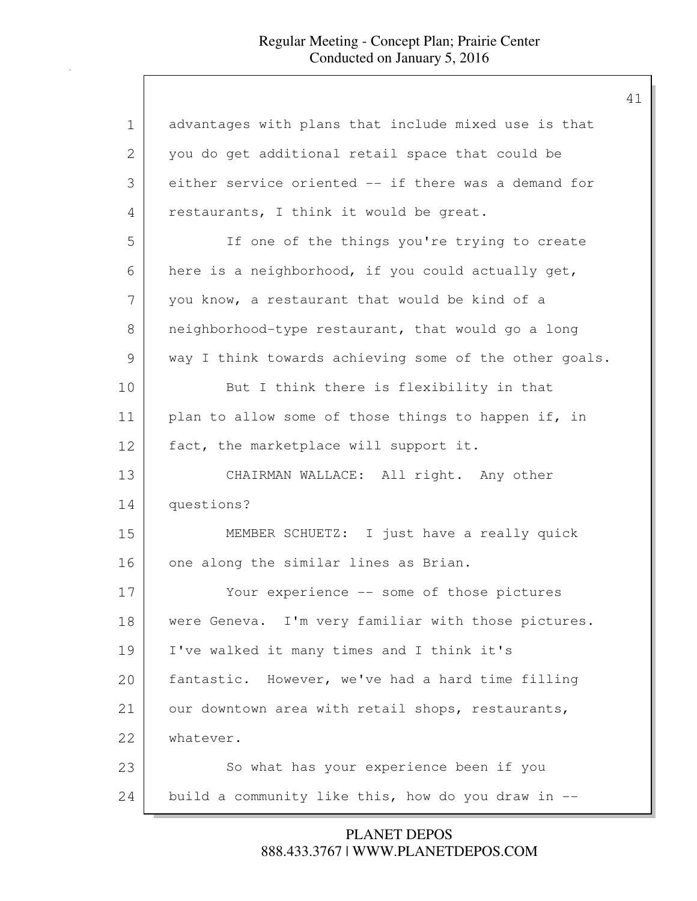| advantages with plans that include mixed use is that   |
|--------------------------------------------------------|
| you do get additional retail space that could be       |
| either service oriented -- if there was a demand for   |
| restaurants, I think it would be great.                |
| If one of the things you're trying to create           |
| here is a neighborhood, if you could actually get,     |
| you know, a restaurant that would be kind of a         |
| neighborhood-type restaurant, that would go a long     |
| way I think towards achieving some of the other goals. |
| But I think there is flexibility in that               |
| plan to allow some of those things to happen if, in    |
| fact, the marketplace will support it.                 |
| CHAIRMAN WALLACE: All right. Any other                 |
| questions?                                             |
| MEMBER SCHUETZ: I just have a really quick             |
| one along the similar lines as Brian.                  |
| Your experience -- some of those pictures              |
| were Geneva. I'm very familiar with those pictures.    |
| I've walked it many times and I think it's             |
| fantastic. However, we've had a hard time filling      |
| our downtown area with retail shops, restaurants,      |
| whatever.                                              |
| So what has your experience been if you                |
| build a community like this, how do you draw in --     |
|                                                        |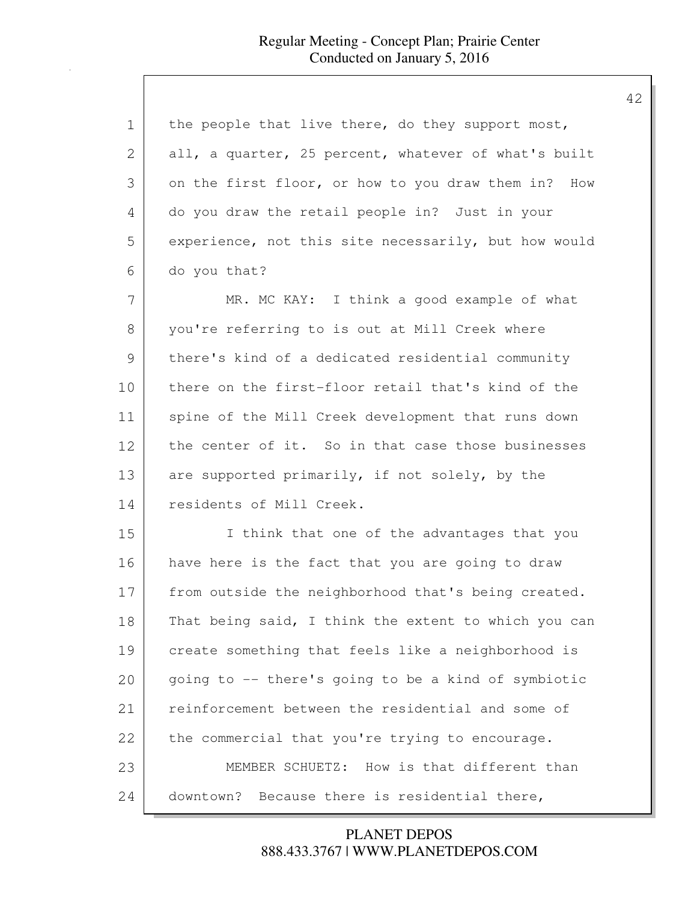| 1  | the people that live there, do they support most,    |
|----|------------------------------------------------------|
| 2  | all, a quarter, 25 percent, whatever of what's built |
| 3  | on the first floor, or how to you draw them in? How  |
| 4  | do you draw the retail people in? Just in your       |
| 5  | experience, not this site necessarily, but how would |
| 6  | do you that?                                         |
| 7  | MR. MC KAY: I think a good example of what           |
| 8  | you're referring to is out at Mill Creek where       |
| 9  | there's kind of a dedicated residential community    |
| 10 | there on the first-floor retail that's kind of the   |
| 11 | spine of the Mill Creek development that runs down   |
| 12 | the center of it. So in that case those businesses   |
| 13 | are supported primarily, if not solely, by the       |
| 14 | residents of Mill Creek.                             |
| 15 | I think that one of the advantages that you          |
| 16 | have here is the fact that you are going to draw     |
| 17 | from outside the neighborhood that's being created.  |
| 18 | That being said, I think the extent to which you can |
| 19 | create something that feels like a neighborhood is   |
| 20 | going to -- there's going to be a kind of symbiotic  |
| 21 | reinforcement between the residential and some of    |
| 22 | the commercial that you're trying to encourage.      |
| 23 | MEMBER SCHUETZ: How is that different than           |
| 24 | downtown? Because there is residential there,        |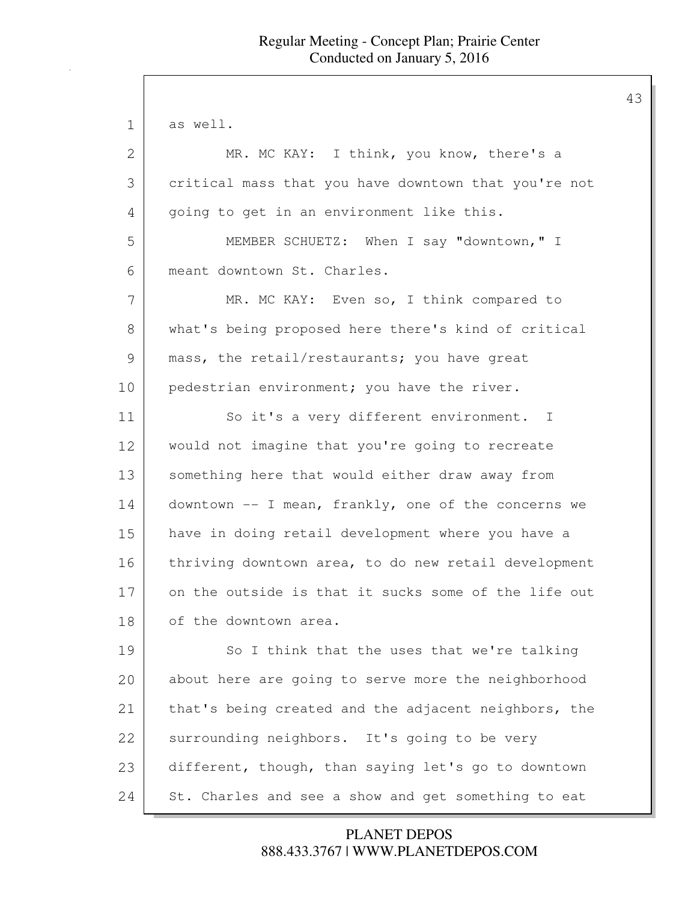| $\mathbf 1$ | as well.                                             |
|-------------|------------------------------------------------------|
| 2           | MR. MC KAY: I think, you know, there's a             |
| 3           | critical mass that you have downtown that you're not |
| 4           | going to get in an environment like this.            |
| 5           | MEMBER SCHUETZ: When I say "downtown," I             |
| 6           | meant downtown St. Charles.                          |
| 7           | MR. MC KAY: Even so, I think compared to             |
| 8           | what's being proposed here there's kind of critical  |
| 9           | mass, the retail/restaurants; you have great         |
| 10          | pedestrian environment; you have the river.          |
| 11          | So it's a very different environment. I              |
| 12          | would not imagine that you're going to recreate      |
| 13          | something here that would either draw away from      |
| 14          | downtown -- I mean, frankly, one of the concerns we  |
| 15          | have in doing retail development where you have a    |
| 16          | thriving downtown area, to do new retail development |
| 17          | on the outside is that it sucks some of the life out |
| 18          | of the downtown area.                                |
| 19          | So I think that the uses that we're talking          |
| 20          | about here are going to serve more the neighborhood  |
| 21          | that's being created and the adjacent neighbors, the |
| 22          | surrounding neighbors. It's going to be very         |
| 23          | different, though, than saying let's go to downtown  |
| 24          | St. Charles and see a show and get something to eat  |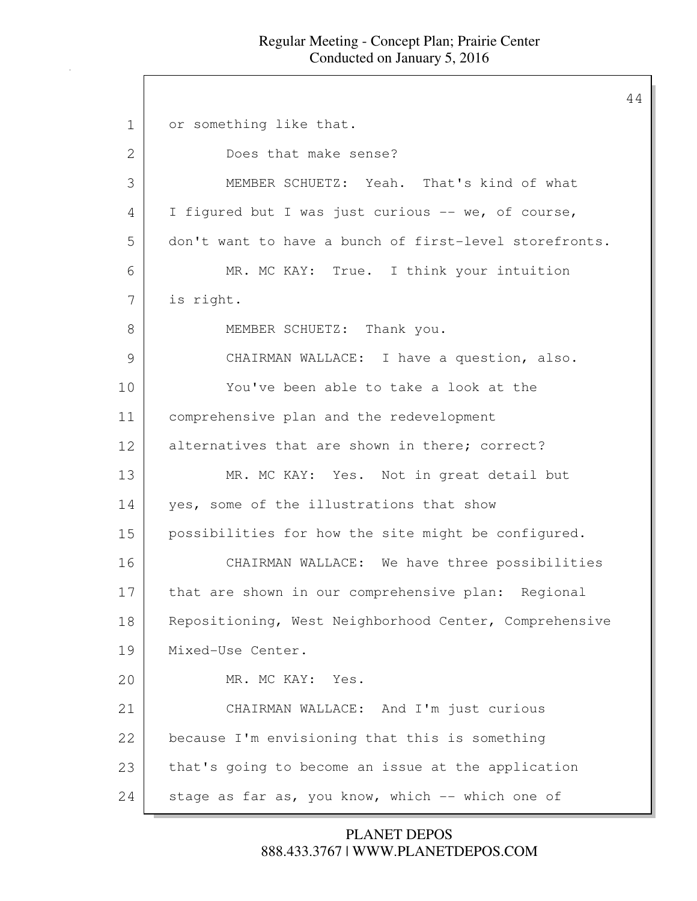44

1 or something like that. 2 Does that make sense? 3 MEMBER SCHUETZ: Yeah. That's kind of what  $4$  I figured but I was just curious  $-$  we, of course, 5 don't want to have a bunch of first-level storefronts. 6 MR. MC KAY: True. I think your intuition 7 is right. 8 MEMBER SCHUETZ: Thank you. 9 CHAIRMAN WALLACE: I have a question, also. 10 You've been able to take a look at the 11 comprehensive plan and the redevelopment 12 alternatives that are shown in there; correct? 13 MR. MC KAY: Yes. Not in great detail but 14 yes, some of the illustrations that show 15 possibilities for how the site might be configured. 16 CHAIRMAN WALLACE: We have three possibilities 17 that are shown in our comprehensive plan: Regional 18 | Repositioning, West Neighborhood Center, Comprehensive 19 Mixed-Use Center. 20 MR. MC KAY: Yes. 21 CHAIRMAN WALLACE: And I'm just curious 22 because I'm envisioning that this is something 23 | that's going to become an issue at the application 24 stage as far as, you know, which -- which one of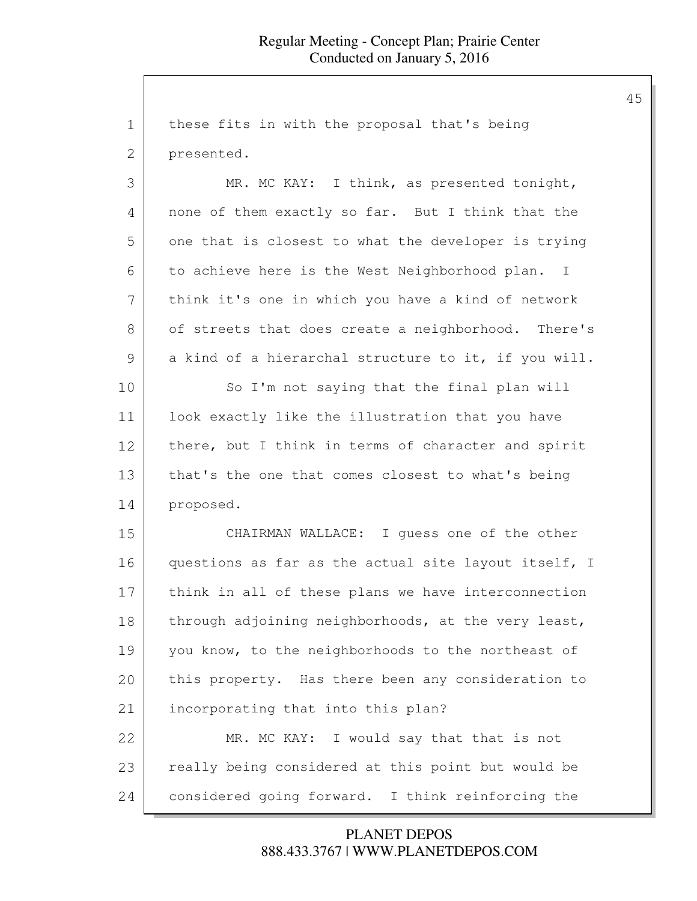1 these fits in with the proposal that's being 2 presented. 3 MR. MC KAY: I think, as presented tonight, 4 none of them exactly so far. But I think that the 5 one that is closest to what the developer is trying 6 to achieve here is the West Neighborhood plan. I 7 think it's one in which you have a kind of network 8 of streets that does create a neighborhood. There's 9 a kind of a hierarchal structure to it, if you will. 10 So I'm not saying that the final plan will 11 look exactly like the illustration that you have 12 there, but I think in terms of character and spirit 13 that's the one that comes closest to what's being 14 proposed. 15 CHAIRMAN WALLACE: I guess one of the other 16 | questions as far as the actual site layout itself, I 17 think in all of these plans we have interconnection 18 through adjoining neighborhoods, at the very least, 19 you know, to the neighborhoods to the northeast of 20 this property. Has there been any consideration to 21 incorporating that into this plan? 22 MR. MC KAY: I would say that that is not 23 really being considered at this point but would be 24 considered going forward. I think reinforcing the

#### 888.433.3767 | WWW.PLANETDEPOS.COM PLANET DEPOS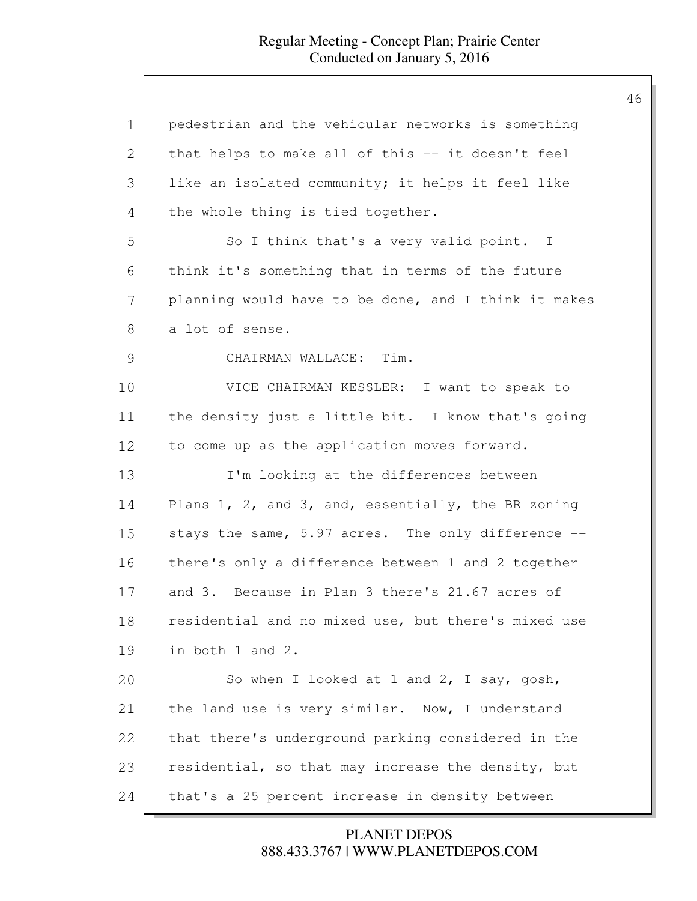| $\mathbf 1$ | pedestrian and the vehicular networks is something   |
|-------------|------------------------------------------------------|
| 2           | that helps to make all of this -- it doesn't feel    |
| 3           | like an isolated community; it helps it feel like    |
| 4           | the whole thing is tied together.                    |
| 5           | So I think that's a very valid point. I              |
| 6           | think it's something that in terms of the future     |
| 7           | planning would have to be done, and I think it makes |
| 8           | a lot of sense.                                      |
| 9           | CHAIRMAN WALLACE: Tim.                               |
| 10          | VICE CHAIRMAN KESSLER: I want to speak to            |
| 11          | the density just a little bit. I know that's going   |
| 12          | to come up as the application moves forward.         |
| 13          | I'm looking at the differences between               |
| 14          | Plans 1, 2, and 3, and, essentially, the BR zoning   |
| 15          | stays the same, 5.97 acres. The only difference --   |
| 16          | there's only a difference between 1 and 2 together   |
| 17          | and 3. Because in Plan 3 there's 21.67 acres of      |
| 18          | residential and no mixed use, but there's mixed use  |
| 19          | in both 1 and 2.                                     |
| 20          | So when I looked at 1 and 2, I say, gosh,            |
| 21          | the land use is very similar. Now, I understand      |
| 22          | that there's underground parking considered in the   |
| 23          | residential, so that may increase the density, but   |
| 24          | that's a 25 percent increase in density between      |

888.433.3767 | WWW.PLANETDEPOS.COM PLANET DEPOS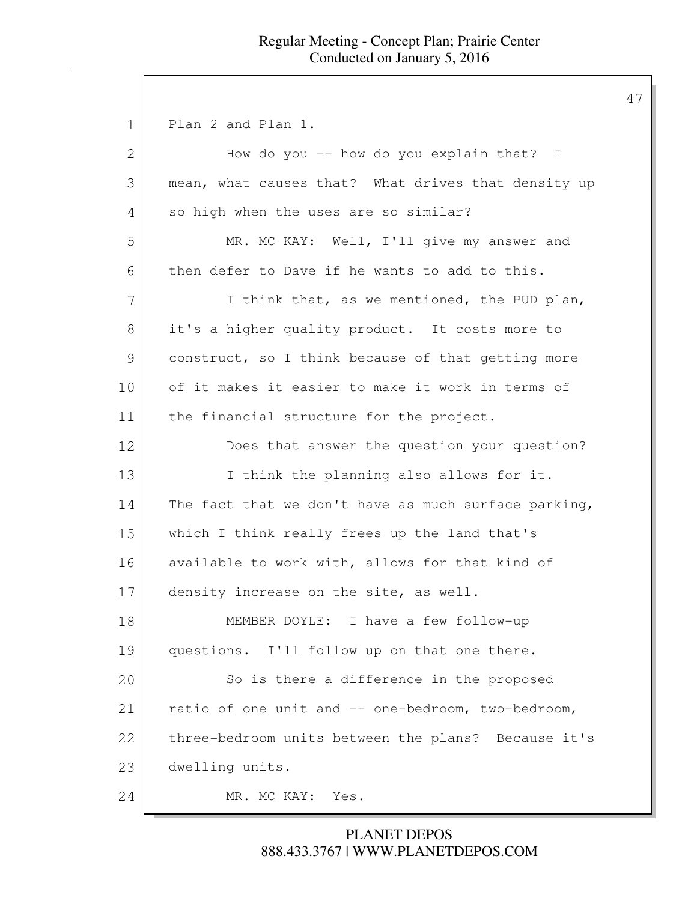1 Plan 2 and Plan 1. 2 How do you -- how do you explain that? I 3 mean, what causes that? What drives that density up 4 so high when the uses are so similar? 5 MR. MC KAY: Well, I'll give my answer and  $6$  then defer to Dave if he wants to add to this. 7 I think that, as we mentioned, the PUD plan, 8 it's a higher quality product. It costs more to 9 construct, so I think because of that getting more 10 of it makes it easier to make it work in terms of 11 | the financial structure for the project. 12 Does that answer the question your question? 13 I think the planning also allows for it. 14 | The fact that we don't have as much surface parking, 15 which I think really frees up the land that's 16 available to work with, allows for that kind of 17 density increase on the site, as well. 18 MEMBER DOYLE: I have a few follow-up 19 questions. I'll follow up on that one there. 20 So is there a difference in the proposed 21 ratio of one unit and -- one-bedroom, two-bedroom, 22 three-bedroom units between the plans? Because it's 23 dwelling units. 24 MR. MC KAY: Yes.

## 888.433.3767 | WWW.PLANETDEPOS.COM PLANET DEPOS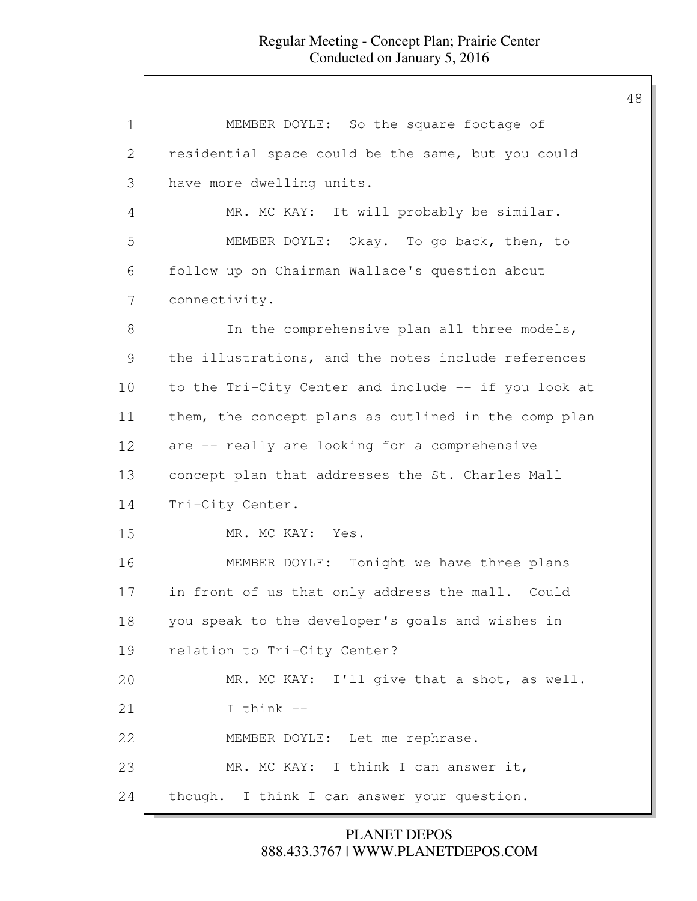| 1             | MEMBER DOYLE: So the square footage of               |
|---------------|------------------------------------------------------|
| $\mathbf{2}$  | residential space could be the same, but you could   |
| 3             | have more dwelling units.                            |
| 4             | MR. MC KAY: It will probably be similar.             |
| 5             | MEMBER DOYLE: Okay. To go back, then, to             |
| 6             | follow up on Chairman Wallace's question about       |
| 7             | connectivity.                                        |
| 8             | In the comprehensive plan all three models,          |
| $\mathcal{G}$ | the illustrations, and the notes include references  |
| 10            | to the Tri-City Center and include -- if you look at |
| 11            | them, the concept plans as outlined in the comp plan |
| 12            | are -- really are looking for a comprehensive        |
| 13            | concept plan that addresses the St. Charles Mall     |
| 14            | Tri-City Center.                                     |
| 15            | MR. MC KAY: Yes.                                     |
| 16            | MEMBER DOYLE: Tonight we have three plans            |
| 17            | in front of us that only address the mall. Could     |
| 18            | you speak to the developer's goals and wishes in     |
| 19            | relation to Tri-City Center?                         |
| 20            | MR. MC KAY: I'll give that a shot, as well.          |
| 21            | I think $--$                                         |
| 22            | MEMBER DOYLE: Let me rephrase.                       |
| 23            | MR. MC KAY: I think I can answer it,                 |
| 24            | though. I think I can answer your question.          |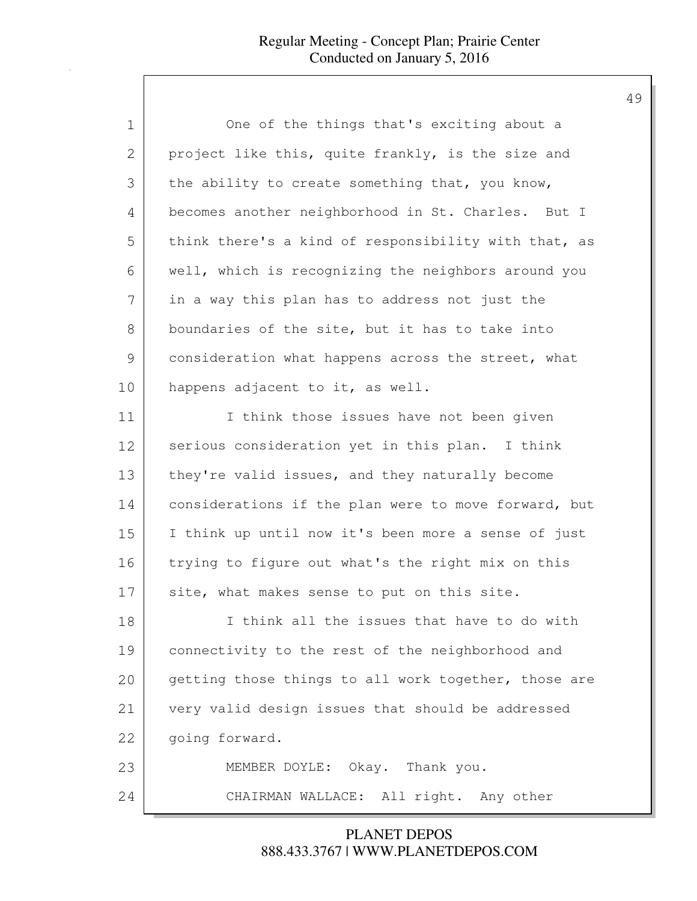| 1             | One of the things that's exciting about a            |
|---------------|------------------------------------------------------|
| $\mathbf{2}$  | project like this, quite frankly, is the size and    |
| 3             | the ability to create something that, you know,      |
| 4             | becomes another neighborhood in St. Charles. But I   |
| 5             | think there's a kind of responsibility with that, as |
| 6             | well, which is recognizing the neighbors around you  |
| 7             | in a way this plan has to address not just the       |
| 8             | boundaries of the site, but it has to take into      |
| $\mathcal{G}$ | consideration what happens across the street, what   |
| 10            | happens adjacent to it, as well.                     |
| 11            | I think those issues have not been given             |
| 12            | serious consideration yet in this plan. I think      |
| 13            | they're valid issues, and they naturally become      |
| 14            | considerations if the plan were to move forward, but |
| 15            | I think up until now it's been more a sense of just  |
| 16            | trying to figure out what's the right mix on this    |
| 17            | site, what makes sense to put on this site.          |
| 18            | I think all the issues that have to do with          |
| 19            | connectivity to the rest of the neighborhood and     |
| 20            | getting those things to all work together, those are |
| 21            | very valid design issues that should be addressed    |
| 22            | going forward.                                       |
| 23            | MEMBER DOYLE: Okay. Thank you.                       |
| 24            | CHAIRMAN WALLACE: All right. Any other               |

888.433.3767 | WWW.PLANETDEPOS.COM PLANET DEPOS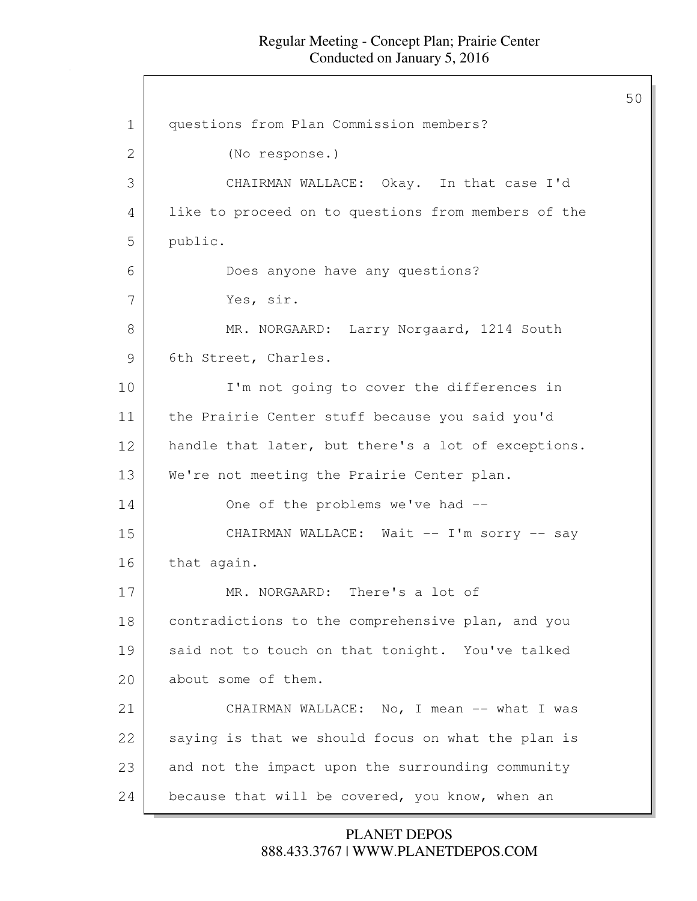50

1 questions from Plan Commission members? 2 (No response.) 3 CHAIRMAN WALLACE: Okay. In that case I'd 4 like to proceed on to questions from members of the 5 public. 6 Does anyone have any questions? 7 Yes, sir. 8 MR. NORGAARD: Larry Norgaard, 1214 South 9 6th Street, Charles. 10 I'm not going to cover the differences in 11 the Prairie Center stuff because you said you'd 12 handle that later, but there's a lot of exceptions. 13 We're not meeting the Prairie Center plan. 14 One of the problems we've had --15 CHAIRMAN WALLACE: Wait -- I'm sorry -- say 16 that again. 17 MR. NORGAARD: There's a lot of 18 contradictions to the comprehensive plan, and you 19 said not to touch on that tonight. You've talked 20 about some of them. 21 CHAIRMAN WALLACE: No, I mean -- what I was 22 saying is that we should focus on what the plan is 23 and not the impact upon the surrounding community 24 because that will be covered, you know, when an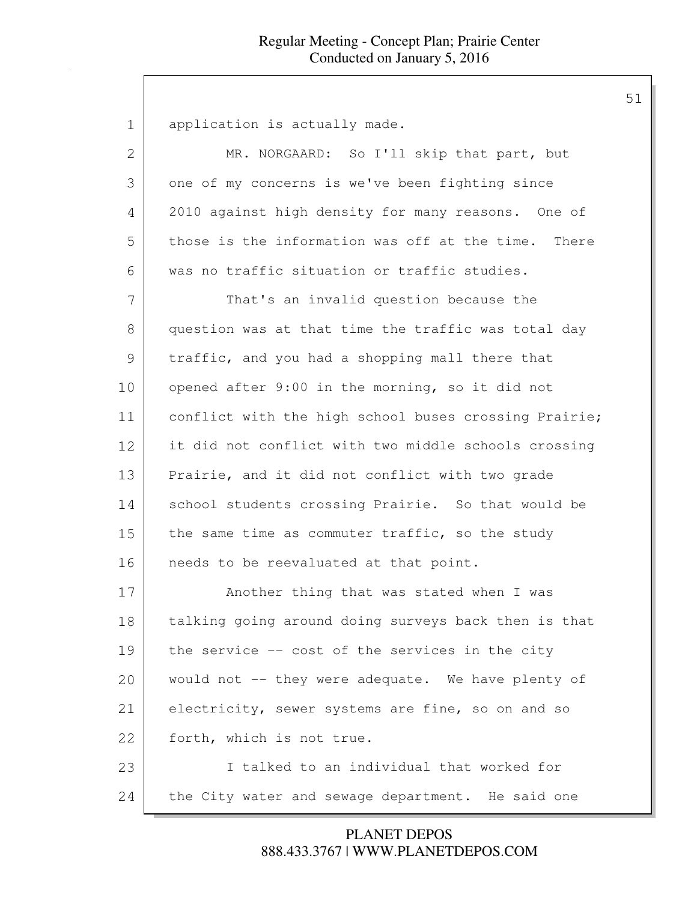1 | application is actually made. 2 MR. NORGAARD: So I'll skip that part, but 3 one of my concerns is we've been fighting since 4 2010 against high density for many reasons. One of 5 | those is the information was off at the time. There 6 was no traffic situation or traffic studies. 7 That's an invalid question because the 8 question was at that time the traffic was total day 9 traffic, and you had a shopping mall there that 10 opened after 9:00 in the morning, so it did not 11 conflict with the high school buses crossing Prairie; 12 it did not conflict with two middle schools crossing 13 Prairie, and it did not conflict with two grade 14 School students crossing Prairie. So that would be 15 the same time as commuter traffic, so the study 16 | needs to be reevaluated at that point. 17 Another thing that was stated when I was 18 talking going around doing surveys back then is that 19 the service -- cost of the services in the city 20 would not -- they were adequate. We have plenty of 21 electricity, sewer systems are fine, so on and so 22 | forth, which is not true. 23 I talked to an individual that worked for 24 the City water and sewage department. He said one

> 888.433.3767 | WWW.PLANETDEPOS.COM PLANET DEPOS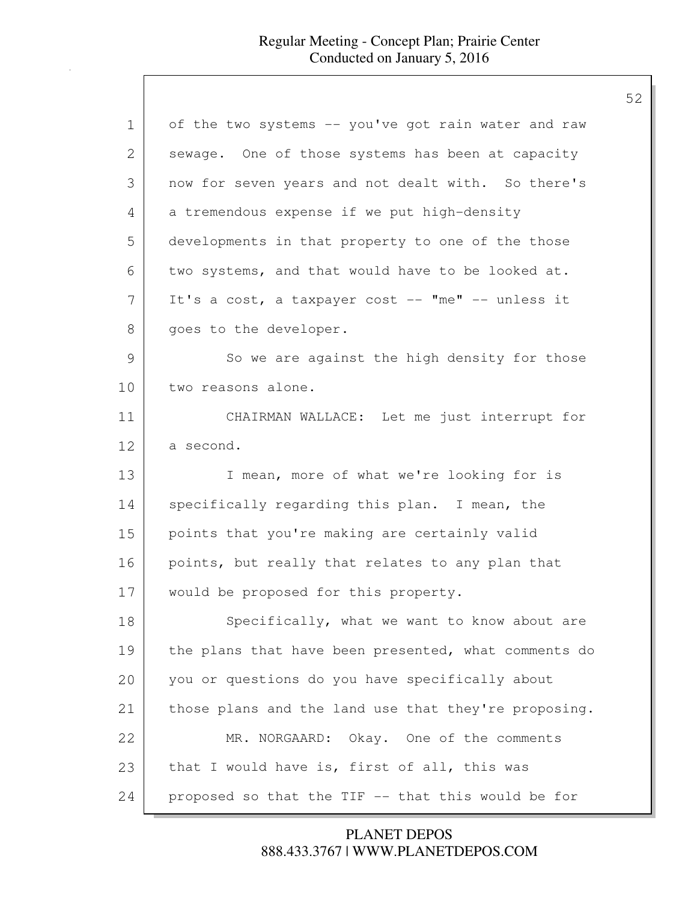| $\mathbf 1$   | of the two systems -- you've got rain water and raw  |
|---------------|------------------------------------------------------|
| 2             | sewage. One of those systems has been at capacity    |
| 3             | now for seven years and not dealt with. So there's   |
| 4             | a tremendous expense if we put high-density          |
| 5             | developments in that property to one of the those    |
| 6             | two systems, and that would have to be looked at.    |
| 7             | It's a cost, a taxpayer cost -- "me" -- unless it    |
| 8             | goes to the developer.                               |
| $\mathcal{G}$ | So we are against the high density for those         |
| 10            | two reasons alone.                                   |
| 11            | CHAIRMAN WALLACE: Let me just interrupt for          |
| 12            | a second.                                            |
| 13            | I mean, more of what we're looking for is            |
| 14            | specifically regarding this plan. I mean, the        |
| 15            | points that you're making are certainly valid        |
| 16            | points, but really that relates to any plan that     |
| 17            | would be proposed for this property.                 |
| 18            | Specifically, what we want to know about are         |
| 19            | the plans that have been presented, what comments do |
| 20            | you or questions do you have specifically about      |
| 21            | those plans and the land use that they're proposing. |
| 22            | MR. NORGAARD: Okay. One of the comments              |
| 23            | that I would have is, first of all, this was         |
| 24            | proposed so that the TIF -- that this would be for   |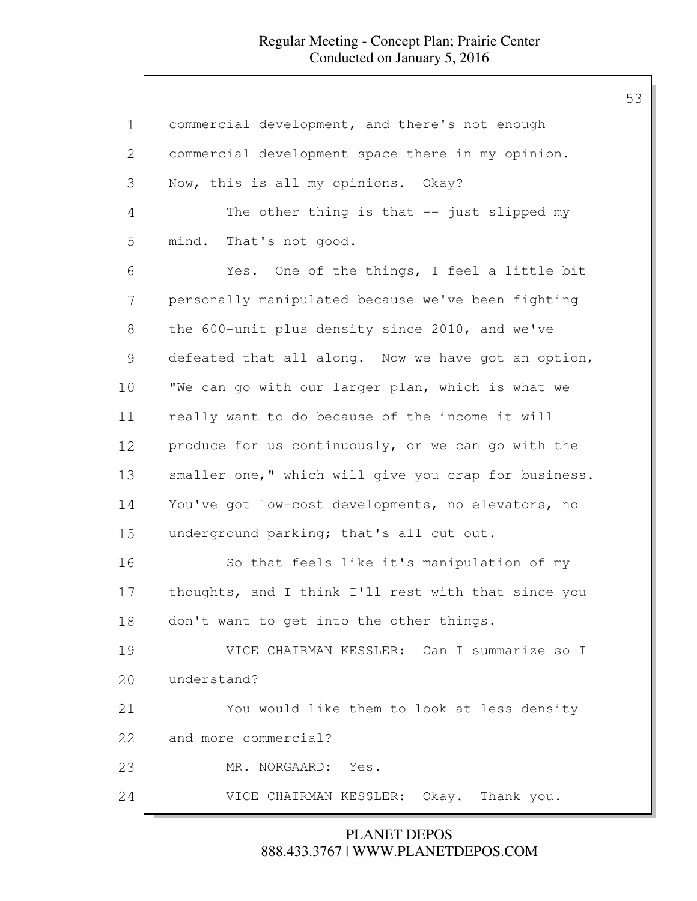| 1            | commercial development, and there's not enough       |
|--------------|------------------------------------------------------|
| $\mathbf{2}$ | commercial development space there in my opinion.    |
| 3            | Now, this is all my opinions. Okay?                  |
| 4            | The other thing is that $-$ just slipped my          |
| 5            | mind. That's not good.                               |
| 6            | Yes. One of the things, I feel a little bit          |
| 7            | personally manipulated because we've been fighting   |
| 8            | the 600-unit plus density since 2010, and we've      |
| 9            | defeated that all along. Now we have got an option,  |
| 10           | "We can go with our larger plan, which is what we    |
| 11           | really want to do because of the income it will      |
| 12           | produce for us continuously, or we can go with the   |
| 13           | smaller one," which will give you crap for business. |
| 14           | You've got low-cost developments, no elevators, no   |
| 15           | underground parking; that's all cut out.             |
| 16           | So that feels like it's manipulation of my           |
| 17           | thoughts, and I think I'll rest with that since you  |
| 18           | don't want to get into the other things.             |
| 19           | VICE CHAIRMAN KESSLER: Can I summarize so I          |
| 20           | understand?                                          |
| 21           | You would like them to look at less density          |
| 22           | and more commercial?                                 |
| 23           | MR. NORGAARD:<br>Yes.                                |
| 24           | VICE CHAIRMAN KESSLER: Okay. Thank you.              |

888.433.3767 | WWW.PLANETDEPOS.COM PLANET DEPOS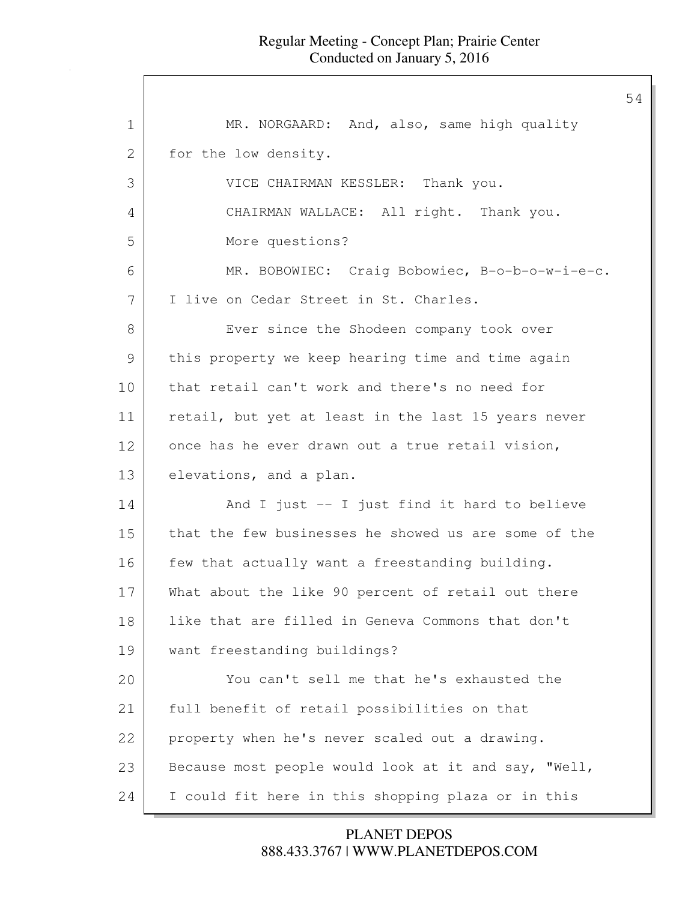| $\mathbf 1$ | MR. NORGAARD: And, also, same high quality           |
|-------------|------------------------------------------------------|
| 2           | for the low density.                                 |
| 3           | VICE CHAIRMAN KESSLER: Thank you.                    |
| 4           | CHAIRMAN WALLACE: All right. Thank you.              |
| 5           | More questions?                                      |
| 6           | MR. BOBOWIEC: Craig Bobowiec, B-o-b-o-w-i-e-c.       |
| 7           | I live on Cedar Street in St. Charles.               |
| 8           | Ever since the Shodeen company took over             |
| 9           | this property we keep hearing time and time again    |
| 10          | that retail can't work and there's no need for       |
| 11          | retail, but yet at least in the last 15 years never  |
| 12          | once has he ever drawn out a true retail vision,     |
| 13          | elevations, and a plan.                              |
| 14          | And I just -- I just find it hard to believe         |
| 15          | that the few businesses he showed us are some of the |
| 16          | few that actually want a freestanding building.      |
| 17          | What about the like 90 percent of retail out there   |
| 18          | like that are filled in Geneva Commons that don't    |
| 19          | want freestanding buildings?                         |
| 20          | You can't sell me that he's exhausted the            |
| 21          | full benefit of retail possibilities on that         |
| 22          | property when he's never scaled out a drawing.       |
| 23          | Because most people would look at it and say, "Well, |
| 24          | I could fit here in this shopping plaza or in this   |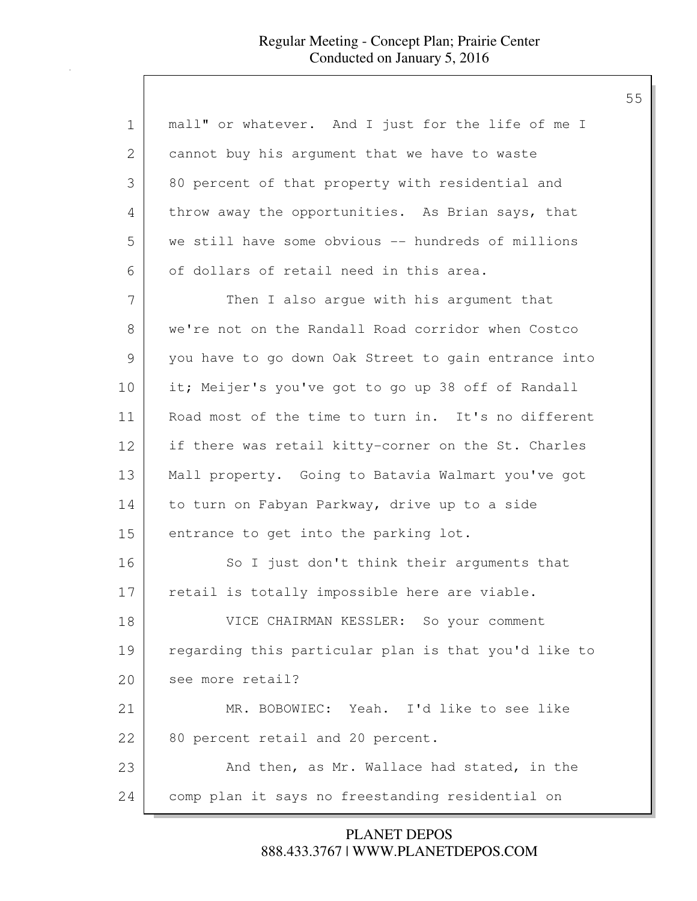| 1             | mall" or whatever. And I just for the life of me I   |
|---------------|------------------------------------------------------|
| 2             | cannot buy his argument that we have to waste        |
| 3             | 80 percent of that property with residential and     |
| 4             | throw away the opportunities. As Brian says, that    |
| 5             | we still have some obvious -- hundreds of millions   |
| 6             | of dollars of retail need in this area.              |
| 7             | Then I also arque with his argument that             |
| 8             | we're not on the Randall Road corridor when Costco   |
| $\mathcal{G}$ | you have to go down Oak Street to gain entrance into |
| 10            | it; Meijer's you've got to go up 38 off of Randall   |
| 11            | Road most of the time to turn in. It's no different  |
| 12            | if there was retail kitty-corner on the St. Charles  |
| 13            | Mall property. Going to Batavia Walmart you've got   |
| 14            | to turn on Fabyan Parkway, drive up to a side        |
| 15            | entrance to get into the parking lot.                |
| 16            | So I just don't think their arguments that           |
| 17            | retail is totally impossible here are viable.        |
| 18            | VICE CHAIRMAN KESSLER: So your comment               |
| 19            | regarding this particular plan is that you'd like to |
| 20            | see more retail?                                     |
| 21            | MR. BOBOWIEC: Yeah. I'd like to see like             |
| 22            | 80 percent retail and 20 percent.                    |
| 23            | And then, as Mr. Wallace had stated, in the          |
| 24            | comp plan it says no freestanding residential on     |

888.433.3767 | WWW.PLANETDEPOS.COM PLANET DEPOS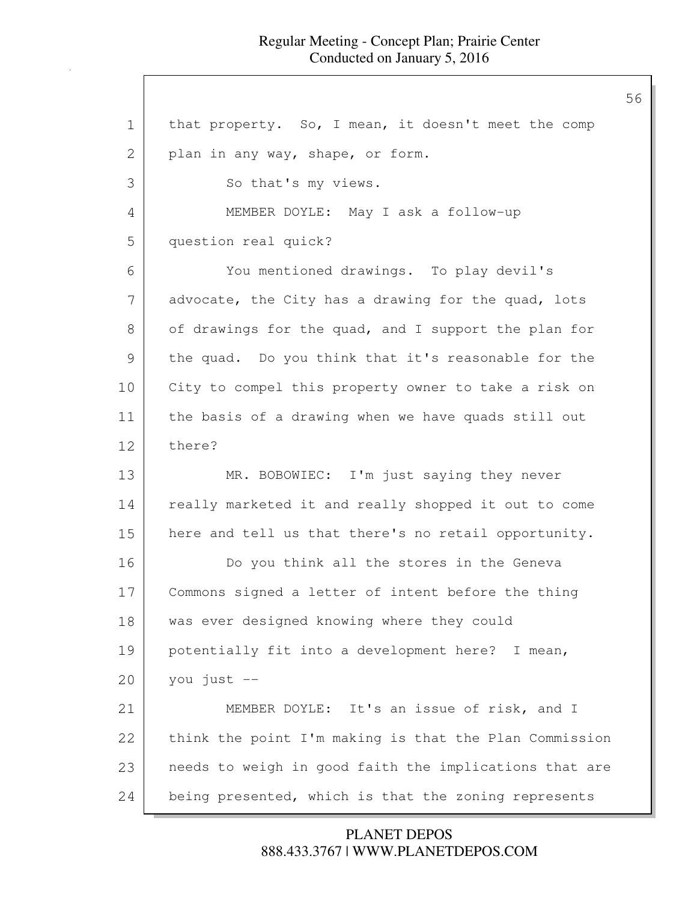1 that property. So, I mean, it doesn't meet the comp 2 plan in any way, shape, or form. 3 So that's my views. 4 MEMBER DOYLE: May I ask a follow-up 5 question real quick? 6 You mentioned drawings. To play devil's 7 advocate, the City has a drawing for the quad, lots 8 of drawings for the quad, and I support the plan for 9 the quad. Do you think that it's reasonable for the 10 City to compel this property owner to take a risk on 11 the basis of a drawing when we have quads still out 12 there? 13 MR. BOBOWIEC: I'm just saying they never 14 really marketed it and really shopped it out to come 15 here and tell us that there's no retail opportunity. 16 Do you think all the stores in the Geneva 17 Commons signed a letter of intent before the thing 18 | was ever designed knowing where they could 19 potentially fit into a development here? I mean,  $20$  you just  $-$ 21 MEMBER DOYLE: It's an issue of risk, and I 22 think the point I'm making is that the Plan Commission 23 needs to weigh in good faith the implications that are 24 being presented, which is that the zoning represents

> 888.433.3767 | WWW.PLANETDEPOS.COM PLANET DEPOS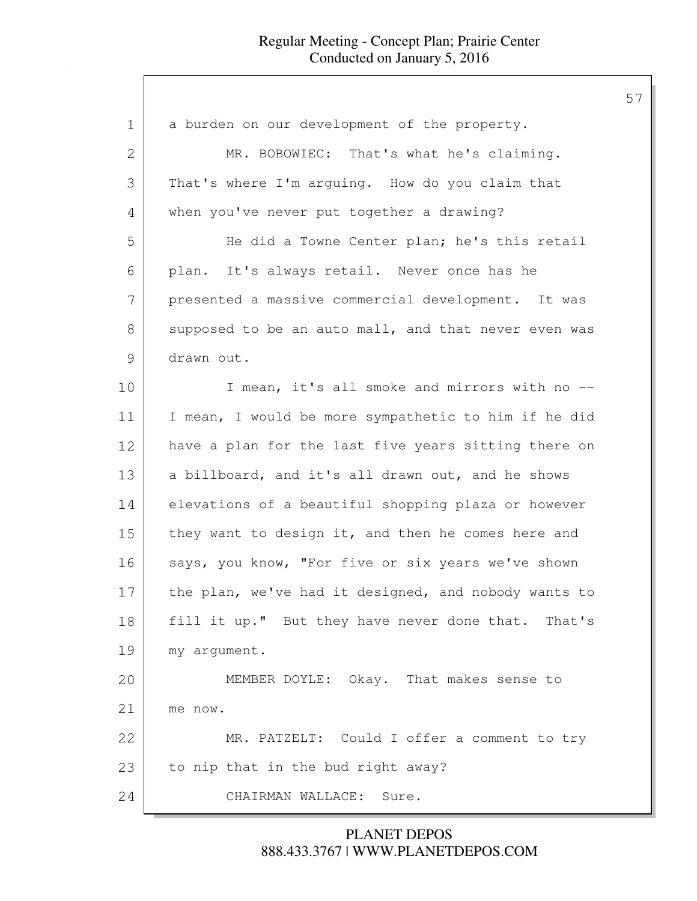| $\mathbf 1$   | a burden on our development of the property.         |
|---------------|------------------------------------------------------|
| $\mathbf{2}$  | MR. BOBOWIEC: That's what he's claiming.             |
| 3             | That's where I'm arguing. How do you claim that      |
| 4             | when you've never put together a drawing?            |
| 5             | He did a Towne Center plan; he's this retail         |
| 6             | plan. It's always retail. Never once has he          |
| 7             | presented a massive commercial development. It was   |
| $8\,$         | supposed to be an auto mall, and that never even was |
| $\mathcal{G}$ | drawn out.                                           |
| 10            | I mean, it's all smoke and mirrors with no --        |
| 11            | I mean, I would be more sympathetic to him if he did |
| 12            | have a plan for the last five years sitting there on |
| 13            | a billboard, and it's all drawn out, and he shows    |
| 14            | elevations of a beautiful shopping plaza or however  |
| 15            | they want to design it, and then he comes here and   |
| 16            | says, you know, "For five or six years we've shown   |
| 17            | the plan, we've had it designed, and nobody wants to |
| 18            | fill it up." But they have never done that. That's   |
| 19            | my argument.                                         |
| 20            | MEMBER DOYLE: Okay. That makes sense to              |
| 21            | me now.                                              |
| 22            | MR. PATZELT: Could I offer a comment to try          |
| 23            | to nip that in the bud right away?                   |
| 24            | CHAIRMAN WALLACE: Sure.                              |

888.433.3767 | WWW.PLANETDEPOS.COM PLANET DEPOS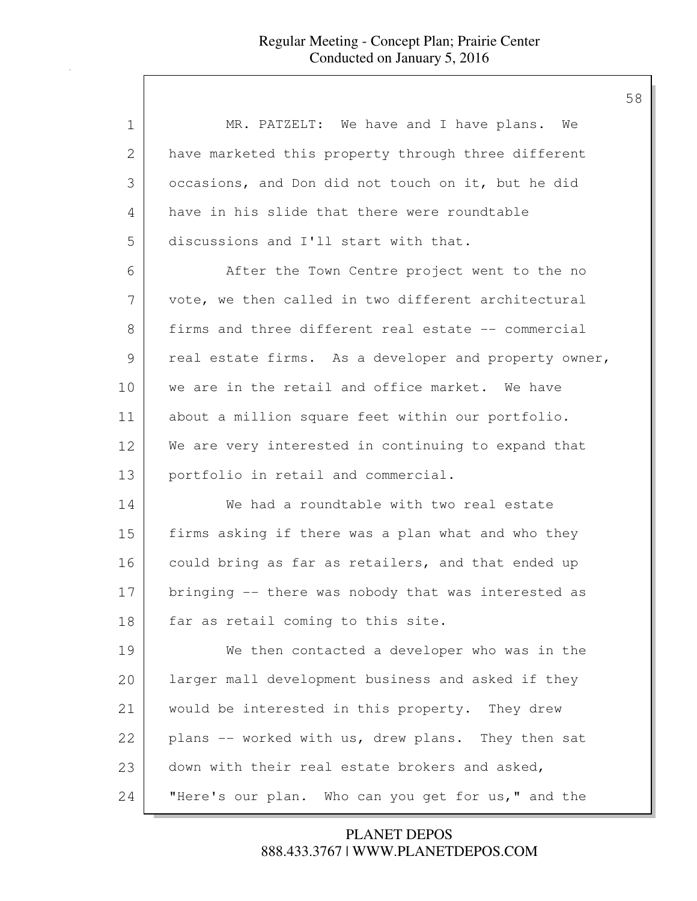| $\mathbf 1$   | MR. PATZELT: We have and I have plans. We             |
|---------------|-------------------------------------------------------|
| 2             | have marketed this property through three different   |
| 3             | occasions, and Don did not touch on it, but he did    |
| 4             | have in his slide that there were roundtable          |
| 5             | discussions and I'll start with that.                 |
| 6             | After the Town Centre project went to the no          |
| 7             | vote, we then called in two different architectural   |
| 8             | firms and three different real estate -- commercial   |
| $\mathcal{G}$ | real estate firms. As a developer and property owner, |
| 10            | we are in the retail and office market. We have       |
| 11            | about a million square feet within our portfolio.     |
| 12            | We are very interested in continuing to expand that   |
| 13            | portfolio in retail and commercial.                   |
| 14            | We had a roundtable with two real estate              |
| 15            | firms asking if there was a plan what and who they    |
| 16            | could bring as far as retailers, and that ended up    |
| 17            | bringing -- there was nobody that was interested as   |
| 18            | far as retail coming to this site.                    |
| 19            | We then contacted a developer who was in the          |
| 20            | larger mall development business and asked if they    |
| 21            | would be interested in this property. They drew       |
| 22            | plans -- worked with us, drew plans. They then sat    |
| 23            | down with their real estate brokers and asked,        |
| 24            | "Here's our plan. Who can you get for us," and the    |

888.433.3767 | WWW.PLANETDEPOS.COM PLANET DEPOS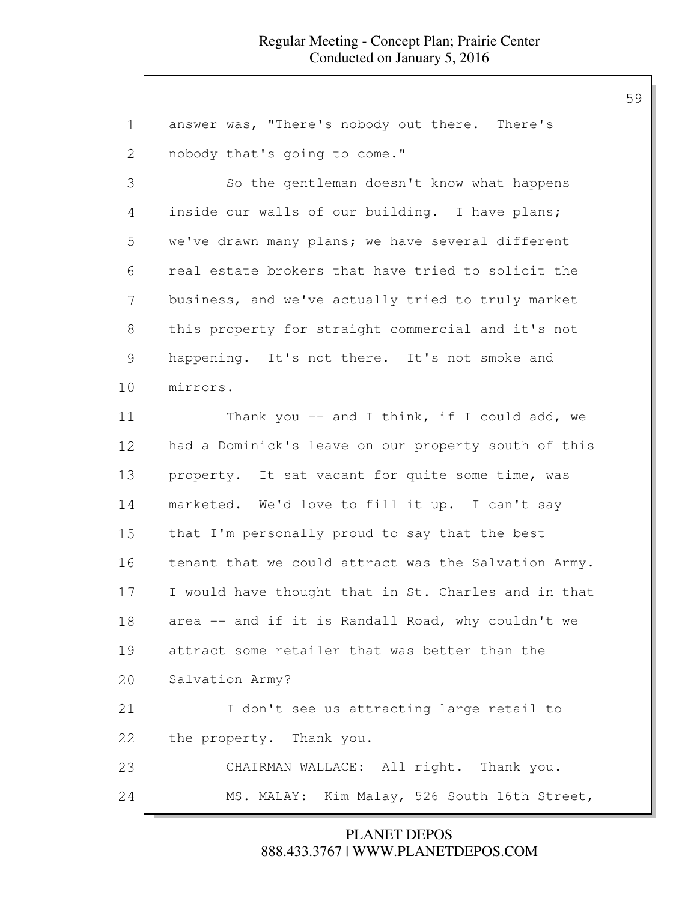| answer was, "There's nobody out there. There's       |
|------------------------------------------------------|
| nobody that's going to come."                        |
| So the gentleman doesn't know what happens           |
| inside our walls of our building. I have plans;      |
| we've drawn many plans; we have several different    |
| real estate brokers that have tried to solicit the   |
| business, and we've actually tried to truly market   |
| this property for straight commercial and it's not   |
| happening. It's not there. It's not smoke and        |
| mirrors.                                             |
| Thank you $--$ and I think, if I could add, we       |
| had a Dominick's leave on our property south of this |
| property. It sat vacant for quite some time, was     |
| marketed. We'd love to fill it up. I can't say       |
| that I'm personally proud to say that the best       |
| tenant that we could attract was the Salvation Army. |
| I would have thought that in St. Charles and in that |
| area -- and if it is Randall Road, why couldn't we   |
| attract some retailer that was better than the       |
| Salvation Army?                                      |
| I don't see us attracting large retail to            |
| the property. Thank you.                             |
| CHAIRMAN WALLACE: All right. Thank you.              |
| MS. MALAY: Kim Malay, 526 South 16th Street,         |
|                                                      |

888.433.3767 | WWW.PLANETDEPOS.COM PLANET DEPOS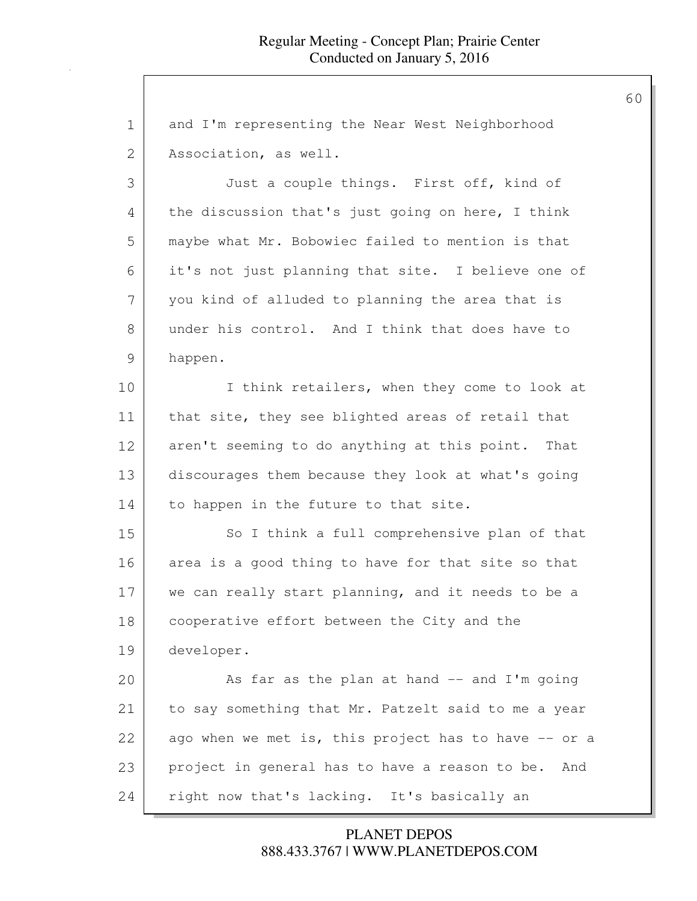1 and I'm representing the Near West Neighborhood 2 Association, as well. 3 Just a couple things. First off, kind of 4 the discussion that's just going on here, I think 5 maybe what Mr. Bobowiec failed to mention is that 6 it's not just planning that site. I believe one of 7 you kind of alluded to planning the area that is 8 under his control. And I think that does have to 9 happen. 10 I think retailers, when they come to look at 11 that site, they see blighted areas of retail that 12 aren't seeming to do anything at this point. That 13 discourages them because they look at what's going 14 | to happen in the future to that site. 15 So I think a full comprehensive plan of that 16 area is a good thing to have for that site so that 17 we can really start planning, and it needs to be a 18 cooperative effort between the City and the 19 developer. 20 As far as the plan at hand -- and I'm going 21 to say something that Mr. Patzelt said to me a year 22 ago when we met is, this project has to have -- or a 23 project in general has to have a reason to be. And 24 right now that's lacking. It's basically an

> 888.433.3767 | WWW.PLANETDEPOS.COM PLANET DEPOS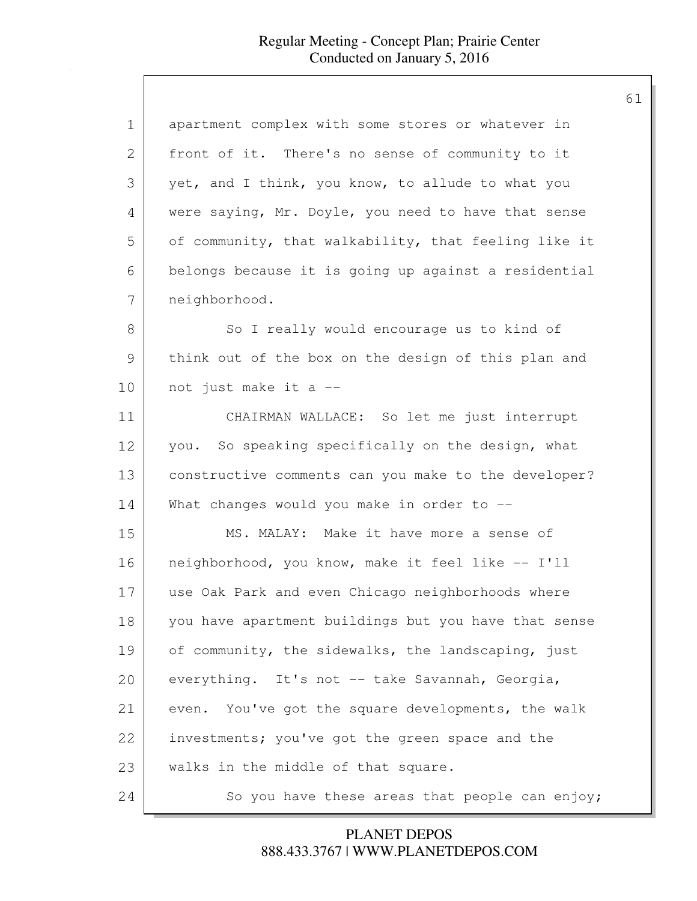| $\mathbf 1$ | apartment complex with some stores or whatever in     |
|-------------|-------------------------------------------------------|
| 2           | front of it. There's no sense of community to it      |
| 3           | yet, and I think, you know, to allude to what you     |
| 4           | were saying, Mr. Doyle, you need to have that sense   |
| 5           | of community, that walkability, that feeling like it  |
| 6           | belongs because it is going up against a residential  |
| 7           | neighborhood.                                         |
| 8           | So I really would encourage us to kind of             |
| 9           | think out of the box on the design of this plan and   |
| 10          | not just make it a --                                 |
| 11          | CHAIRMAN WALLACE: So let me just interrupt            |
| 12          | you. So speaking specifically on the design, what     |
| 13          | constructive comments can you make to the developer?  |
| 14          | What changes would you make in order to $-$ -         |
| 15          | MS. MALAY: Make it have more a sense of               |
| 16          | neighborhood, you know, make it feel like -- I'll     |
| 17          | use Oak Park and even Chicago neighborhoods where     |
| 18          | you have apartment buildings but you have that sense  |
| 19          | of community, the sidewalks, the landscaping, just    |
| 20          | everything. It's not -- take Savannah, Georgia,       |
| 21          | You've got the square developments, the walk<br>even. |
| 22          | investments; you've got the green space and the       |
| 23          | walks in the middle of that square.                   |
| 24          | So you have these areas that people can enjoy;        |

888.433.3767 | WWW.PLANETDEPOS.COM PLANET DEPOS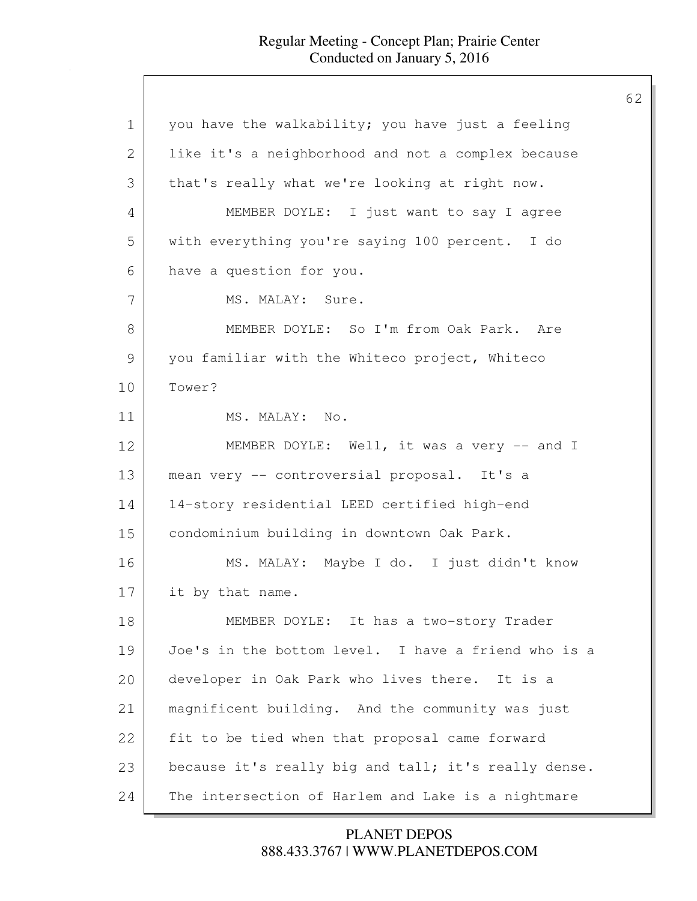| $\mathbf 1$  | you have the walkability; you have just a feeling    |
|--------------|------------------------------------------------------|
| $\mathbf{2}$ | like it's a neighborhood and not a complex because   |
| 3            | that's really what we're looking at right now.       |
| 4            | MEMBER DOYLE: I just want to say I agree             |
| 5            | with everything you're saying 100 percent. I do      |
| 6            | have a question for you.                             |
| 7            | MS. MALAY: Sure.                                     |
| 8            | MEMBER DOYLE: So I'm from Oak Park. Are              |
| 9            | you familiar with the Whiteco project, Whiteco       |
| 10           | Tower?                                               |
| 11           | MS. MALAY: No.                                       |
| 12           | MEMBER DOYLE: Well, it was a very -- and I           |
| 13           | mean very -- controversial proposal. It's a          |
| 14           | 14-story residential LEED certified high-end         |
| 15           | condominium building in downtown Oak Park.           |
| 16           | MS. MALAY: Maybe I do. I just didn't know            |
| 17           | it by that name.                                     |
| 18           | MEMBER DOYLE: It has a two-story Trader              |
| 19           | Joe's in the bottom level. I have a friend who is a  |
| 20           | developer in Oak Park who lives there. It is a       |
| 21           | magnificent building. And the community was just     |
| 22           | fit to be tied when that proposal came forward       |
| 23           | because it's really big and tall; it's really dense. |
| 24           | The intersection of Harlem and Lake is a nightmare   |
|              |                                                      |

888.433.3767 | WWW.PLANETDEPOS.COM PLANET DEPOS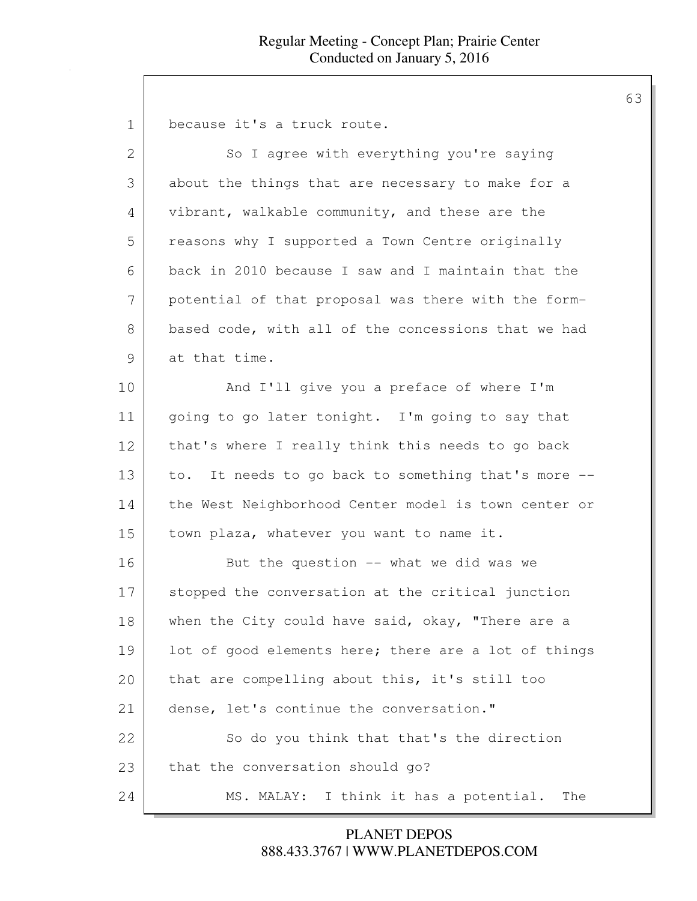1 because it's a truck route.

| $\overline{2}$ | So I agree with everything you're saying               |
|----------------|--------------------------------------------------------|
| 3              | about the things that are necessary to make for a      |
| 4              | vibrant, walkable community, and these are the         |
| 5              | reasons why I supported a Town Centre originally       |
| 6              | back in 2010 because I saw and I maintain that the     |
| 7              | potential of that proposal was there with the form-    |
| 8              | based code, with all of the concessions that we had    |
| $\mathcal{G}$  | at that time.                                          |
| 10             | And I'll give you a preface of where I'm               |
| 11             | going to go later tonight. I'm going to say that       |
| 12             | that's where I really think this needs to go back      |
| 13             | It needs to go back to something that's more --<br>to. |
| 14             | the West Neighborhood Center model is town center or   |
| 15             | town plaza, whatever you want to name it.              |
| 16             | But the question $--$ what we did was we               |
| 17             | stopped the conversation at the critical junction      |
| 18             | when the City could have said, okay, "There are a      |
| 19             | lot of good elements here; there are a lot of things   |
| 20             | that are compelling about this, it's still too         |
| 21             | dense, let's continue the conversation."               |
| 22             | So do you think that that's the direction              |
| 23             | that the conversation should go?                       |
| 24             | I think it has a potential.<br>MS. MALAY:<br>The       |

888.433.3767 | WWW.PLANETDEPOS.COM PLANET DEPOS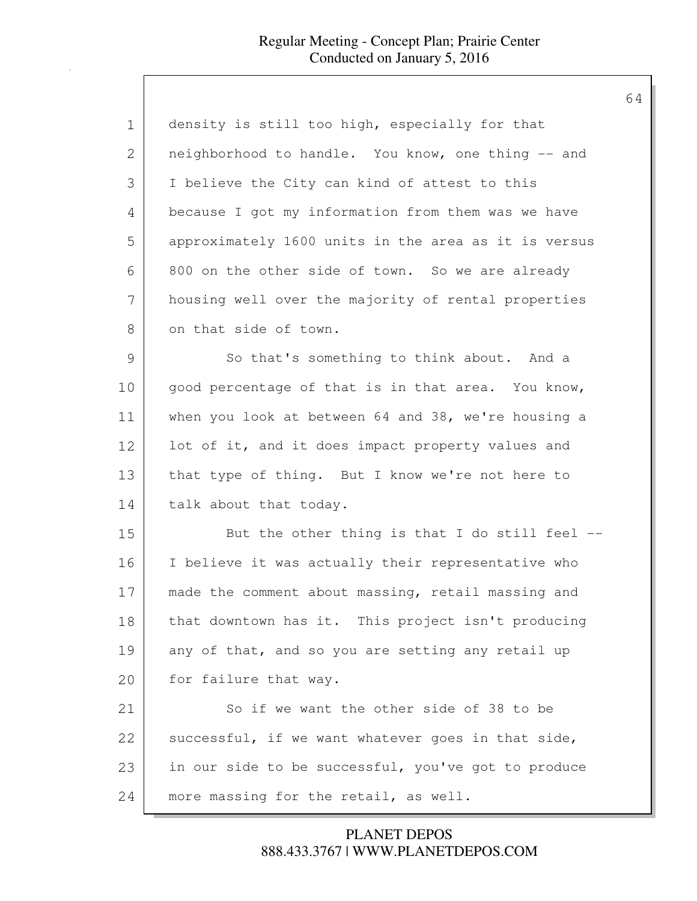| $\mathbf 1$   | density is still too high, especially for that       |
|---------------|------------------------------------------------------|
| 2             | neighborhood to handle. You know, one thing -- and   |
| 3             | I believe the City can kind of attest to this        |
| 4             | because I got my information from them was we have   |
| 5             | approximately 1600 units in the area as it is versus |
| 6             | 800 on the other side of town. So we are already     |
| 7             | housing well over the majority of rental properties  |
| 8             | on that side of town.                                |
| $\mathcal{G}$ | So that's something to think about. And a            |
| 10            | good percentage of that is in that area. You know,   |
| 11            | when you look at between 64 and 38, we're housing a  |
| 12            | lot of it, and it does impact property values and    |
| 13            | that type of thing. But I know we're not here to     |
| 14            | talk about that today.                               |
| 15            | But the other thing is that I do still feel $-$ -    |
| 16            | I believe it was actually their representative who   |
| 17            | made the comment about massing, retail massing and   |
| 18            | that downtown has it. This project isn't producing   |
| 19            | any of that, and so you are setting any retail up    |
| 20            | for failure that way.                                |
| 21            | So if we want the other side of 38 to be             |
| 22            | successful, if we want whatever goes in that side,   |
| 23            | in our side to be successful, you've got to produce  |
| 24            | more massing for the retail, as well.                |

888.433.3767 | WWW.PLANETDEPOS.COM PLANET DEPOS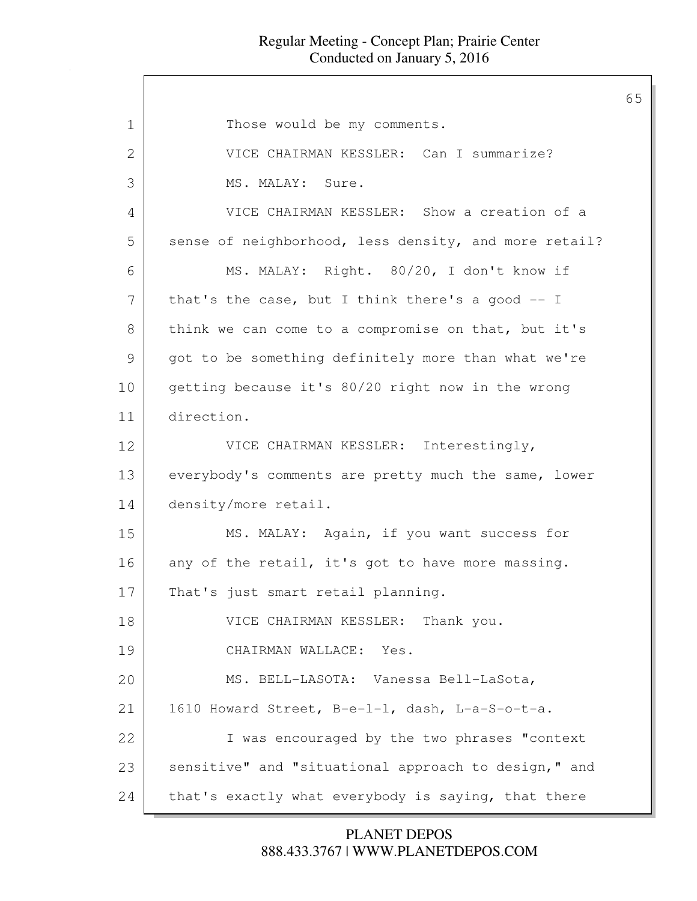| $\mathbf 1$  | Those would be my comments.                           |
|--------------|-------------------------------------------------------|
| $\mathbf{2}$ | VICE CHAIRMAN KESSLER: Can I summarize?               |
| 3            | MS. MALAY: Sure.                                      |
| 4            | VICE CHAIRMAN KESSLER: Show a creation of a           |
| 5            | sense of neighborhood, less density, and more retail? |
| 6            | MS. MALAY: Right. 80/20, I don't know if              |
| 7            | that's the case, but I think there's a good $-$ - I   |
| 8            | think we can come to a compromise on that, but it's   |
| 9            | got to be something definitely more than what we're   |
| 10           | getting because it's 80/20 right now in the wrong     |
| 11           | direction.                                            |
| 12           | VICE CHAIRMAN KESSLER: Interestingly,                 |
| 13           | everybody's comments are pretty much the same, lower  |
| 14           | density/more retail.                                  |
| 15           | MS. MALAY: Again, if you want success for             |
| 16           | any of the retail, it's got to have more massing.     |
| 17           | That's just smart retail planning.                    |
| 18           | VICE CHAIRMAN KESSLER: Thank you.                     |
| 19           | CHAIRMAN WALLACE: Yes.                                |
| 20           | MS. BELL-LASOTA: Vanessa Bell-LaSota,                 |
| 21           | 1610 Howard Street, B-e-1-1, dash, L-a-S-o-t-a.       |
| 22           | I was encouraged by the two phrases "context          |
| 23           | sensitive" and "situational approach to design," and  |
| 24           | that's exactly what everybody is saying, that there   |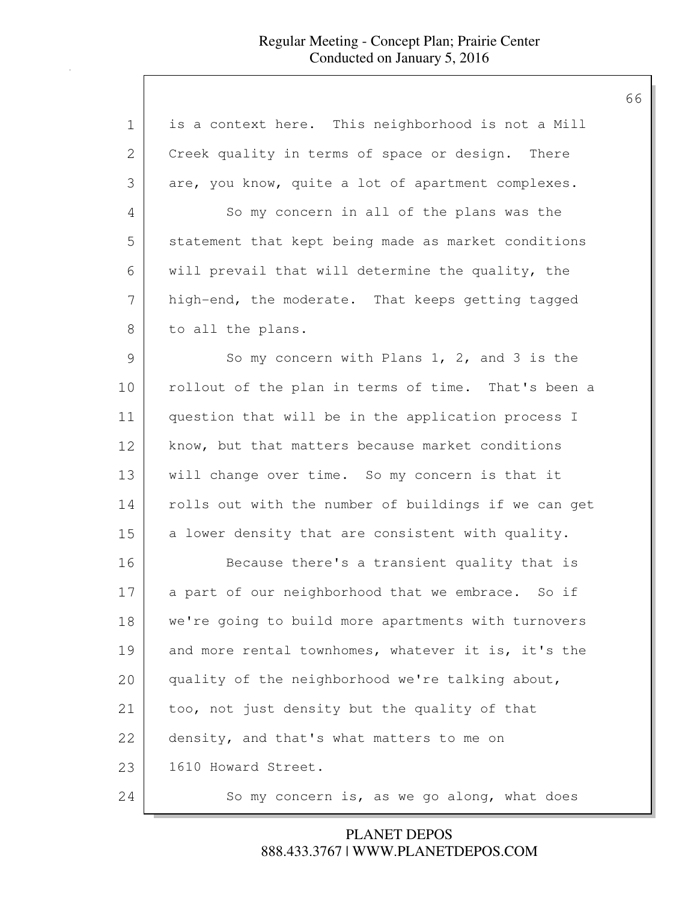| 1             | is a context here. This neighborhood is not a Mill   |
|---------------|------------------------------------------------------|
| 2             | Creek quality in terms of space or design. There     |
| 3             | are, you know, quite a lot of apartment complexes.   |
| 4             | So my concern in all of the plans was the            |
| 5             | statement that kept being made as market conditions  |
| 6             | will prevail that will determine the quality, the    |
| 7             | high-end, the moderate. That keeps getting tagged    |
| 8             | to all the plans.                                    |
| $\mathcal{G}$ | So my concern with Plans $1, 2,$ and $3$ is the      |
| 10            | rollout of the plan in terms of time. That's been a  |
| 11            | question that will be in the application process I   |
| 12            | know, but that matters because market conditions     |
| 13            | will change over time. So my concern is that it      |
| 14            | rolls out with the number of buildings if we can get |
| 15            | a lower density that are consistent with quality.    |
| 16            | Because there's a transient quality that is          |
| 17            | a part of our neighborhood that we embrace. So if    |
| 18            | we're going to build more apartments with turnovers  |
| 19            | and more rental townhomes, whatever it is, it's the  |
| 20            | quality of the neighborhood we're talking about,     |
| 21            | too, not just density but the quality of that        |
| 22            | density, and that's what matters to me on            |
| 23            | 1610 Howard Street.                                  |
| 24            | So my concern is, as we go along, what does          |

888.433.3767 | WWW.PLANETDEPOS.COM PLANET DEPOS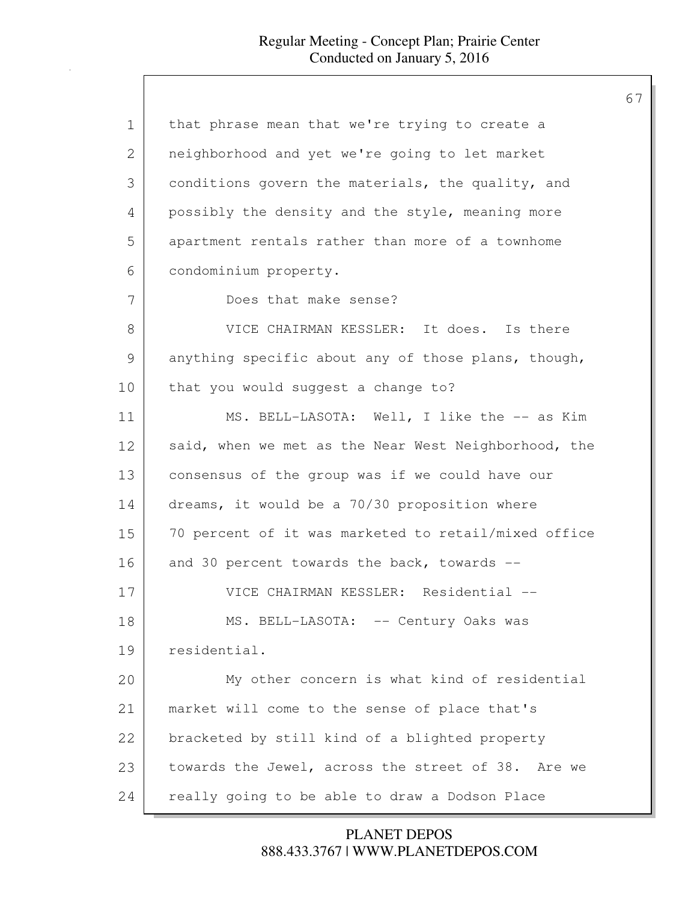| $\mathbf 1$    | that phrase mean that we're trying to create a       |
|----------------|------------------------------------------------------|
| $\overline{2}$ | neighborhood and yet we're going to let market       |
| 3              | conditions govern the materials, the quality, and    |
| 4              | possibly the density and the style, meaning more     |
| 5              | apartment rentals rather than more of a townhome     |
| 6              | condominium property.                                |
| 7              | Does that make sense?                                |
| 8              | VICE CHAIRMAN KESSLER: It does. Is there             |
| 9              | anything specific about any of those plans, though,  |
| 10             | that you would suggest a change to?                  |
| 11             | MS. BELL-LASOTA: Well, I like the -- as Kim          |
| 12             | said, when we met as the Near West Neighborhood, the |
| 13             | consensus of the group was if we could have our      |
| 14             | dreams, it would be a 70/30 proposition where        |
| 15             | 70 percent of it was marketed to retail/mixed office |
| 16             | and 30 percent towards the back, towards --          |
| 17             | VICE CHAIRMAN KESSLER: Residential --                |
| 18             | MS. BELL-LASOTA: -- Century Oaks was                 |
| 19             | residential.                                         |
| 20             | My other concern is what kind of residential         |
| 21             | market will come to the sense of place that's        |
| 22             | bracketed by still kind of a blighted property       |
| 23             | towards the Jewel, across the street of 38. Are we   |
| 24             | really going to be able to draw a Dodson Place       |

888.433.3767 | WWW.PLANETDEPOS.COM PLANET DEPOS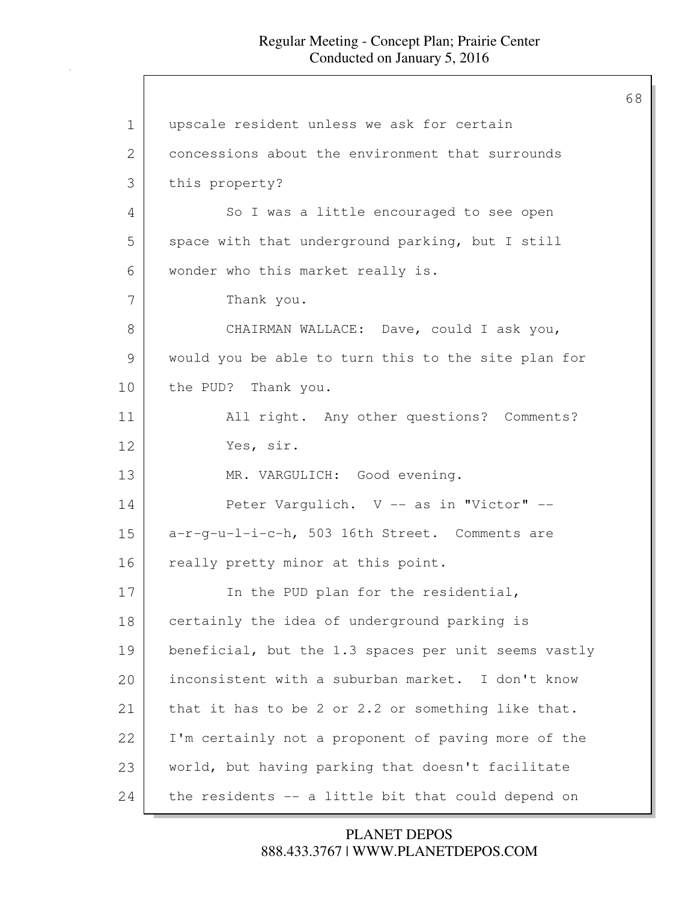1 | upscale resident unless we ask for certain 2 concessions about the environment that surrounds 3 this property? 4 So I was a little encouraged to see open 5 space with that underground parking, but I still 6 wonder who this market really is. 7 Thank you. 8 CHAIRMAN WALLACE: Dave, could I ask you, 9 would you be able to turn this to the site plan for 10 the PUD? Thank you. 11 | All right. Any other questions? Comments? 12 Yes, sir. 13 MR. VARGULICH: Good evening. 14 Peter Vargulich. V -- as in "Victor" --15 a-r-g-u-l-i-c-h, 503 16th Street. Comments are 16 really pretty minor at this point. 17 In the PUD plan for the residential, 18 certainly the idea of underground parking is 19 beneficial, but the 1.3 spaces per unit seems vastly 20 **inconsistent with a suburban market.** I don't know 21 that it has to be 2 or 2.2 or something like that. 22 I'm certainly not a proponent of paving more of the 23 | world, but having parking that doesn't facilitate 24 the residents -- a little bit that could depend on

> 888.433.3767 | WWW.PLANETDEPOS.COM PLANET DEPOS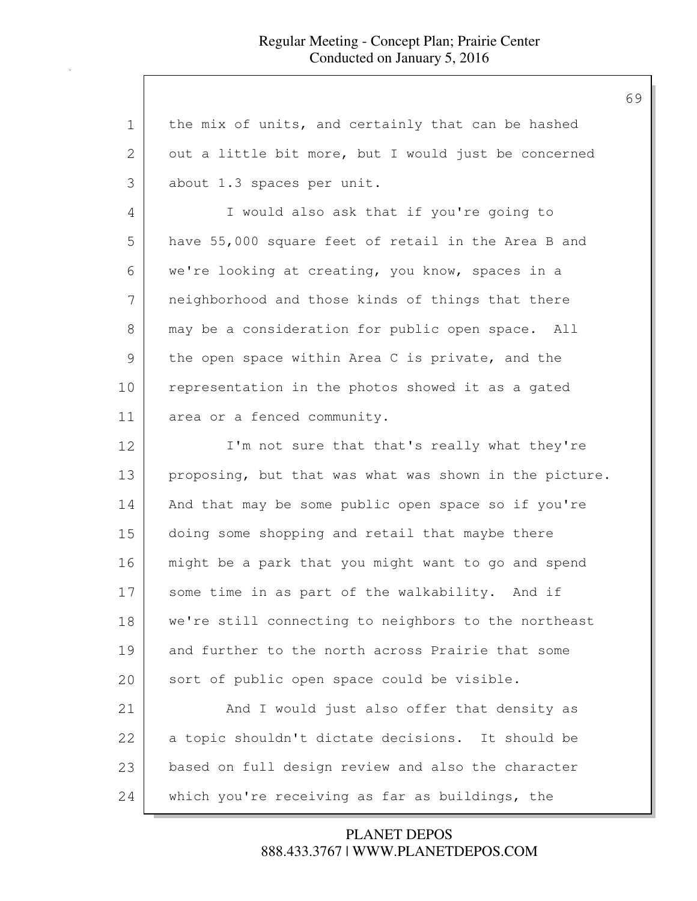| $\mathbf 1$   | the mix of units, and certainly that can be hashed     |
|---------------|--------------------------------------------------------|
| $\mathbf{2}$  | out a little bit more, but I would just be concerned   |
| 3             | about 1.3 spaces per unit.                             |
| 4             | I would also ask that if you're going to               |
| 5             | have 55,000 square feet of retail in the Area B and    |
| 6             | we're looking at creating, you know, spaces in a       |
| 7             | neighborhood and those kinds of things that there      |
| 8             | may be a consideration for public open space. All      |
| $\mathcal{G}$ | the open space within Area C is private, and the       |
| 10            | representation in the photos showed it as a gated      |
| 11            | area or a fenced community.                            |
| 12            | I'm not sure that that's really what they're           |
| 13            | proposing, but that was what was shown in the picture. |
| 14            | And that may be some public open space so if you're    |
| 15            | doing some shopping and retail that maybe there        |
| 16            | might be a park that you might want to go and spend    |
| 17            | some time in as part of the walkability. And if        |
| 18            | we're still connecting to neighbors to the northeast   |
| 19            | and further to the north across Prairie that some      |
| 20            | sort of public open space could be visible.            |
| 21            | And I would just also offer that density as            |
| 22            | a topic shouldn't dictate decisions. It should be      |
| 23            | based on full design review and also the character     |
| 24            | which you're receiving as far as buildings, the        |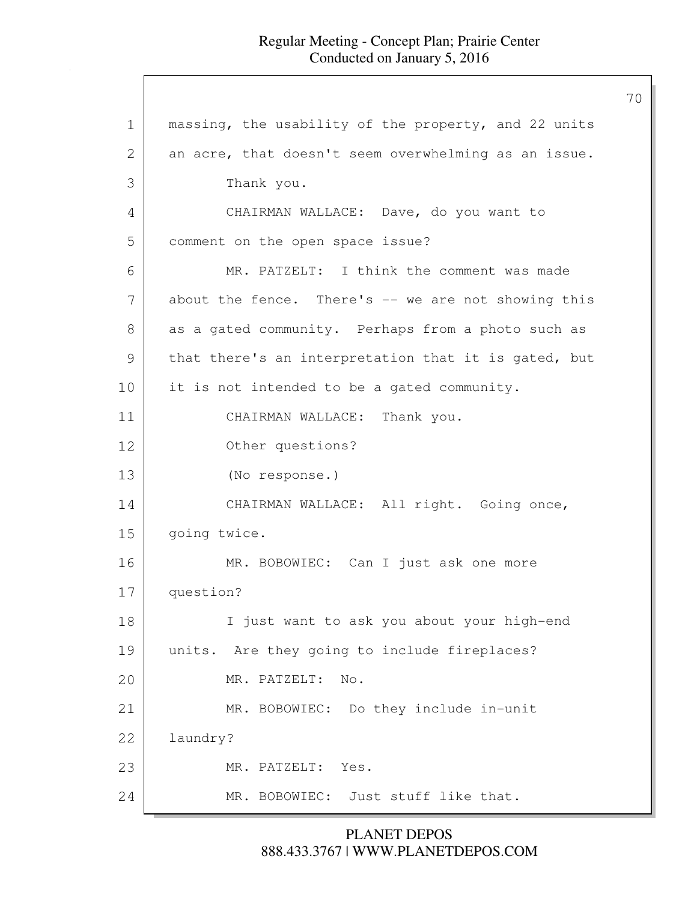1 | massing, the usability of the property, and 22 units 2 an acre, that doesn't seem overwhelming as an issue. 3 Thank you. 4 CHAIRMAN WALLACE: Dave, do you want to 5 comment on the open space issue? 6 MR. PATZELT: I think the comment was made 7 about the fence. There's -- we are not showing this 8 as a gated community. Perhaps from a photo such as 9 that there's an interpretation that it is gated, but 10 it is not intended to be a gated community. 11 CHAIRMAN WALLACE: Thank you. 12 Other questions? 13 (No response.) 14 CHAIRMAN WALLACE: All right. Going once, 15 going twice. 16 MR. BOBOWIEC: Can I just ask one more 17 question? 18 I just want to ask you about your high-end 19 | units. Are they going to include fireplaces? 20 MR. PATZELT: No. 21 MR. BOBOWIEC: Do they include in-unit 22 laundry? 23 MR. PATZELT: Yes. 24 MR. BOBOWIEC: Just stuff like that.

> 888.433.3767 | WWW.PLANETDEPOS.COM PLANET DEPOS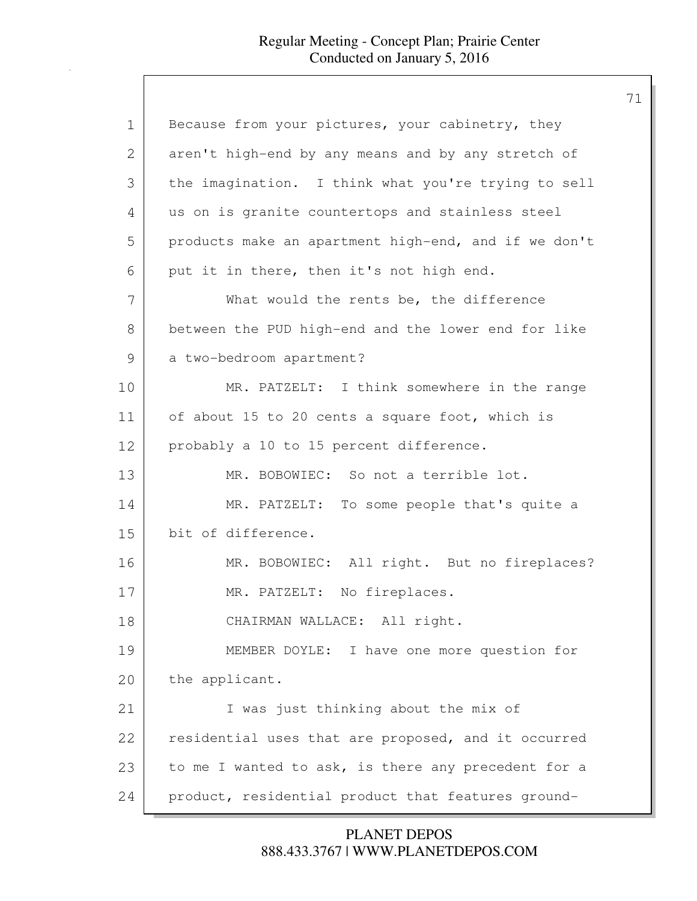| 1             | Because from your pictures, your cabinetry, they     |
|---------------|------------------------------------------------------|
| 2             | aren't high-end by any means and by any stretch of   |
| 3             | the imagination. I think what you're trying to sell  |
| 4             | us on is granite countertops and stainless steel     |
| 5             | products make an apartment high-end, and if we don't |
| 6             | put it in there, then it's not high end.             |
| 7             | What would the rents be, the difference              |
| 8             | between the PUD high-end and the lower end for like  |
| $\mathcal{G}$ | a two-bedroom apartment?                             |
| 10            | MR. PATZELT: I think somewhere in the range          |
| 11            | of about 15 to 20 cents a square foot, which is      |
| 12            | probably a 10 to 15 percent difference.              |
| 13            | MR. BOBOWIEC: So not a terrible lot.                 |
| 14            | MR. PATZELT: To some people that's quite a           |
| 15            | bit of difference.                                   |
| 16            | MR. BOBOWIEC: All right. But no fireplaces?          |
| 17            | MR. PATZELT: No fireplaces.                          |
| 18            | CHAIRMAN WALLACE: All right.                         |
| 19            | MEMBER DOYLE: I have one more question for           |
| 20            | the applicant.                                       |
| 21            | I was just thinking about the mix of                 |
| 22            | residential uses that are proposed, and it occurred  |
| 23            | to me I wanted to ask, is there any precedent for a  |
| 24            | product, residential product that features ground-   |

888.433.3767 | WWW.PLANETDEPOS.COM PLANET DEPOS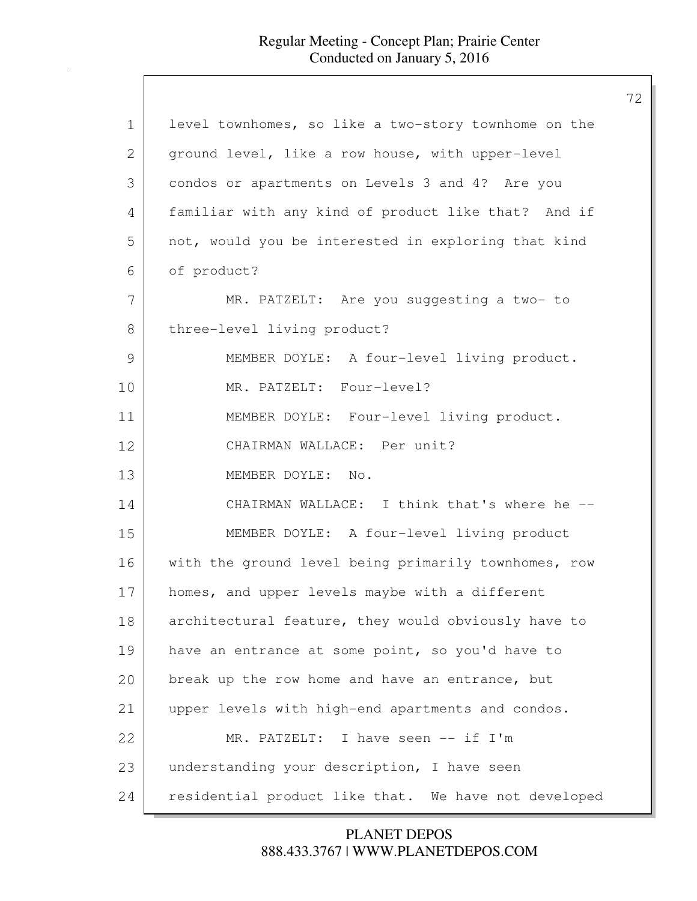| $\mathbf 1$ | level townhomes, so like a two-story townhome on the |
|-------------|------------------------------------------------------|
| 2           | ground level, like a row house, with upper-level     |
| 3           | condos or apartments on Levels 3 and 4? Are you      |
| 4           | familiar with any kind of product like that? And if  |
| 5           | not, would you be interested in exploring that kind  |
| 6           | of product?                                          |
| 7           | MR. PATZELT: Are you suggesting a two- to            |
| 8           | three-level living product?                          |
| 9           | MEMBER DOYLE: A four-level living product.           |
| 10          | MR. PATZELT: Four-level?                             |
| 11          | MEMBER DOYLE: Four-level living product.             |
| 12          | CHAIRMAN WALLACE: Per unit?                          |
| 13          | MEMBER DOYLE: No.                                    |
| 14          | CHAIRMAN WALLACE: I think that's where he --         |
| 15          | MEMBER DOYLE: A four-level living product            |
| 16          | with the ground level being primarily townhomes, row |
| 17          | homes, and upper levels maybe with a different       |
| 18          | architectural feature, they would obviously have to  |
| 19          | have an entrance at some point, so you'd have to     |
| 20          | break up the row home and have an entrance, but      |
| 21          | upper levels with high-end apartments and condos.    |
| 22          | MR. PATZELT: I have seen -- if I'm                   |
| 23          | understanding your description, I have seen          |
|             |                                                      |
| 24          | residential product like that. We have not developed |

888.433.3767 | WWW.PLANETDEPOS.COM PLANET DEPOS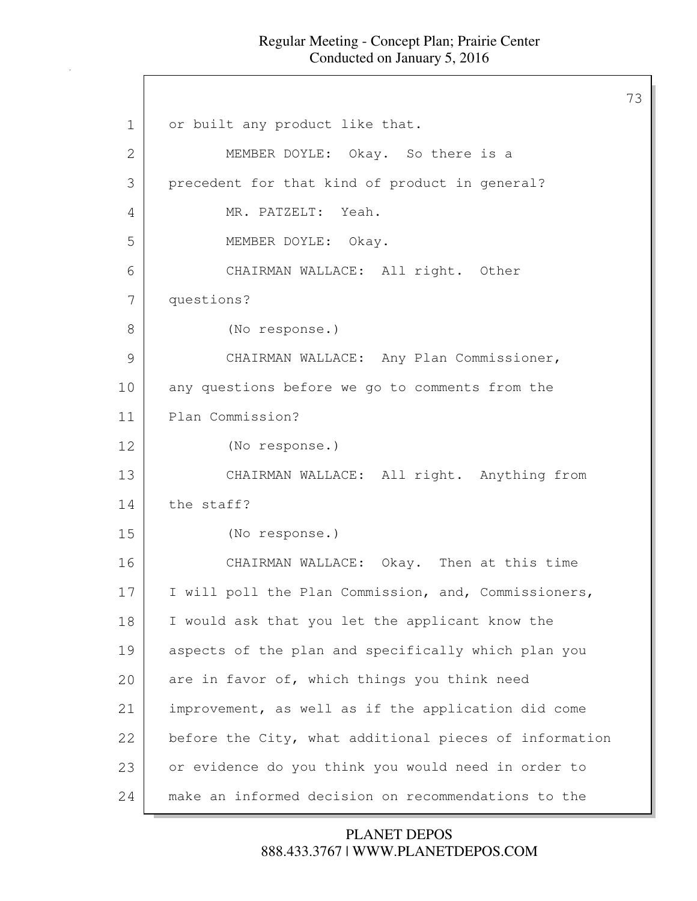73

1 or built any product like that. 2 MEMBER DOYLE: Okay. So there is a 3 precedent for that kind of product in general? 4 MR. PATZELT: Yeah. 5 MEMBER DOYLE: Okay. 6 CHAIRMAN WALLACE: All right. Other 7 questions? 8 (No response.) 9 CHAIRMAN WALLACE: Any Plan Commissioner, 10 any questions before we go to comments from the 11 Plan Commission? 12 (No response.) 13 CHAIRMAN WALLACE: All right. Anything from 14 the staff? 15 (No response.) 16 CHAIRMAN WALLACE: Okay. Then at this time 17 I will poll the Plan Commission, and, Commissioners, 18 I would ask that you let the applicant know the 19 aspects of the plan and specifically which plan you 20 are in favor of, which things you think need 21 improvement, as well as if the application did come 22 before the City, what additional pieces of information 23 or evidence do you think you would need in order to 24 make an informed decision on recommendations to the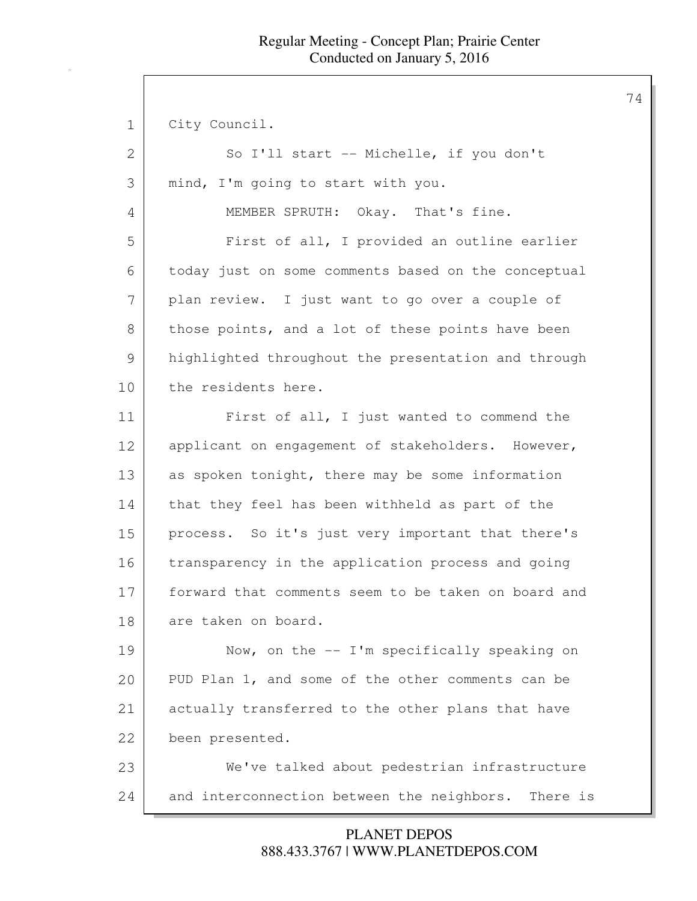1 City Council.

| 2  | So I'll start -- Michelle, if you don't                |
|----|--------------------------------------------------------|
| 3  | mind, I'm going to start with you.                     |
| 4  | MEMBER SPRUTH: Okay. That's fine.                      |
| 5  | First of all, I provided an outline earlier            |
| 6  | today just on some comments based on the conceptual    |
| 7  | plan review. I just want to go over a couple of        |
| 8  | those points, and a lot of these points have been      |
| 9  | highlighted throughout the presentation and through    |
| 10 | the residents here.                                    |
| 11 | First of all, I just wanted to commend the             |
| 12 | applicant on engagement of stakeholders. However,      |
| 13 | as spoken tonight, there may be some information       |
| 14 | that they feel has been withheld as part of the        |
| 15 | process. So it's just very important that there's      |
| 16 | transparency in the application process and going      |
| 17 | forward that comments seem to be taken on board and    |
| 18 | are taken on board.                                    |
| 19 | Now, on the $-$ I'm specifically speaking on           |
| 20 | PUD Plan 1, and some of the other comments can be      |
| 21 | actually transferred to the other plans that have      |
| 22 | been presented.                                        |
| 23 | We've talked about pedestrian infrastructure           |
| 24 | and interconnection between the neighbors.<br>There is |

888.433.3767 | WWW.PLANETDEPOS.COM PLANET DEPOS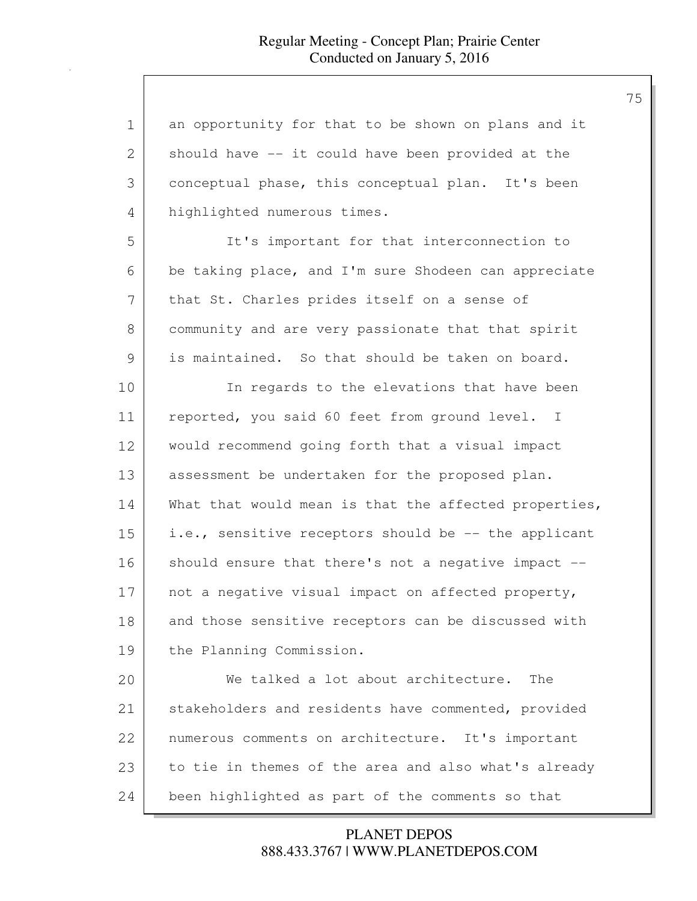| $\mathbf 1$ | an opportunity for that to be shown on plans and it   |
|-------------|-------------------------------------------------------|
| 2           | should have -- it could have been provided at the     |
| 3           | conceptual phase, this conceptual plan. It's been     |
| 4           | highlighted numerous times.                           |
| 5           | It's important for that interconnection to            |
| 6           | be taking place, and I'm sure Shodeen can appreciate  |
| 7           | that St. Charles prides itself on a sense of          |
| 8           | community and are very passionate that that spirit    |
| 9           | is maintained. So that should be taken on board.      |
| 10          | In regards to the elevations that have been           |
| 11          | reported, you said 60 feet from ground level. I       |
| 12          | would recommend going forth that a visual impact      |
| 13          | assessment be undertaken for the proposed plan.       |
| 14          | What that would mean is that the affected properties, |
| 15          | i.e., sensitive receptors should be -- the applicant  |
| 16          | should ensure that there's not a negative impact --   |
| 17          | not a negative visual impact on affected property,    |
| 18          | and those sensitive receptors can be discussed with   |
| 19          | the Planning Commission.                              |
| 20          | We talked a lot about architecture.<br>The            |
| 21          | stakeholders and residents have commented, provided   |
| 22          | numerous comments on architecture. It's important     |
| 23          | to tie in themes of the area and also what's already  |
| 24          | been highlighted as part of the comments so that      |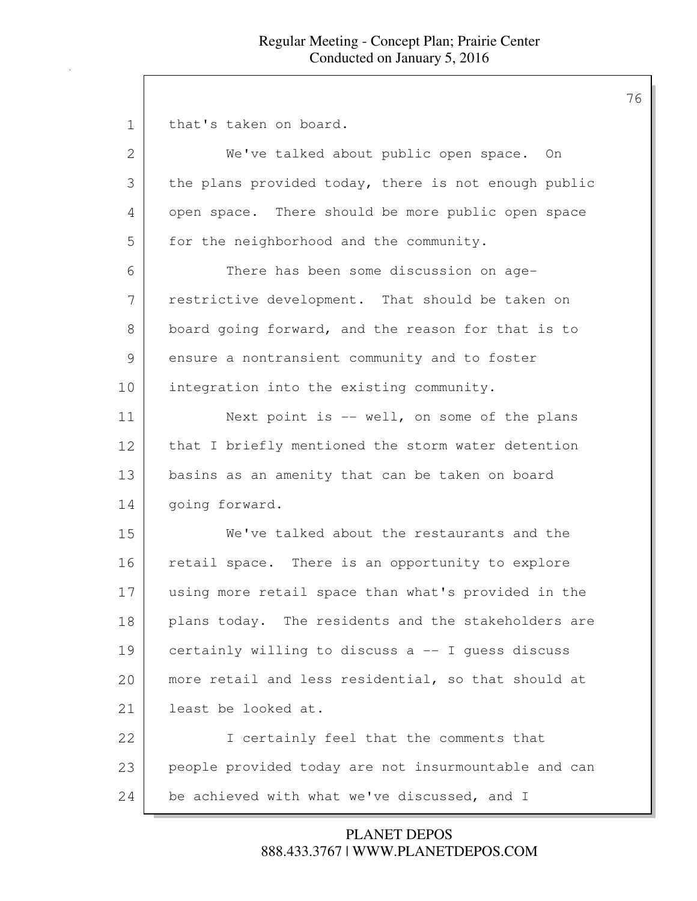| 1  | that's taken on board.                               |
|----|------------------------------------------------------|
| 2  | We've talked about public open space. On             |
| 3  | the plans provided today, there is not enough public |
| 4  | open space. There should be more public open space   |
| 5  | for the neighborhood and the community.              |
| 6  | There has been some discussion on age-               |
| 7  | restrictive development. That should be taken on     |
| 8  | board going forward, and the reason for that is to   |
| 9  | ensure a nontransient community and to foster        |
| 10 | integration into the existing community.             |
| 11 | Next point is -- well, on some of the plans          |
| 12 | that I briefly mentioned the storm water detention   |
| 13 | basins as an amenity that can be taken on board      |
| 14 | going forward.                                       |
| 15 | We've talked about the restaurants and the           |
| 16 | retail space. There is an opportunity to explore     |
| 17 | using more retail space than what's provided in the  |
| 18 | plans today. The residents and the stakeholders are  |
| 19 | certainly willing to discuss a -- I guess discuss    |
| 20 | more retail and less residential, so that should at  |
| 21 | least be looked at.                                  |
| 22 | I certainly feel that the comments that              |
| 23 | people provided today are not insurmountable and can |
| 24 | be achieved with what we've discussed, and I         |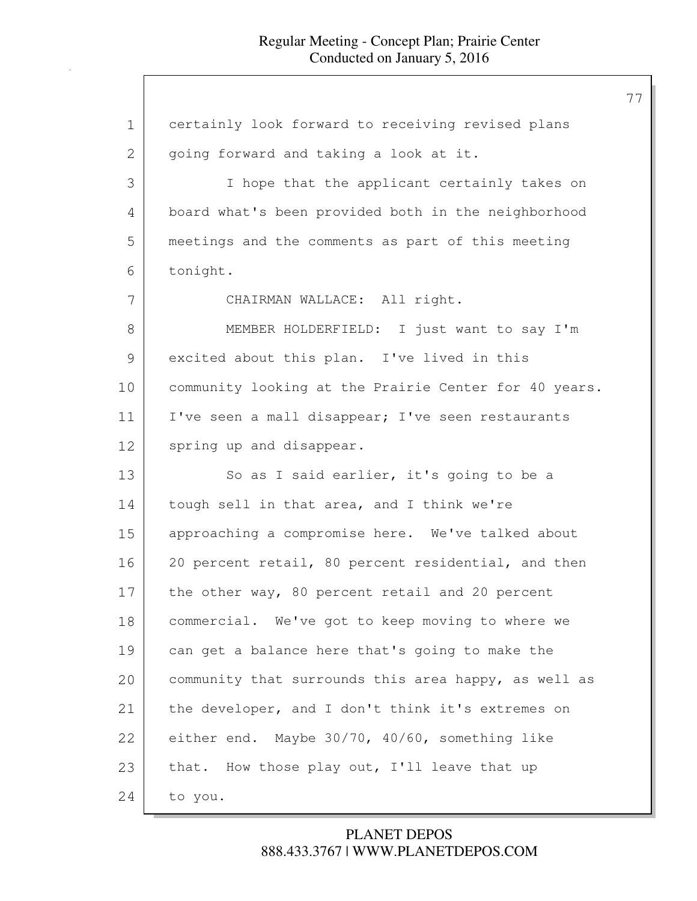| 1  | certainly look forward to receiving revised plans     |
|----|-------------------------------------------------------|
| 2  | going forward and taking a look at it.                |
| 3  | I hope that the applicant certainly takes on          |
| 4  | board what's been provided both in the neighborhood   |
| 5  | meetings and the comments as part of this meeting     |
| 6  | tonight.                                              |
| 7  | CHAIRMAN WALLACE: All right.                          |
| 8  | MEMBER HOLDERFIELD: I just want to say I'm            |
| 9  | excited about this plan. I've lived in this           |
| 10 | community looking at the Prairie Center for 40 years. |
| 11 | I've seen a mall disappear; I've seen restaurants     |
| 12 | spring up and disappear.                              |
| 13 | So as I said earlier, it's going to be a              |
| 14 | tough sell in that area, and I think we're            |
| 15 | approaching a compromise here. We've talked about     |
| 16 | 20 percent retail, 80 percent residential, and then   |
| 17 | the other way, 80 percent retail and 20 percent       |
| 18 | commercial. We've got to keep moving to where we      |
| 19 | can get a balance here that's going to make the       |
| 20 | community that surrounds this area happy, as well as  |
| 21 | the developer, and I don't think it's extremes on     |
| 22 | either end. Maybe 30/70, 40/60, something like        |
| 23 | that. How those play out, I'll leave that up          |
| 24 | to you.                                               |

# 888.433.3767 | WWW.PLANETDEPOS.COM PLANET DEPOS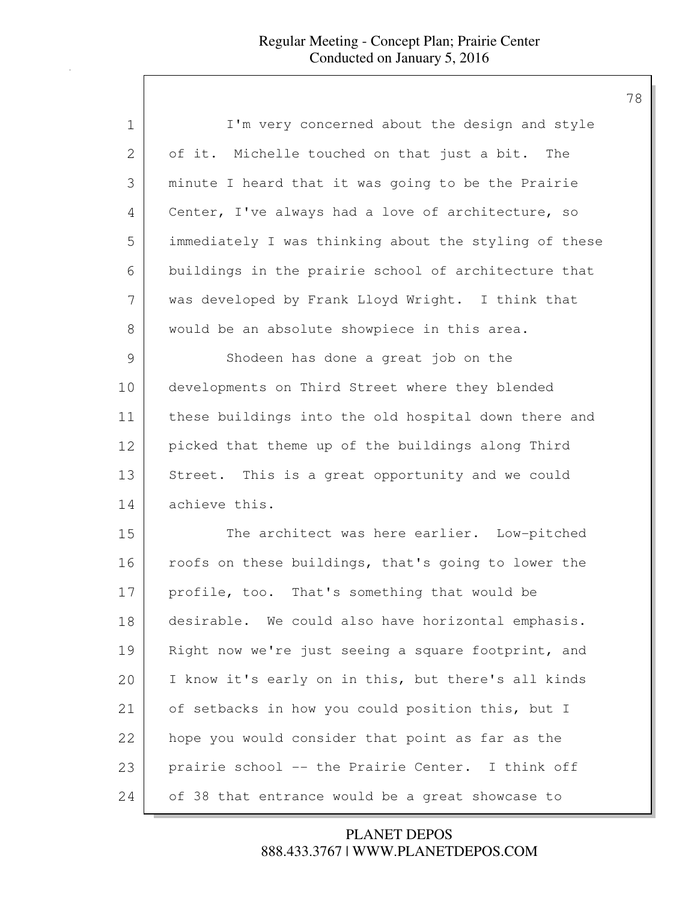| 1  | I'm very concerned about the design and style         |
|----|-------------------------------------------------------|
| 2  | of it. Michelle touched on that just a bit.<br>The    |
| 3  | minute I heard that it was going to be the Prairie    |
| 4  | Center, I've always had a love of architecture, so    |
| 5  | immediately I was thinking about the styling of these |
| 6  | buildings in the prairie school of architecture that  |
| 7  | was developed by Frank Lloyd Wright. I think that     |
| 8  | would be an absolute showpiece in this area.          |
| 9  | Shodeen has done a great job on the                   |
| 10 | developments on Third Street where they blended       |
| 11 | these buildings into the old hospital down there and  |
| 12 | picked that theme up of the buildings along Third     |
| 13 | Street. This is a great opportunity and we could      |
| 14 | achieve this.                                         |
| 15 | The architect was here earlier. Low-pitched           |
| 16 | roofs on these buildings, that's going to lower the   |
| 17 | profile, too. That's something that would be          |
| 18 | desirable. We could also have horizontal emphasis.    |
| 19 | Right now we're just seeing a square footprint, and   |
| 20 | I know it's early on in this, but there's all kinds   |
| 21 | of setbacks in how you could position this, but I     |
| 22 | hope you would consider that point as far as the      |
| 23 | prairie school -- the Prairie Center. I think off     |
| 24 | of 38 that entrance would be a great showcase to      |

888.433.3767 | WWW.PLANETDEPOS.COM PLANET DEPOS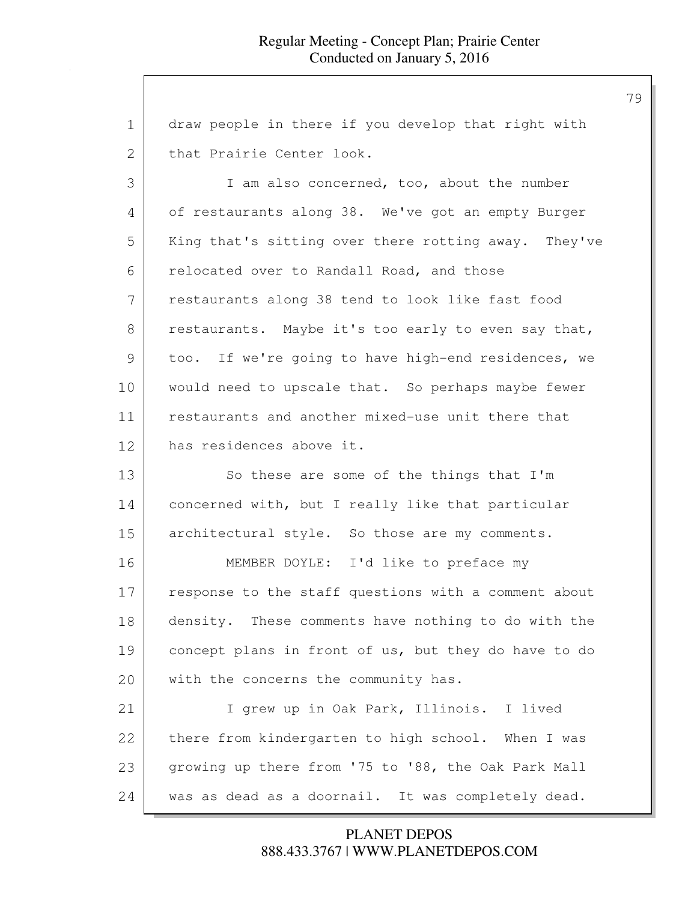| $\mathbf 1$ | draw people in there if you develop that right with  |
|-------------|------------------------------------------------------|
| 2           | that Prairie Center look.                            |
| 3           | I am also concerned, too, about the number           |
| 4           | of restaurants along 38. We've got an empty Burger   |
| 5           | King that's sitting over there rotting away. They've |
| 6           | relocated over to Randall Road, and those            |
| 7           | restaurants along 38 tend to look like fast food     |
| 8           | restaurants. Maybe it's too early to even say that,  |
| 9           | too. If we're going to have high-end residences, we  |
| 10          | would need to upscale that. So perhaps maybe fewer   |
| 11          | restaurants and another mixed-use unit there that    |
| 12          | has residences above it.                             |
| 13          | So these are some of the things that I'm             |
| 14          | concerned with, but I really like that particular    |
| 15          | architectural style. So those are my comments.       |
| 16          | MEMBER DOYLE: I'd like to preface my                 |
| 17          | response to the staff questions with a comment about |
| 18          | density. These comments have nothing to do with the  |
| 19          | concept plans in front of us, but they do have to do |
| 20          | with the concerns the community has.                 |
| 21          | I grew up in Oak Park, Illinois. I lived             |
| 22          | there from kindergarten to high school. When I was   |
| 23          | growing up there from '75 to '88, the Oak Park Mall  |
| 24          | was as dead as a doornail. It was completely dead.   |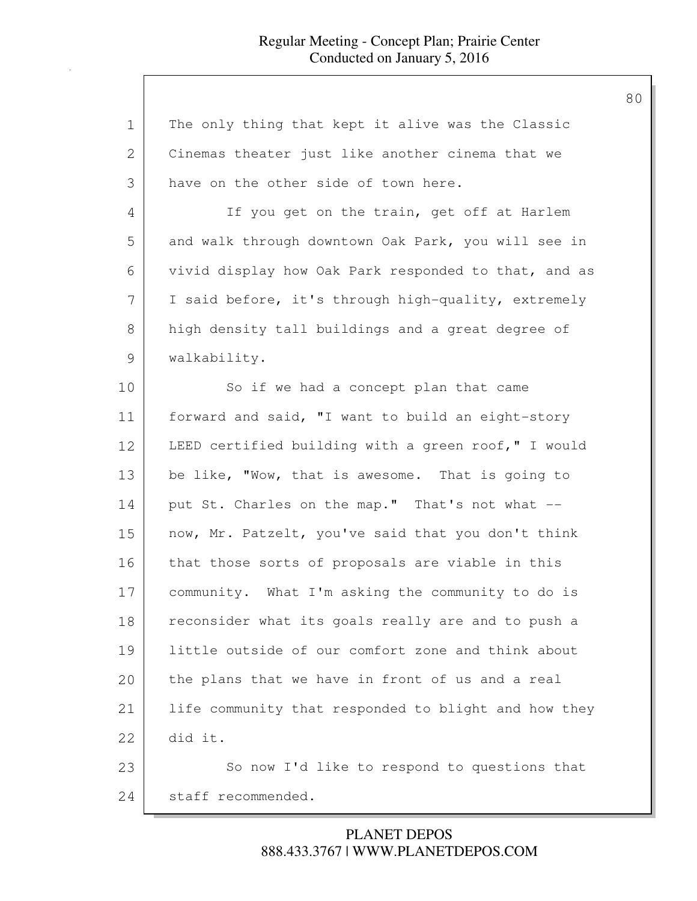| $\mathbf 1$   | The only thing that kept it alive was the Classic    |
|---------------|------------------------------------------------------|
| $\mathbf{2}$  | Cinemas theater just like another cinema that we     |
| 3             | have on the other side of town here.                 |
| 4             | If you get on the train, get off at Harlem           |
| 5             | and walk through downtown Oak Park, you will see in  |
| 6             | vivid display how Oak Park responded to that, and as |
| 7             | I said before, it's through high-quality, extremely  |
| $8\,$         | high density tall buildings and a great degree of    |
| $\mathcal{G}$ | walkability.                                         |
| 10            | So if we had a concept plan that came                |
| 11            | forward and said, "I want to build an eight-story    |
| 12            | LEED certified building with a green roof," I would  |
| 13            | be like, "Wow, that is awesome. That is going to     |
| 14            | put St. Charles on the map." That's not what --      |
| 15            | now, Mr. Patzelt, you've said that you don't think   |
| 16            | that those sorts of proposals are viable in this     |
| 17            | community. What I'm asking the community to do is    |
| 18            | reconsider what its goals really are and to push a   |
| 19            | little outside of our comfort zone and think about   |
| 20            | the plans that we have in front of us and a real     |
| 21            | life community that responded to blight and how they |
| 22            | did it.                                              |
| 23            | So now I'd like to respond to questions that         |
| 24            | staff recommended.                                   |

# 888.433.3767 | WWW.PLANETDEPOS.COM PLANET DEPOS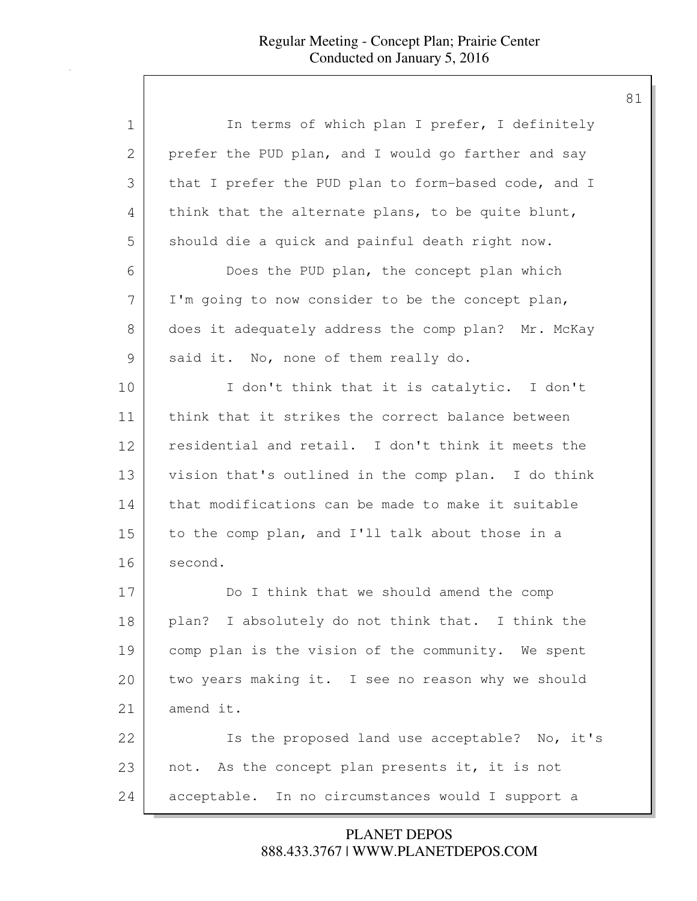| 1  | In terms of which plan I prefer, I definitely        |
|----|------------------------------------------------------|
| 2  | prefer the PUD plan, and I would go farther and say  |
| 3  | that I prefer the PUD plan to form-based code, and I |
| 4  | think that the alternate plans, to be quite blunt,   |
| 5  | should die a quick and painful death right now.      |
| 6  | Does the PUD plan, the concept plan which            |
| 7  | I'm going to now consider to be the concept plan,    |
| 8  | does it adequately address the comp plan? Mr. McKay  |
| 9  | said it. No, none of them really do.                 |
| 10 | I don't think that it is catalytic. I don't          |
| 11 | think that it strikes the correct balance between    |
| 12 | residential and retail. I don't think it meets the   |
| 13 | vision that's outlined in the comp plan. I do think  |
| 14 | that modifications can be made to make it suitable   |
| 15 | to the comp plan, and I'll talk about those in a     |
| 16 | second.                                              |
| 17 | Do I think that we should amend the comp             |
| 18 | plan? I absolutely do not think that. I think the    |
| 19 | comp plan is the vision of the community. We spent   |
| 20 | two years making it. I see no reason why we should   |
| 21 | amend it.                                            |
| 22 | Is the proposed land use acceptable? No, it's        |
| 23 | not. As the concept plan presents it, it is not      |
| 24 | acceptable. In no circumstances would I support a    |

888.433.3767 | WWW.PLANETDEPOS.COM PLANET DEPOS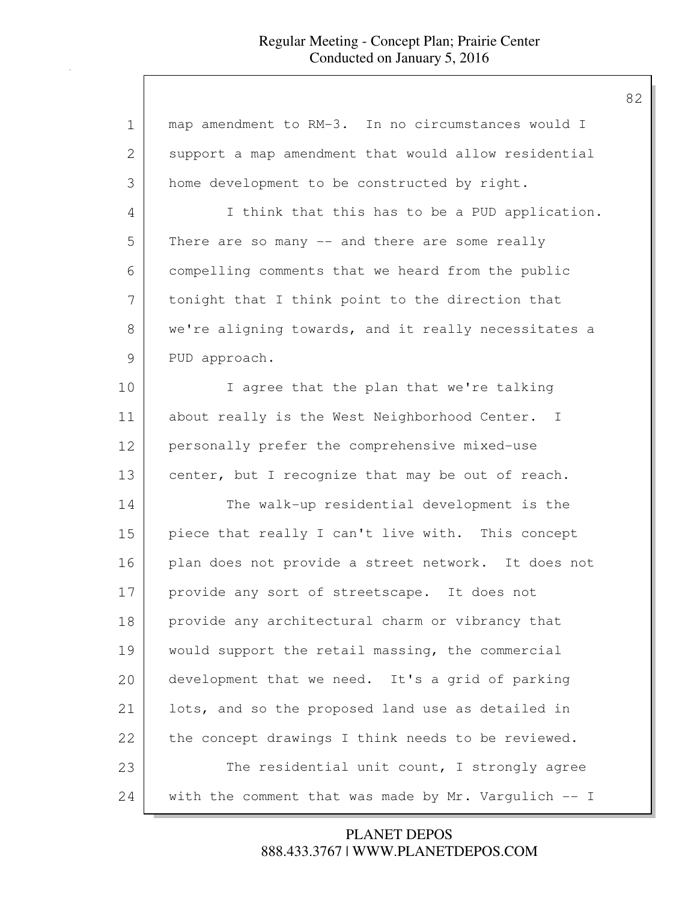| $\mathbf 1$ | map amendment to RM-3. In no circumstances would I   |
|-------------|------------------------------------------------------|
| 2           | support a map amendment that would allow residential |
| 3           | home development to be constructed by right.         |
| 4           | I think that this has to be a PUD application.       |
| 5           | There are so many -- and there are some really       |
| 6           | compelling comments that we heard from the public    |
| 7           | tonight that I think point to the direction that     |
| 8           | we're aligning towards, and it really necessitates a |
| 9           | PUD approach.                                        |
| 10          | I agree that the plan that we're talking             |
| 11          | about really is the West Neighborhood Center. I      |
| 12          | personally prefer the comprehensive mixed-use        |
| 13          | center, but I recognize that may be out of reach.    |
| 14          | The walk-up residential development is the           |
| 15          | piece that really I can't live with. This concept    |
| 16          | plan does not provide a street network. It does not  |
| 17          | provide any sort of streetscape. It does not         |
| 18          | provide any architectural charm or vibrancy that     |
| 19          | would support the retail massing, the commercial     |
| 20          | development that we need. It's a grid of parking     |
| 21          | lots, and so the proposed land use as detailed in    |
| 22          | the concept drawings I think needs to be reviewed.   |
| 23          | The residential unit count, I strongly agree         |
| 24          | with the comment that was made by Mr. Vargulich -- I |
|             |                                                      |

888.433.3767 | WWW.PLANETDEPOS.COM PLANET DEPOS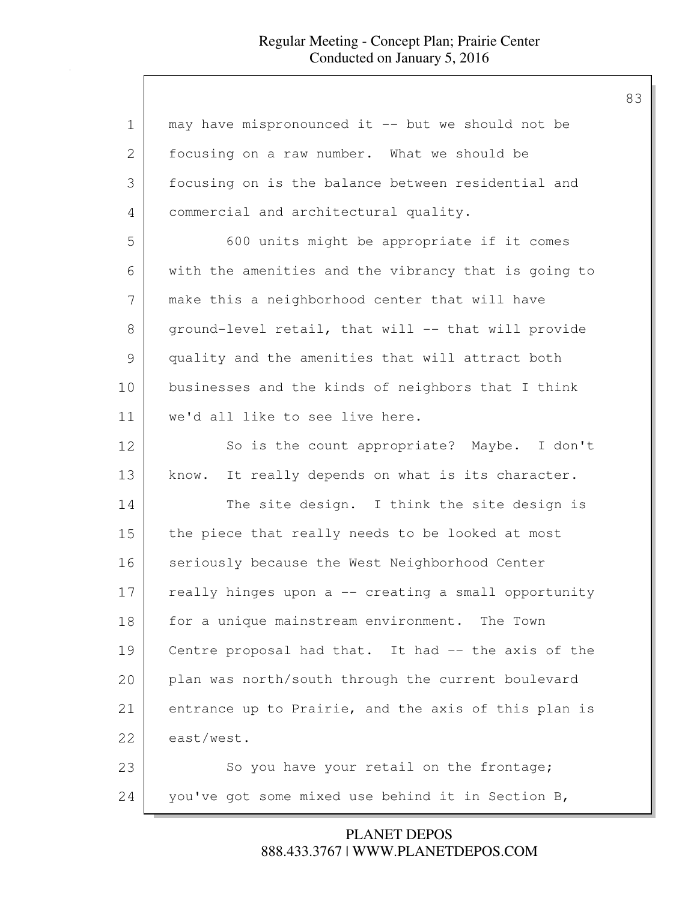| $\mathbf 1$ | may have mispronounced it -- but we should not be    |
|-------------|------------------------------------------------------|
| 2           | focusing on a raw number. What we should be          |
| 3           | focusing on is the balance between residential and   |
| 4           | commercial and architectural quality.                |
| 5           | 600 units might be appropriate if it comes           |
| 6           | with the amenities and the vibrancy that is going to |
| 7           | make this a neighborhood center that will have       |
| 8           | ground-level retail, that will -- that will provide  |
| 9           | quality and the amenities that will attract both     |
| 10          | businesses and the kinds of neighbors that I think   |
| 11          | we'd all like to see live here.                      |
| 12          | So is the count appropriate? Maybe. I don't          |
| 13          | know. It really depends on what is its character.    |
| 14          | The site design. I think the site design is          |
| 15          | the piece that really needs to be looked at most     |
| 16          | seriously because the West Neighborhood Center       |
| 17          | really hinges upon a -- creating a small opportunity |
| 18          | for a unique mainstream environment. The Town        |
| 19          | Centre proposal had that. It had -- the axis of the  |
| 20          | plan was north/south through the current boulevard   |
| 21          | entrance up to Prairie, and the axis of this plan is |
| 22          | east/west.                                           |
| 23          | So you have your retail on the frontage;             |
| 24          | you've got some mixed use behind it in Section B,    |

888.433.3767 | WWW.PLANETDEPOS.COM PLANET DEPOS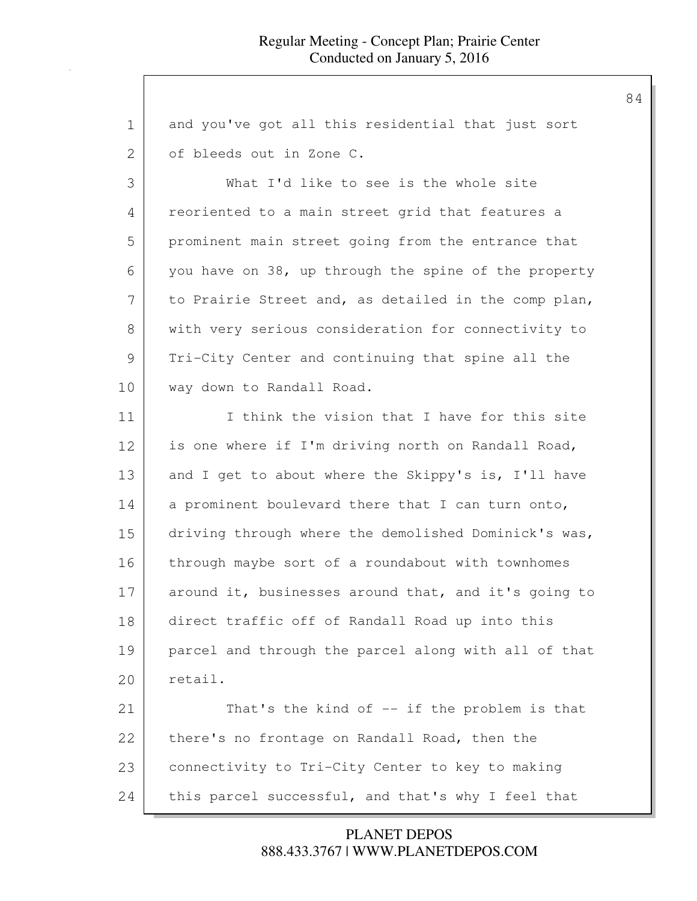| $\mathbf 1$   | and you've got all this residential that just sort   |
|---------------|------------------------------------------------------|
| $\mathbf{2}$  | of bleeds out in Zone C.                             |
| 3             | What I'd like to see is the whole site               |
| 4             | reoriented to a main street grid that features a     |
| 5             | prominent main street going from the entrance that   |
| 6             | you have on 38, up through the spine of the property |
| 7             | to Prairie Street and, as detailed in the comp plan, |
| 8             | with very serious consideration for connectivity to  |
| $\mathcal{G}$ | Tri-City Center and continuing that spine all the    |
| 10            | way down to Randall Road.                            |
| 11            | I think the vision that I have for this site         |
| 12            | is one where if I'm driving north on Randall Road,   |
| 13            | and I get to about where the Skippy's is, I'll have  |
| 14            | a prominent boulevard there that I can turn onto,    |
| 15            | driving through where the demolished Dominick's was, |
| 16            | through maybe sort of a roundabout with townhomes    |
| 17            | around it, businesses around that, and it's going to |
| 18            | direct traffic off of Randall Road up into this      |
| 19            | parcel and through the parcel along with all of that |
| 20            | retail.                                              |
| 21            | That's the kind of -- if the problem is that         |
| 22            | there's no frontage on Randall Road, then the        |
| 23            | connectivity to Tri-City Center to key to making     |
| 24            | this parcel successful, and that's why I feel that   |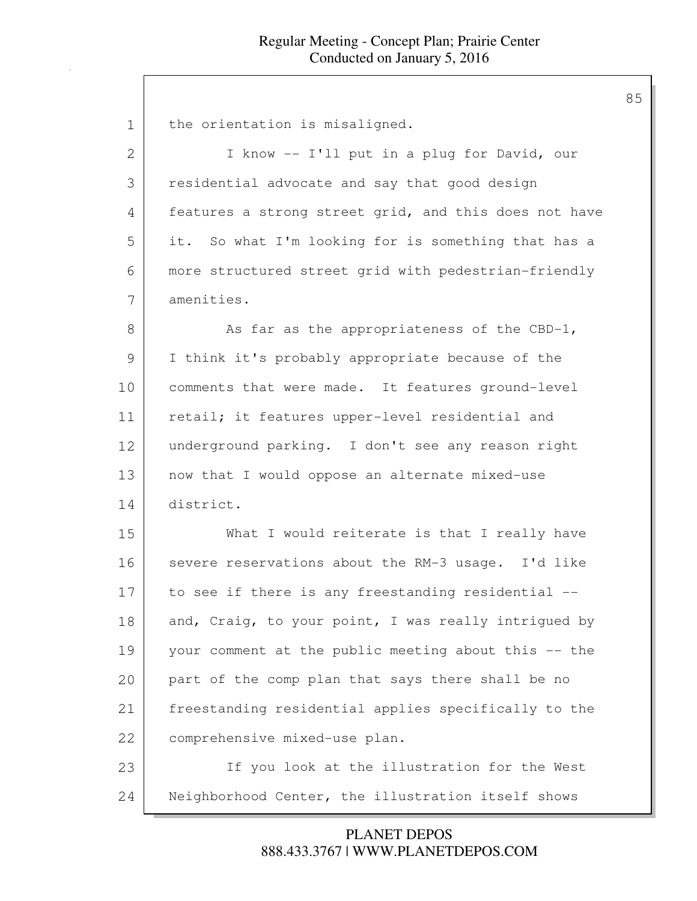| 1             | the orientation is misaligned.                        |
|---------------|-------------------------------------------------------|
| 2             | I know -- I'll put in a plug for David, our           |
| 3             | residential advocate and say that good design         |
| 4             | features a strong street grid, and this does not have |
| 5             | it. So what I'm looking for is something that has a   |
| 6             | more structured street grid with pedestrian-friendly  |
| 7             | amenities.                                            |
| 8             | As far as the appropriateness of the CBD-1,           |
| $\mathcal{G}$ | I think it's probably appropriate because of the      |
| 10            | comments that were made. It features ground-level     |
| 11            | retail; it features upper-level residential and       |
| 12            | underground parking. I don't see any reason right     |
| 13            | now that I would oppose an alternate mixed-use        |
| 14            | district.                                             |
| 15            | What I would reiterate is that I really have          |
| 16            | severe reservations about the RM-3 usage. I'd like    |
| 17            | to see if there is any freestanding residential --    |
| 18            | and, Craig, to your point, I was really intrigued by  |
| 19            | your comment at the public meeting about this -- the  |
| 20            | part of the comp plan that says there shall be no     |
| 21            | freestanding residential applies specifically to the  |
| 22            | comprehensive mixed-use plan.                         |
| 23            | If you look at the illustration for the West          |
| 24            | Neighborhood Center, the illustration itself shows    |
|               |                                                       |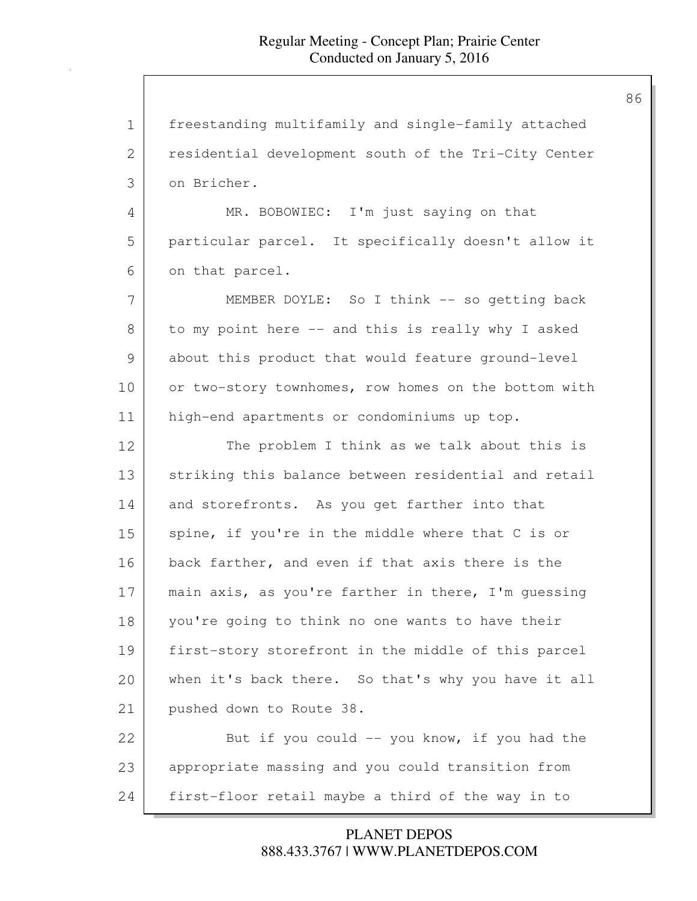1 freestanding multifamily and single-family attached 2 | residential development south of the Tri-City Center 3 on Bricher. 4 MR. BOBOWIEC: I'm just saying on that 5 particular parcel. It specifically doesn't allow it 6 on that parcel. 7 | MEMBER DOYLE: So I think -- so getting back 8 to my point here -- and this is really why I asked 9 about this product that would feature ground-level 10 or two-story townhomes, row homes on the bottom with 11 high-end apartments or condominiums up top. 12 The problem I think as we talk about this is 13 striking this balance between residential and retail 14 and storefronts. As you get farther into that 15 spine, if you're in the middle where that C is or 16 back farther, and even if that axis there is the 17 | main axis, as you're farther in there, I'm quessing 18 you're going to think no one wants to have their 19 first-story storefront in the middle of this parcel 20 when it's back there. So that's why you have it all 21 pushed down to Route 38. 22 But if you could -- you know, if you had the 23 appropriate massing and you could transition from 24 first-floor retail maybe a third of the way in to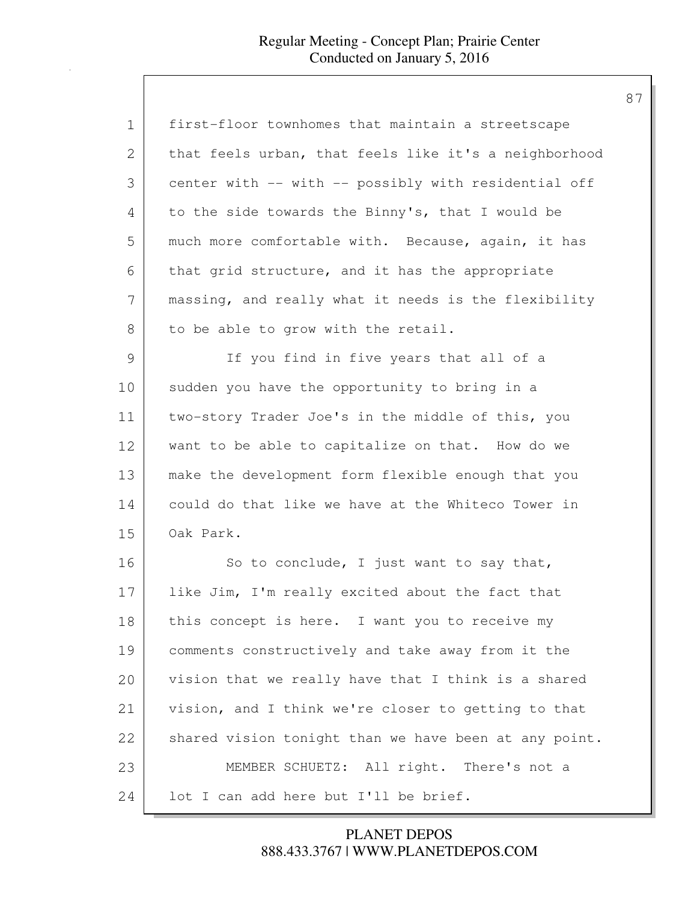| 1  | first-floor townhomes that maintain a streetscape     |
|----|-------------------------------------------------------|
| 2  | that feels urban, that feels like it's a neighborhood |
| 3  | center with -- with -- possibly with residential off  |
| 4  | to the side towards the Binny's, that I would be      |
| 5  | much more comfortable with. Because, again, it has    |
| 6  | that grid structure, and it has the appropriate       |
| 7  | massing, and really what it needs is the flexibility  |
| 8  | to be able to grow with the retail.                   |
| 9  | If you find in five years that all of a               |
| 10 | sudden you have the opportunity to bring in a         |
| 11 | two-story Trader Joe's in the middle of this, you     |
| 12 | want to be able to capitalize on that. How do we      |
| 13 | make the development form flexible enough that you    |
| 14 | could do that like we have at the Whiteco Tower in    |
| 15 | Oak Park.                                             |
| 16 | So to conclude, I just want to say that,              |
| 17 | like Jim, I'm really excited about the fact that      |
| 18 | this concept is here. I want you to receive my        |
| 19 | comments constructively and take away from it the     |
| 20 | vision that we really have that I think is a shared   |
| 21 | vision, and I think we're closer to getting to that   |
| 22 | shared vision tonight than we have been at any point. |
| 23 | MEMBER SCHUETZ: All right. There's not a              |
| 24 | lot I can add here but I'll be brief.                 |

888.433.3767 | WWW.PLANETDEPOS.COM PLANET DEPOS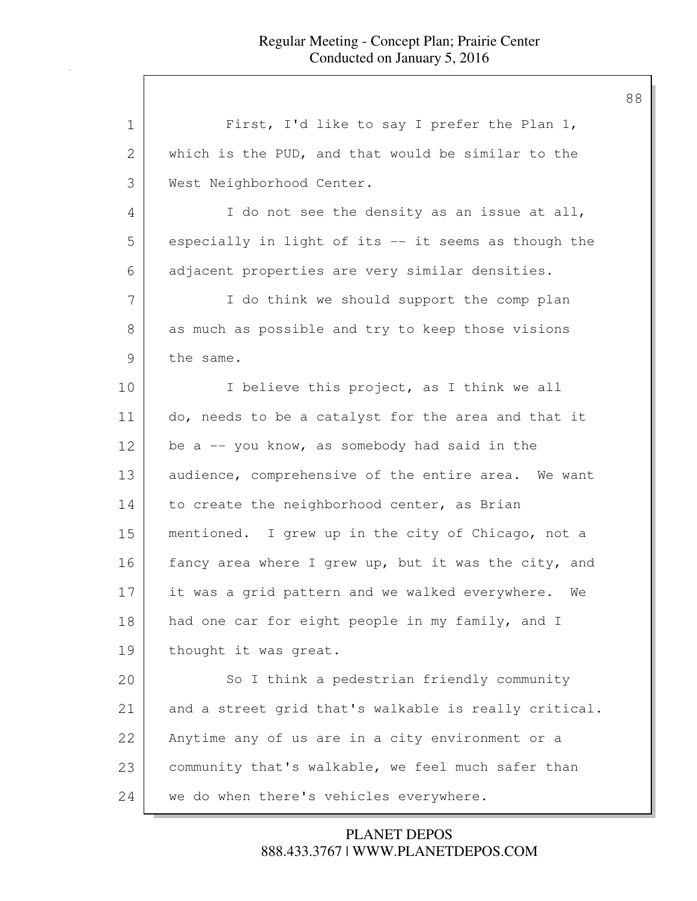| 1  | First, I'd like to say I prefer the Plan 1,           |
|----|-------------------------------------------------------|
| 2  | which is the PUD, and that would be similar to the    |
| 3  | West Neighborhood Center.                             |
| 4  | I do not see the density as an issue at all,          |
| 5  | especially in light of its -- it seems as though the  |
| 6  | adjacent properties are very similar densities.       |
| 7  | I do think we should support the comp plan            |
| 8  | as much as possible and try to keep those visions     |
| 9  | the same.                                             |
| 10 | I believe this project, as I think we all             |
| 11 | do, needs to be a catalyst for the area and that it   |
| 12 | be $a$ -- you know, as somebody had said in the       |
| 13 | audience, comprehensive of the entire area. We want   |
| 14 | to create the neighborhood center, as Brian           |
| 15 | mentioned. I grew up in the city of Chicago, not a    |
| 16 | fancy area where I grew up, but it was the city, and  |
| 17 | it was a grid pattern and we walked everywhere.<br>We |
| 18 | had one car for eight people in my family, and I      |
| 19 | thought it was great.                                 |
| 20 | So I think a pedestrian friendly community            |
| 21 | and a street grid that's walkable is really critical. |
| 22 | Anytime any of us are in a city environment or a      |
| 23 | community that's walkable, we feel much safer than    |
| 24 | we do when there's vehicles everywhere.               |

888.433.3767 | WWW.PLANETDEPOS.COM PLANET DEPOS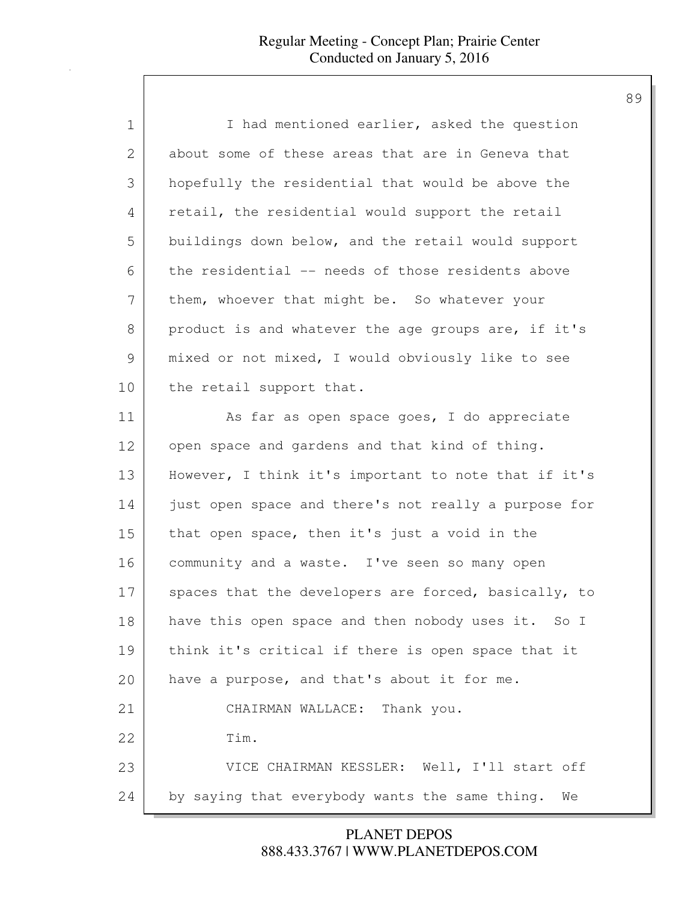| $\mathbf 1$   | I had mentioned earlier, asked the question          |
|---------------|------------------------------------------------------|
| $\mathbf{2}$  | about some of these areas that are in Geneva that    |
| 3             | hopefully the residential that would be above the    |
| 4             | retail, the residential would support the retail     |
| 5             | buildings down below, and the retail would support   |
| 6             | the residential -- needs of those residents above    |
| 7             | them, whoever that might be. So whatever your        |
| $8\,$         | product is and whatever the age groups are, if it's  |
| $\mathcal{G}$ | mixed or not mixed, I would obviously like to see    |
| 10            | the retail support that.                             |
| 11            | As far as open space goes, I do appreciate           |
| 12            | open space and gardens and that kind of thing.       |
| 13            | However, I think it's important to note that if it's |
| 14            | just open space and there's not really a purpose for |
| 15            | that open space, then it's just a void in the        |
| 16            | community and a waste. I've seen so many open        |
| 17            | spaces that the developers are forced, basically, to |
| 18            | have this open space and then nobody uses it. So I   |
| 19            | think it's critical if there is open space that it   |
| 20            | have a purpose, and that's about it for me.          |
| 21            | CHAIRMAN WALLACE: Thank you.                         |
| 22            | Tim.                                                 |
| 23            | VICE CHAIRMAN KESSLER: Well, I'll start off          |
| 24            | by saying that everybody wants the same thing.<br>We |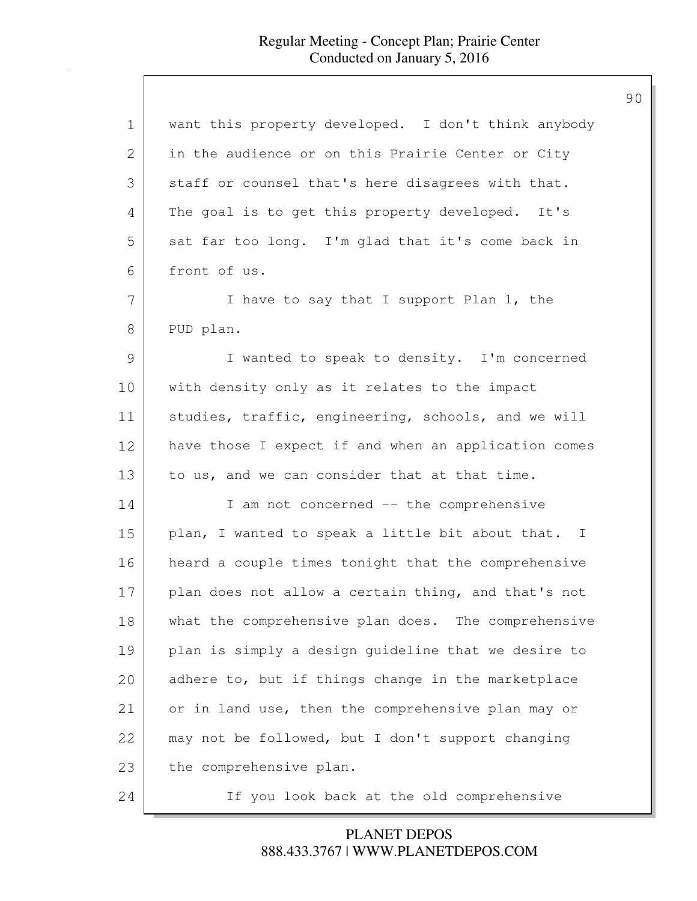| 1             | want this property developed. I don't think anybody  |
|---------------|------------------------------------------------------|
| 2             | in the audience or on this Prairie Center or City    |
| 3             | staff or counsel that's here disagrees with that.    |
| 4             | The goal is to get this property developed. It's     |
| 5             | sat far too long. I'm glad that it's come back in    |
| 6             | front of us.                                         |
| 7             | I have to say that I support Plan 1, the             |
| 8             | PUD plan.                                            |
| $\mathcal{G}$ | I wanted to speak to density. I'm concerned          |
| 10            | with density only as it relates to the impact        |
| 11            | studies, traffic, engineering, schools, and we will  |
| 12            | have those I expect if and when an application comes |
| 13            | to us, and we can consider that at that time.        |
| 14            | I am not concerned -- the comprehensive              |
| 15            | plan, I wanted to speak a little bit about that. I   |
| 16            | heard a couple times tonight that the comprehensive  |
| 17            | plan does not allow a certain thing, and that's not  |
| 18            | what the comprehensive plan does. The comprehensive  |
| 19            | plan is simply a design guideline that we desire to  |
| 20            | adhere to, but if things change in the marketplace   |
| 21            | or in land use, then the comprehensive plan may or   |
| 22            | may not be followed, but I don't support changing    |
| 23            | the comprehensive plan.                              |
| 24            | If you look back at the old comprehensive            |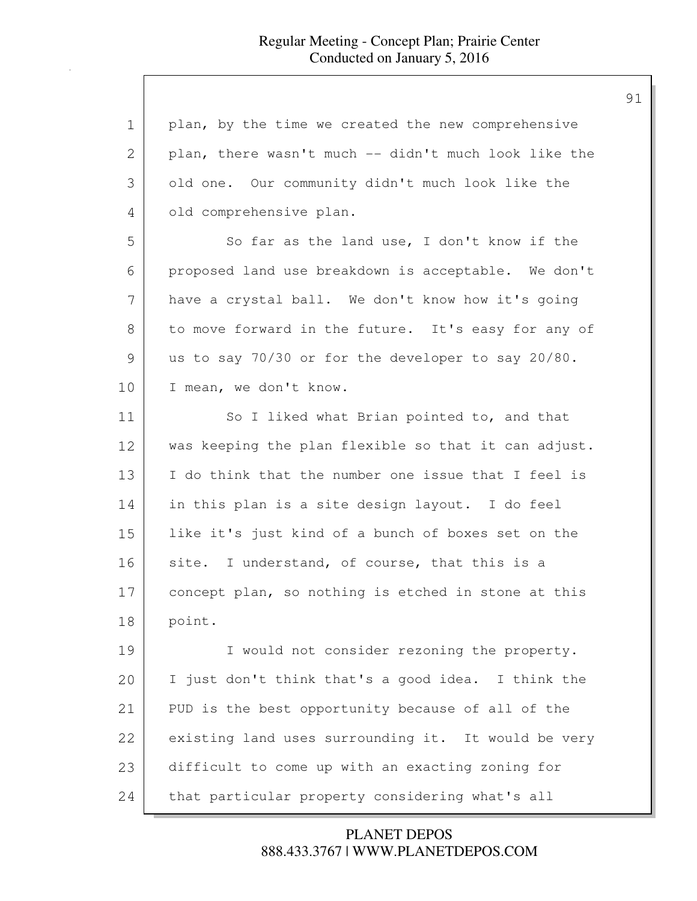| $\mathbf 1$ | plan, by the time we created the new comprehensive   |
|-------------|------------------------------------------------------|
| 2           | plan, there wasn't much -- didn't much look like the |
| 3           | old one. Our community didn't much look like the     |
| 4           | old comprehensive plan.                              |
| 5           | So far as the land use, I don't know if the          |
| 6           | proposed land use breakdown is acceptable. We don't  |
| 7           | have a crystal ball. We don't know how it's going    |
| 8           | to move forward in the future. It's easy for any of  |
| 9           | us to say 70/30 or for the developer to say 20/80.   |
| 10          | I mean, we don't know.                               |
| 11          | So I liked what Brian pointed to, and that           |
| 12          | was keeping the plan flexible so that it can adjust. |
| 13          | I do think that the number one issue that I feel is  |
| 14          | in this plan is a site design layout. I do feel      |
| 15          | like it's just kind of a bunch of boxes set on the   |
| 16          | site. I understand, of course, that this is a        |
| 17          | concept plan, so nothing is etched in stone at this  |
| 18          | point.                                               |
| 19          | I would not consider rezoning the property.          |
| 20          | I just don't think that's a good idea. I think the   |
| 21          | PUD is the best opportunity because of all of the    |
| 22          | existing land uses surrounding it. It would be very  |
| 23          | difficult to come up with an exacting zoning for     |
| 24          | that particular property considering what's all      |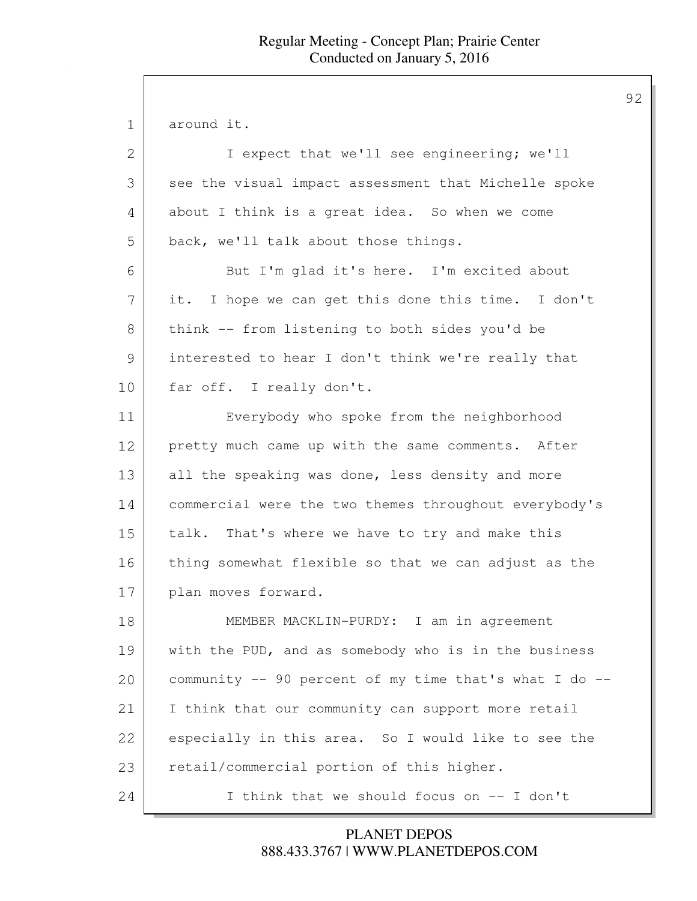1 around it.

| $\overline{2}$ | I expect that we'll see engineering; we'll             |
|----------------|--------------------------------------------------------|
| 3              | see the visual impact assessment that Michelle spoke   |
| 4              | about I think is a great idea. So when we come         |
| 5              | back, we'll talk about those things.                   |
| 6              | But I'm glad it's here. I'm excited about              |
| 7              | it. I hope we can get this done this time. I don't     |
| 8              | think -- from listening to both sides you'd be         |
| 9              | interested to hear I don't think we're really that     |
| 10             | far off. I really don't.                               |
| 11             | Everybody who spoke from the neighborhood              |
| 12             | pretty much came up with the same comments. After      |
| 13             | all the speaking was done, less density and more       |
| 14             | commercial were the two themes throughout everybody's  |
| 15             | talk. That's where we have to try and make this        |
| 16             | thing somewhat flexible so that we can adjust as the   |
| 17             | plan moves forward.                                    |
| 18             | MEMBER MACKLIN-PURDY: I am in agreement                |
| 19             | with the PUD, and as somebody who is in the business   |
| 20             | community -- 90 percent of my time that's what I do -- |
| 21             | I think that our community can support more retail     |
| 22             | especially in this area. So I would like to see the    |
| 23             | retail/commercial portion of this higher.              |
| 24             | I think that we should focus on -- I don't             |

888.433.3767 | WWW.PLANETDEPOS.COM PLANET DEPOS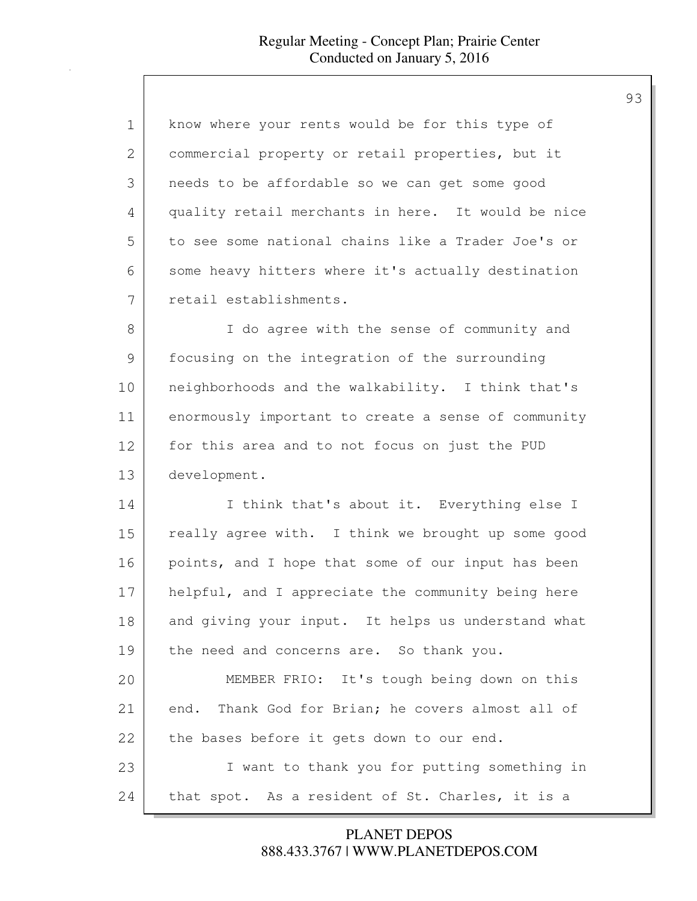| 1             | know where your rents would be for this type of      |
|---------------|------------------------------------------------------|
| 2             | commercial property or retail properties, but it     |
| 3             | needs to be affordable so we can get some good       |
| 4             | quality retail merchants in here. It would be nice   |
| 5             | to see some national chains like a Trader Joe's or   |
| 6             | some heavy hitters where it's actually destination   |
| 7             | retail establishments.                               |
| $8\,$         | I do agree with the sense of community and           |
| $\mathcal{G}$ | focusing on the integration of the surrounding       |
| 10            | neighborhoods and the walkability. I think that's    |
| 11            | enormously important to create a sense of community  |
| 12            | for this area and to not focus on just the PUD       |
| 13            | development.                                         |
| 14            | I think that's about it. Everything else I           |
| 15            | really agree with. I think we brought up some good   |
| 16            | points, and I hope that some of our input has been   |
| 17            | helpful, and I appreciate the community being here   |
| 18            | and giving your input. It helps us understand what   |
| 19            | the need and concerns are. So thank you.             |
| 20            | MEMBER FRIO: It's tough being down on this           |
| 21            | Thank God for Brian; he covers almost all of<br>end. |
| 22            | the bases before it gets down to our end.            |
| 23            | I want to thank you for putting something in         |
| 24            | that spot. As a resident of St. Charles, it is a     |

888.433.3767 | WWW.PLANETDEPOS.COM PLANET DEPOS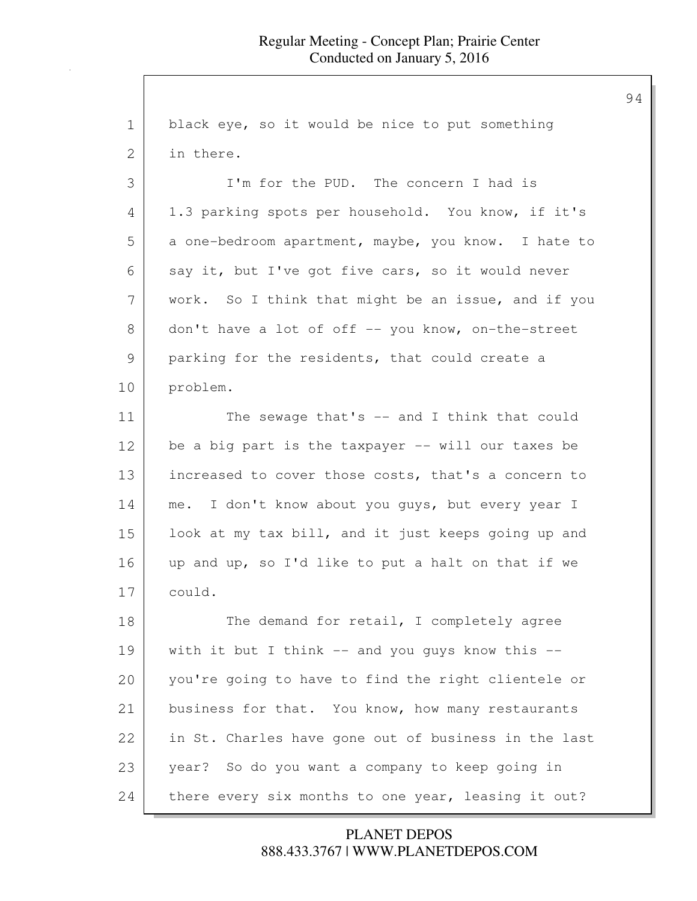1 black eye, so it would be nice to put something 2 in there. 3 I'm for the PUD. The concern I had is 4 1.3 parking spots per household. You know, if it's 5 a one-bedroom apartment, maybe, you know. I hate to 6 say it, but I've got five cars, so it would never 7 | work. So I think that might be an issue, and if you 8 don't have a lot of off -- you know, on-the-street 9 parking for the residents, that could create a 10 problem. 11 The sewage that's -- and I think that could 12 be a big part is the taxpayer -- will our taxes be 13 increased to cover those costs, that's a concern to 14 me. I don't know about you guys, but every year I 15 look at my tax bill, and it just keeps going up and 16 up and up, so I'd like to put a halt on that if we 17 could. 18 The demand for retail, I completely agree 19 with it but I think -- and you guys know this --20 you're going to have to find the right clientele or 21 business for that. You know, how many restaurants 22 in St. Charles have gone out of business in the last 23 year? So do you want a company to keep going in 24 there every six months to one year, leasing it out?

### 888.433.3767 | WWW.PLANETDEPOS.COM PLANET DEPOS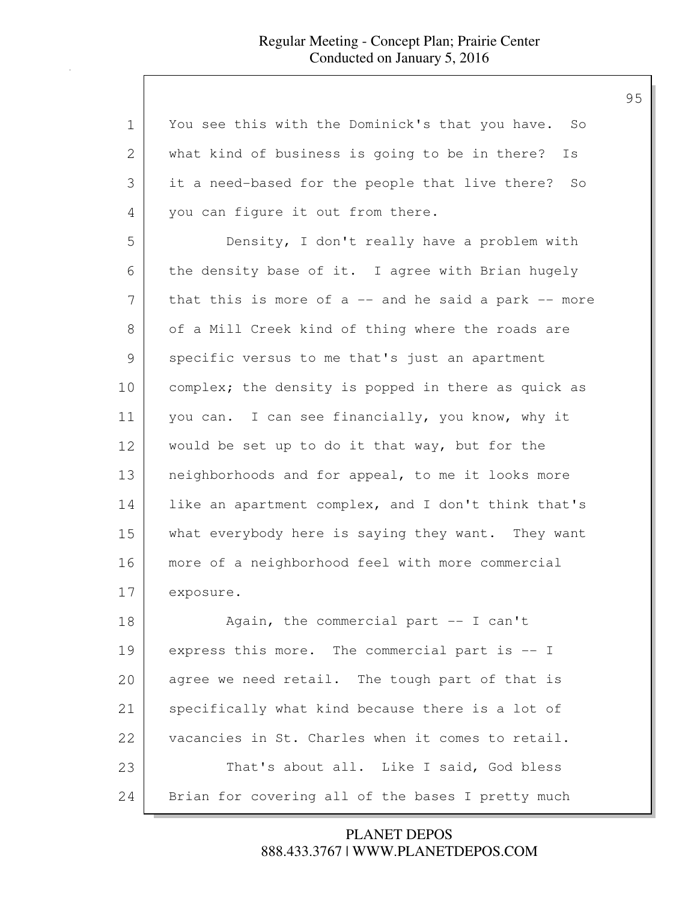| $\mathbf 1$ | You see this with the Dominick's that you have. So     |
|-------------|--------------------------------------------------------|
| 2           | what kind of business is going to be in there?<br>Is   |
| 3           | it a need-based for the people that live there?<br>So  |
| 4           | you can figure it out from there.                      |
| 5           | Density, I don't really have a problem with            |
| 6           | the density base of it. I agree with Brian hugely      |
| 7           | that this is more of $a$ -- and he said a park -- more |
| 8           | of a Mill Creek kind of thing where the roads are      |
| 9           | specific versus to me that's just an apartment         |
| 10          | complex; the density is popped in there as quick as    |
| 11          | you can. I can see financially, you know, why it       |
| 12          | would be set up to do it that way, but for the         |
| 13          | neighborhoods and for appeal, to me it looks more      |
| 14          | like an apartment complex, and I don't think that's    |
| 15          | what everybody here is saying they want. They want     |
| 16          | more of a neighborhood feel with more commercial       |
| 17          | exposure.                                              |
| 18          | Again, the commercial part -- I can't                  |
| 19          | express this more. The commercial part is -- I         |
| 20          | agree we need retail. The tough part of that is        |
| 21          | specifically what kind because there is a lot of       |
| 22          | vacancies in St. Charles when it comes to retail.      |
| 23          | That's about all. Like I said, God bless               |
| 24          | Brian for covering all of the bases I pretty much      |

888.433.3767 | WWW.PLANETDEPOS.COM PLANET DEPOS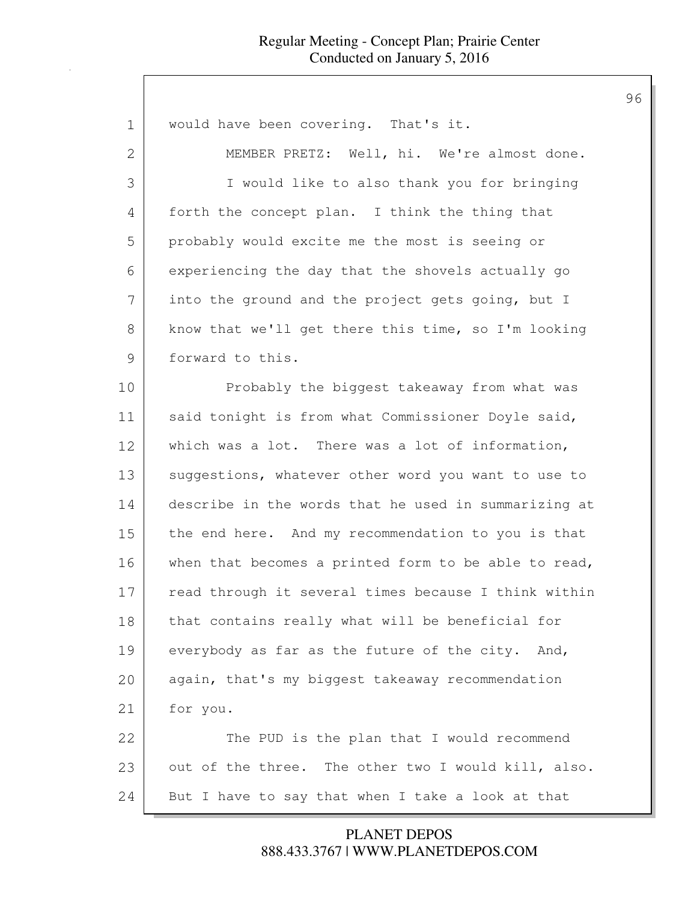| $\mathbf 1$   | would have been covering. That's it.                 |
|---------------|------------------------------------------------------|
| 2             | MEMBER PRETZ: Well, hi. We're almost done.           |
| 3             | I would like to also thank you for bringing          |
| 4             | forth the concept plan. I think the thing that       |
| 5             | probably would excite me the most is seeing or       |
| 6             | experiencing the day that the shovels actually go    |
| 7             | into the ground and the project gets going, but I    |
| 8             | know that we'll get there this time, so I'm looking  |
| $\mathcal{G}$ | forward to this.                                     |
| 10            | Probably the biggest takeaway from what was          |
| 11            | said tonight is from what Commissioner Doyle said,   |
| 12            | which was a lot. There was a lot of information,     |
| 13            | suggestions, whatever other word you want to use to  |
| 14            | describe in the words that he used in summarizing at |
| 15            | the end here. And my recommendation to you is that   |
| 16            | when that becomes a printed form to be able to read, |
| 17            | read through it several times because I think within |
| 18            | that contains really what will be beneficial for     |
| 19            | everybody as far as the future of the city. And,     |
| 20            | again, that's my biggest takeaway recommendation     |
| 21            | for you.                                             |
| 22            | The PUD is the plan that I would recommend           |
| 23            | out of the three. The other two I would kill, also.  |
| 24            | But I have to say that when I take a look at that    |

888.433.3767 | WWW.PLANETDEPOS.COM PLANET DEPOS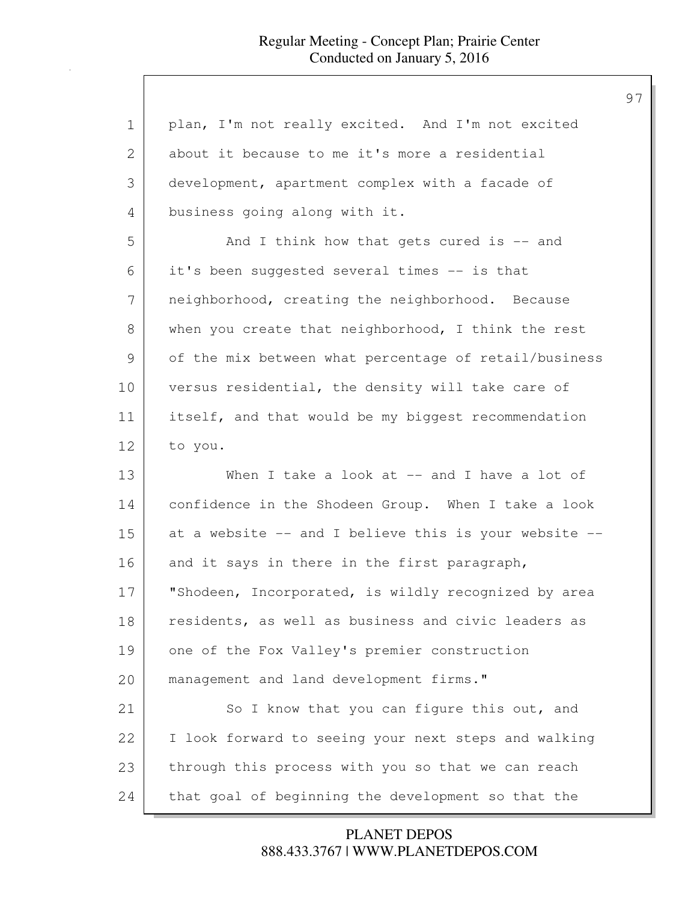| $\mathbf 1$   | plan, I'm not really excited. And I'm not excited     |
|---------------|-------------------------------------------------------|
| 2             | about it because to me it's more a residential        |
| 3             | development, apartment complex with a facade of       |
| 4             | business going along with it.                         |
| 5             | And I think how that gets cured is $-$ and            |
| 6             | it's been suggested several times -- is that          |
| 7             | neighborhood, creating the neighborhood. Because      |
| 8             | when you create that neighborhood, I think the rest   |
| $\mathcal{G}$ | of the mix between what percentage of retail/business |
| 10            | versus residential, the density will take care of     |
| 11            | itself, and that would be my biggest recommendation   |
| 12            | to you.                                               |
|               |                                                       |
| 13            | When I take a look at $--$ and I have a lot of        |
| 14            | confidence in the Shodeen Group. When I take a look   |
| 15            | at a website -- and I believe this is your website -- |
| 16            | and it says in there in the first paragraph,          |
| 17            | "Shodeen, Incorporated, is wildly recognized by area  |
| 18            | residents, as well as business and civic leaders as   |
| 19            | one of the Fox Valley's premier construction          |
| 20            | management and land development firms."               |
| 21            | So I know that you can figure this out, and           |
| 22            | I look forward to seeing your next steps and walking  |
| 23            | through this process with you so that we can reach    |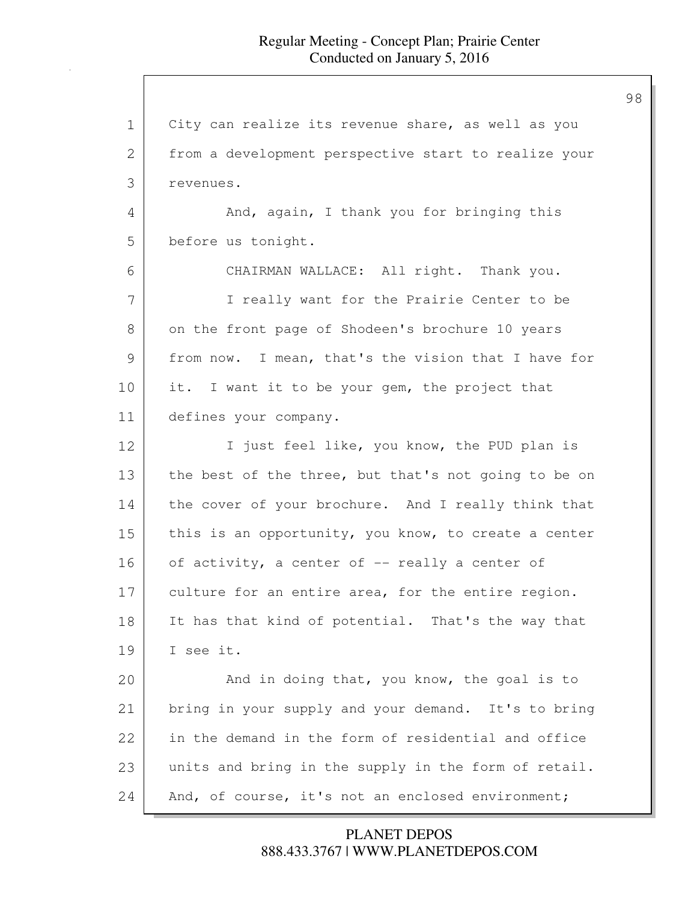1 City can realize its revenue share, as well as you 2 | from a development perspective start to realize your 3 revenues. 4 And, again, I thank you for bringing this 5 before us tonight. 6 CHAIRMAN WALLACE: All right. Thank you. 7 | Treally want for the Prairie Center to be 8 on the front page of Shodeen's brochure 10 years 9 from now. I mean, that's the vision that I have for 10 it. I want it to be your gem, the project that 11 defines your company. 12 I just feel like, you know, the PUD plan is 13 the best of the three, but that's not going to be on 14 the cover of your brochure. And I really think that 15 this is an opportunity, you know, to create a center 16 of activity, a center of -- really a center of 17 culture for an entire area, for the entire region. 18 It has that kind of potential. That's the way that 19 I see it. 20 And in doing that, you know, the goal is to 21 bring in your supply and your demand. It's to bring 22 in the demand in the form of residential and office 23 units and bring in the supply in the form of retail. 24 And, of course, it's not an enclosed environment;

> 888.433.3767 | WWW.PLANETDEPOS.COM PLANET DEPOS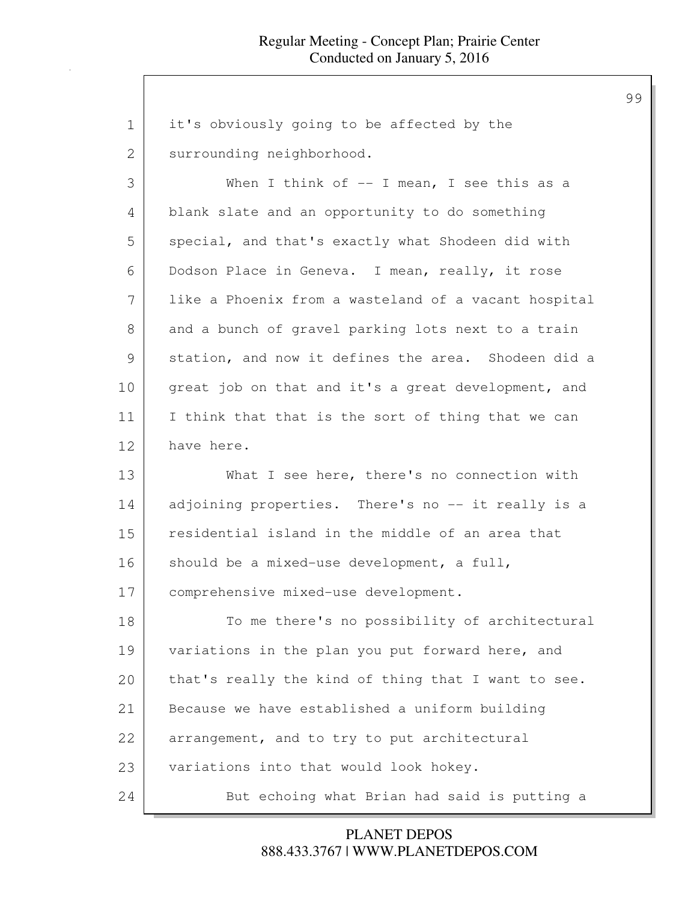| $\mathbf 1$   | it's obviously going to be affected by the           |
|---------------|------------------------------------------------------|
| $\mathbf{2}$  | surrounding neighborhood.                            |
| 3             | When I think of $--$ I mean, I see this as a         |
| 4             | blank slate and an opportunity to do something       |
| 5             | special, and that's exactly what Shodeen did with    |
| 6             | Dodson Place in Geneva. I mean, really, it rose      |
| 7             | like a Phoenix from a wasteland of a vacant hospital |
| 8             | and a bunch of gravel parking lots next to a train   |
| $\mathcal{G}$ | station, and now it defines the area. Shodeen did a  |
| 10            | great job on that and it's a great development, and  |
| 11            | I think that that is the sort of thing that we can   |
| 12            | have here.                                           |
|               |                                                      |
| 13            | What I see here, there's no connection with          |
| 14            | adjoining properties. There's no -- it really is a   |
| 15            | residential island in the middle of an area that     |
| 16            | should be a mixed-use development, a full,           |
| 17            | comprehensive mixed-use development.                 |
| 18            | To me there's no possibility of architectural        |
| 19            | variations in the plan you put forward here, and     |
| 20            | that's really the kind of thing that I want to see.  |
| 21            | Because we have established a uniform building       |
| 22            | arrangement, and to try to put architectural         |
| 23            | variations into that would look hokey.               |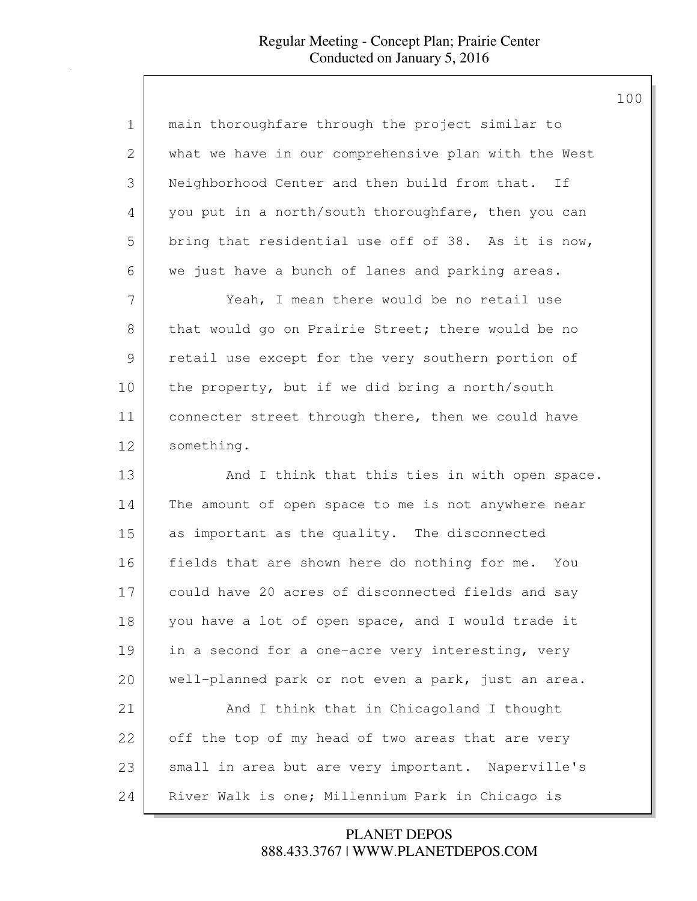| $\mathbf 1$ | main thoroughfare through the project similar to     |
|-------------|------------------------------------------------------|
| 2           | what we have in our comprehensive plan with the West |
| 3           | Neighborhood Center and then build from that. If     |
| 4           | you put in a north/south thoroughfare, then you can  |
| 5           | bring that residential use off of 38. As it is now,  |
| 6           | we just have a bunch of lanes and parking areas.     |
| 7           | Yeah, I mean there would be no retail use            |
| 8           | that would go on Prairie Street; there would be no   |
| 9           | retail use except for the very southern portion of   |
| 10          | the property, but if we did bring a north/south      |
| 11          | connecter street through there, then we could have   |
| 12          | something.                                           |
| 13          | And I think that this ties in with open space.       |
| 14          | The amount of open space to me is not anywhere near  |
| 15          | as important as the quality. The disconnected        |
| 16          | fields that are shown here do nothing for me. You    |
| 17          | could have 20 acres of disconnected fields and say   |
| 18          | you have a lot of open space, and I would trade it   |
| 19          | in a second for a one-acre very interesting, very    |
| 20          | well-planned park or not even a park, just an area.  |
| 21          | And I think that in Chicagoland I thought            |
| 22          | off the top of my head of two areas that are very    |
| 23          | small in area but are very important. Naperville's   |
| 24          | River Walk is one; Millennium Park in Chicago is     |

888.433.3767 | WWW.PLANETDEPOS.COM PLANET DEPOS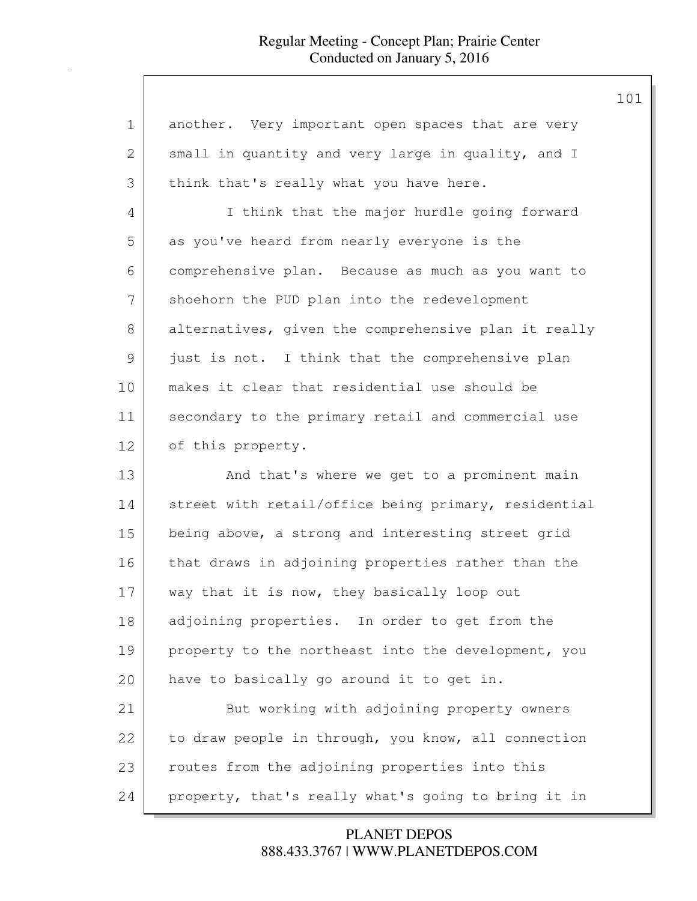| $\mathbf 1$ | another. Very important open spaces that are very    |
|-------------|------------------------------------------------------|
| 2           | small in quantity and very large in quality, and I   |
| 3           | think that's really what you have here.              |
| 4           | I think that the major hurdle going forward          |
| 5           | as you've heard from nearly everyone is the          |
| 6           | comprehensive plan. Because as much as you want to   |
| 7           | shoehorn the PUD plan into the redevelopment         |
| 8           | alternatives, given the comprehensive plan it really |
| 9           | just is not. I think that the comprehensive plan     |
| 10          | makes it clear that residential use should be        |
| 11          | secondary to the primary retail and commercial use   |
| 12          | of this property.                                    |
| 13          | And that's where we get to a prominent main          |
| 14          | street with retail/office being primary, residential |
| 15          | being above, a strong and interesting street grid    |
| 16          | that draws in adjoining properties rather than the   |
| 17          | way that it is now, they basically loop out          |
| 18          | adjoining properties. In order to get from the       |
| 19          | property to the northeast into the development, you  |
| 20          | have to basically go around it to get in.            |
| 21          | But working with adjoining property owners           |
| 22          | to draw people in through, you know, all connection  |
| 23          | routes from the adjoining properties into this       |
| 24          | property, that's really what's going to bring it in  |

888.433.3767 | WWW.PLANETDEPOS.COM PLANET DEPOS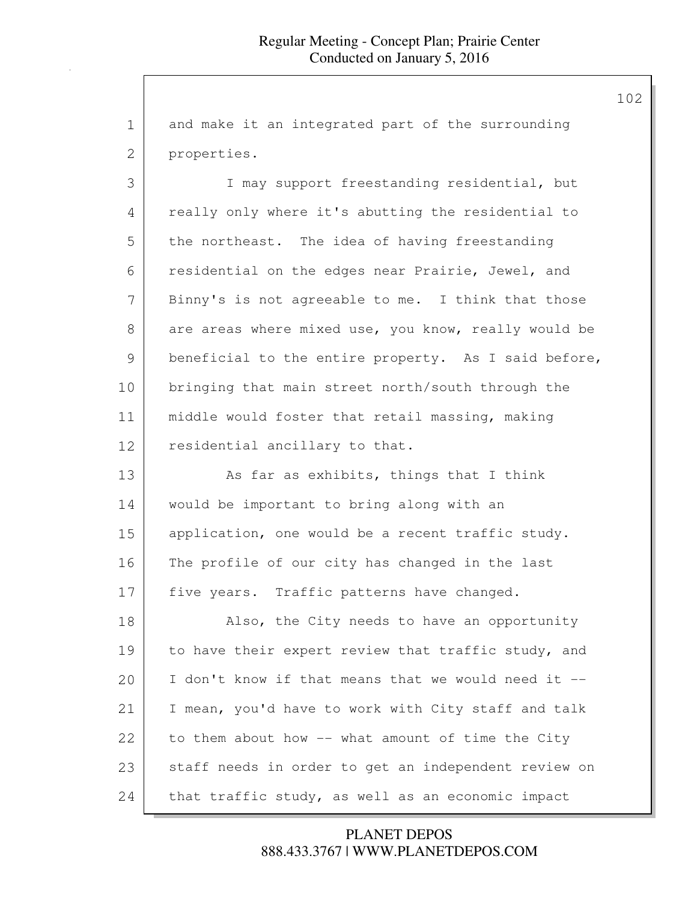1 and make it an integrated part of the surrounding 2 properties.

3 I may support freestanding residential, but 4 really only where it's abutting the residential to 5 the northeast. The idea of having freestanding 6 residential on the edges near Prairie, Jewel, and 7 Binny's is not agreeable to me. I think that those 8 are areas where mixed use, you know, really would be 9 beneficial to the entire property. As I said before, 10 bringing that main street north/south through the 11 middle would foster that retail massing, making 12 residential ancillary to that.

13 As far as exhibits, things that I think 14 would be important to bring along with an 15 application, one would be a recent traffic study. 16 | The profile of our city has changed in the last 17 five years. Traffic patterns have changed.

18 | Also, the City needs to have an opportunity 19 to have their expert review that traffic study, and 20 I don't know if that means that we would need it -- 21 | I mean, you'd have to work with City staff and talk 22 to them about how -- what amount of time the City 23 staff needs in order to get an independent review on 24 that traffic study, as well as an economic impact

> 888.433.3767 | WWW.PLANETDEPOS.COM PLANET DEPOS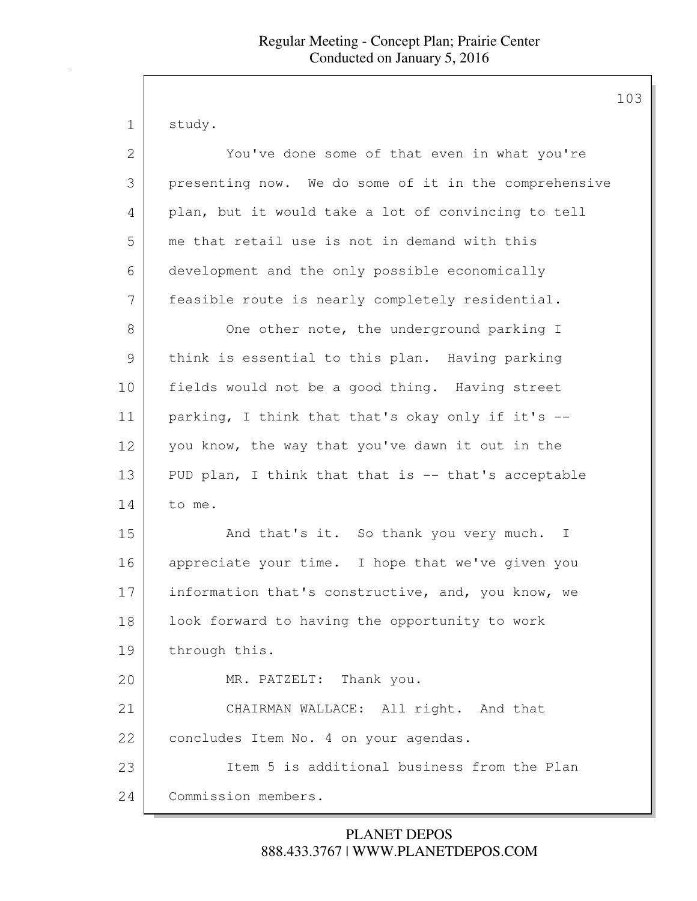study.

| $\mathbf{2}$  | You've done some of that even in what you're           |
|---------------|--------------------------------------------------------|
| 3             | presenting now. We do some of it in the comprehensive  |
| 4             | plan, but it would take a lot of convincing to tell    |
| 5             | me that retail use is not in demand with this          |
| 6             | development and the only possible economically         |
| 7             | feasible route is nearly completely residential.       |
| 8             | One other note, the underground parking I              |
| $\mathcal{G}$ | think is essential to this plan. Having parking        |
| 10            | fields would not be a good thing. Having street        |
| 11            | parking, I think that that's okay only if it's --      |
| 12            | you know, the way that you've dawn it out in the       |
| 13            | PUD plan, I think that that is -- that's acceptable    |
| 14            | to me.                                                 |
| 15            | And that's it. So thank you very much.<br>$\mathbf{I}$ |
| 16            | appreciate your time. I hope that we've given you      |
| 17            | information that's constructive, and, you know, we     |
| 18            | look forward to having the opportunity to work         |
| 19            | through this.                                          |
| 20            | MR. PATZELT: Thank you.                                |
| 21            | CHAIRMAN WALLACE: All right. And that                  |
| 22            | concludes Item No. 4 on your agendas.                  |
| 23            | Item 5 is additional business from the Plan            |
| 24            | Commission members.                                    |

# 888.433.3767 | WWW.PLANETDEPOS.COM PLANET DEPOS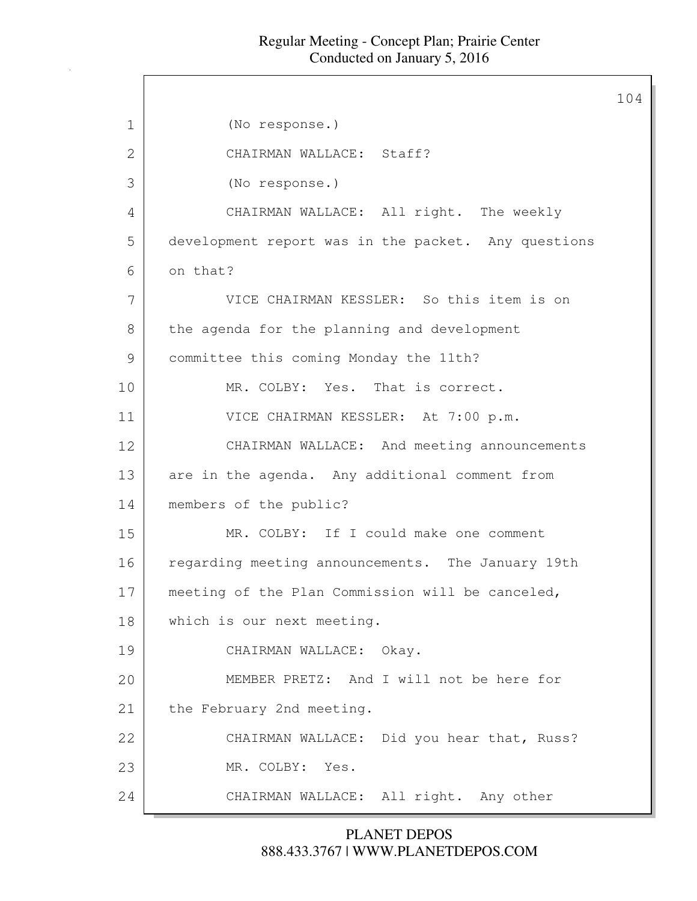$\mathsf{r}$ 

|    |                                                     | 104 |
|----|-----------------------------------------------------|-----|
| 1  | (No response.)                                      |     |
| 2  | CHAIRMAN WALLACE: Staff?                            |     |
| 3  | (No response.)                                      |     |
| 4  | CHAIRMAN WALLACE: All right. The weekly             |     |
| 5  | development report was in the packet. Any questions |     |
| 6  | on that?                                            |     |
| 7  | VICE CHAIRMAN KESSLER: So this item is on           |     |
| 8  | the agenda for the planning and development         |     |
| 9  | committee this coming Monday the 11th?              |     |
| 10 | MR. COLBY: Yes. That is correct.                    |     |
| 11 | VICE CHAIRMAN KESSLER: At 7:00 p.m.                 |     |
| 12 | CHAIRMAN WALLACE: And meeting announcements         |     |
| 13 | are in the agenda. Any additional comment from      |     |
| 14 | members of the public?                              |     |
| 15 | MR. COLBY: If I could make one comment              |     |
| 16 | regarding meeting announcements. The January 19th   |     |
| 17 | meeting of the Plan Commission will be canceled,    |     |
| 18 | which is our next meeting.                          |     |
| 19 | CHAIRMAN WALLACE: Okay.                             |     |
| 20 | MEMBER PRETZ: And I will not be here for            |     |
| 21 | the February 2nd meeting.                           |     |
| 22 | CHAIRMAN WALLACE: Did you hear that, Russ?          |     |
| 23 | MR. COLBY: Yes.                                     |     |
| 24 | CHAIRMAN WALLACE: All right. Any other              |     |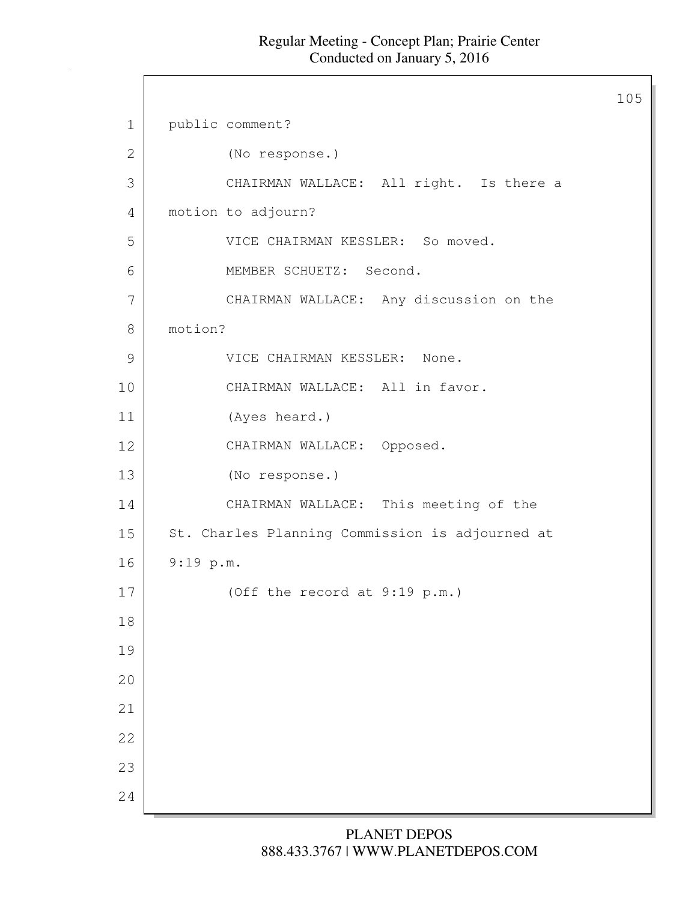$\mathsf{l}$ 

|               |                                                 | 105 |
|---------------|-------------------------------------------------|-----|
| $\mathbf 1$   | public comment?                                 |     |
| $\mathbf{2}$  | (No response.)                                  |     |
| 3             | CHAIRMAN WALLACE: All right. Is there a         |     |
| 4             | motion to adjourn?                              |     |
| 5             | VICE CHAIRMAN KESSLER: So moved.                |     |
| 6             | MEMBER SCHUETZ: Second.                         |     |
| 7             | CHAIRMAN WALLACE: Any discussion on the         |     |
| 8             | motion?                                         |     |
| $\mathcal{G}$ | VICE CHAIRMAN KESSLER: None.                    |     |
| 10            | CHAIRMAN WALLACE: All in favor.                 |     |
| 11            | (Ayes heard.)                                   |     |
| 12            | CHAIRMAN WALLACE: Opposed.                      |     |
| 13            | (No response.)                                  |     |
| 14            | CHAIRMAN WALLACE: This meeting of the           |     |
| 15            | St. Charles Planning Commission is adjourned at |     |
| 16            | 9:19 p.m.                                       |     |
| 17            | (Off the record at 9:19 p.m.)                   |     |
| 18            |                                                 |     |
| 19            |                                                 |     |
| 20            |                                                 |     |
| 21            |                                                 |     |
| 22            |                                                 |     |
| 23            |                                                 |     |
| 24            |                                                 |     |